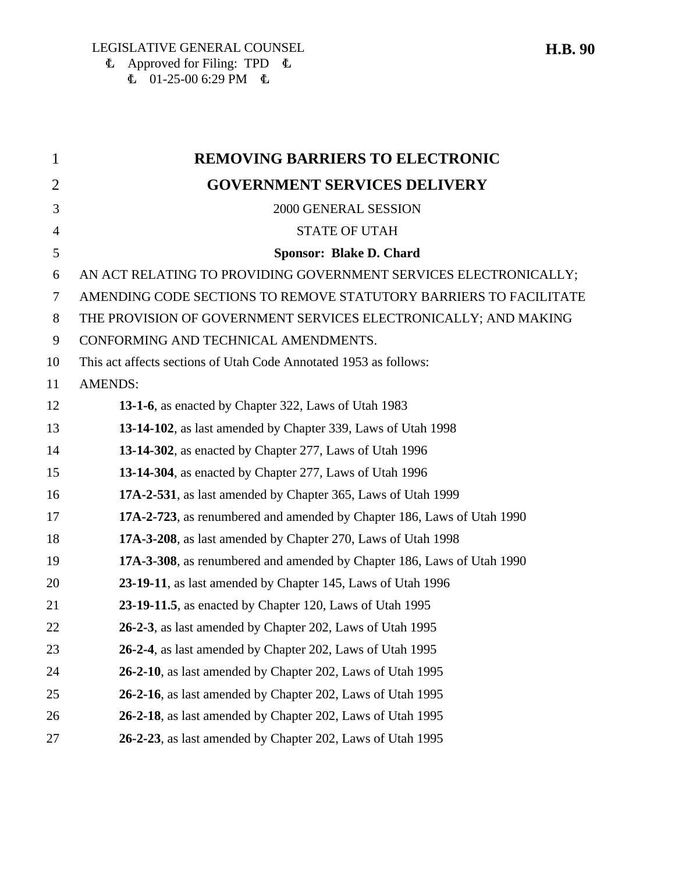$\mathbf{\Phi}$  Approved for Filing: TPD  $\mathbf{\Phi}$  $\overline{6}$  01-25-00 6:29 PM  $\overline{6}$ 

| $\mathbf{1}$   | <b>REMOVING BARRIERS TO ELECTRONIC</b>                                 |
|----------------|------------------------------------------------------------------------|
| $\overline{2}$ | <b>GOVERNMENT SERVICES DELIVERY</b>                                    |
| 3              | 2000 GENERAL SESSION                                                   |
| $\overline{4}$ | <b>STATE OF UTAH</b>                                                   |
| 5              | Sponsor: Blake D. Chard                                                |
| 6              | AN ACT RELATING TO PROVIDING GOVERNMENT SERVICES ELECTRONICALLY;       |
| $\tau$         | AMENDING CODE SECTIONS TO REMOVE STATUTORY BARRIERS TO FACILITATE      |
| 8              | THE PROVISION OF GOVERNMENT SERVICES ELECTRONICALLY; AND MAKING        |
| 9              | CONFORMING AND TECHNICAL AMENDMENTS.                                   |
| 10             | This act affects sections of Utah Code Annotated 1953 as follows:      |
| 11             | <b>AMENDS:</b>                                                         |
| 12             | 13-1-6, as enacted by Chapter 322, Laws of Utah 1983                   |
| 13             | 13-14-102, as last amended by Chapter 339, Laws of Utah 1998           |
| 14             | 13-14-302, as enacted by Chapter 277, Laws of Utah 1996                |
| 15             | 13-14-304, as enacted by Chapter 277, Laws of Utah 1996                |
| 16             | 17A-2-531, as last amended by Chapter 365, Laws of Utah 1999           |
| 17             | 17A-2-723, as renumbered and amended by Chapter 186, Laws of Utah 1990 |
| 18             | 17A-3-208, as last amended by Chapter 270, Laws of Utah 1998           |
| 19             | 17A-3-308, as renumbered and amended by Chapter 186, Laws of Utah 1990 |
| 20             | 23-19-11, as last amended by Chapter 145, Laws of Utah 1996            |
| 21             | 23-19-11.5, as enacted by Chapter 120, Laws of Utah 1995               |
| 22             | 26-2-3, as last amended by Chapter 202, Laws of Utah 1995              |
| 23             | 26-2-4, as last amended by Chapter 202, Laws of Utah 1995              |
| 24             | 26-2-10, as last amended by Chapter 202, Laws of Utah 1995             |
| 25             | 26-2-16, as last amended by Chapter 202, Laws of Utah 1995             |
| 26             | 26-2-18, as last amended by Chapter 202, Laws of Utah 1995             |
| 27             | 26-2-23, as last amended by Chapter 202, Laws of Utah 1995             |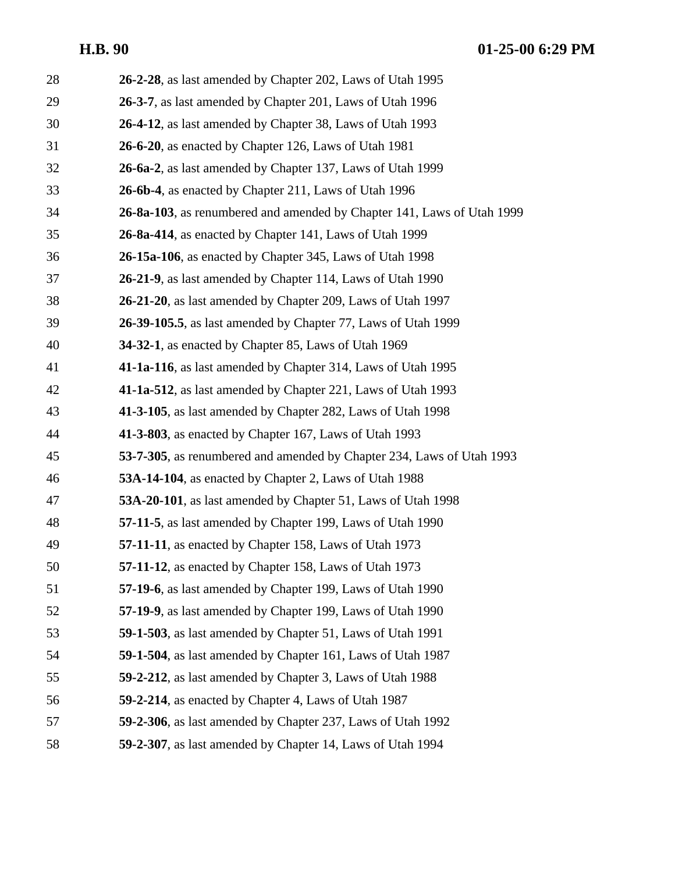| 28 | 26-2-28, as last amended by Chapter 202, Laws of Utah 1995             |
|----|------------------------------------------------------------------------|
| 29 | 26-3-7, as last amended by Chapter 201, Laws of Utah 1996              |
| 30 | 26-4-12, as last amended by Chapter 38, Laws of Utah 1993              |
| 31 | 26-6-20, as enacted by Chapter 126, Laws of Utah 1981                  |
| 32 | 26-6a-2, as last amended by Chapter 137, Laws of Utah 1999             |
| 33 | 26-6b-4, as enacted by Chapter 211, Laws of Utah 1996                  |
| 34 | 26-8a-103, as renumbered and amended by Chapter 141, Laws of Utah 1999 |
| 35 | 26-8a-414, as enacted by Chapter 141, Laws of Utah 1999                |
| 36 | 26-15a-106, as enacted by Chapter 345, Laws of Utah 1998               |
| 37 | 26-21-9, as last amended by Chapter 114, Laws of Utah 1990             |
| 38 | 26-21-20, as last amended by Chapter 209, Laws of Utah 1997            |
| 39 | 26-39-105.5, as last amended by Chapter 77, Laws of Utah 1999          |
| 40 | <b>34-32-1</b> , as enacted by Chapter 85, Laws of Utah 1969           |
| 41 | 41-1a-116, as last amended by Chapter 314, Laws of Utah 1995           |
| 42 | 41-1a-512, as last amended by Chapter 221, Laws of Utah 1993           |
| 43 | 41-3-105, as last amended by Chapter 282, Laws of Utah 1998            |
| 44 | 41-3-803, as enacted by Chapter 167, Laws of Utah 1993                 |
| 45 | 53-7-305, as renumbered and amended by Chapter 234, Laws of Utah 1993  |
| 46 | 53A-14-104, as enacted by Chapter 2, Laws of Utah 1988                 |
| 47 | 53A-20-101, as last amended by Chapter 51, Laws of Utah 1998           |
| 48 | 57-11-5, as last amended by Chapter 199, Laws of Utah 1990             |
| 49 | 57-11-11, as enacted by Chapter 158, Laws of Utah 1973                 |
| 50 | 57-11-12, as enacted by Chapter 158, Laws of Utah 1973                 |
| 51 | 57-19-6, as last amended by Chapter 199, Laws of Utah 1990             |
| 52 | 57-19-9, as last amended by Chapter 199, Laws of Utah 1990             |
| 53 | 59-1-503, as last amended by Chapter 51, Laws of Utah 1991             |
| 54 | 59-1-504, as last amended by Chapter 161, Laws of Utah 1987            |
| 55 | 59-2-212, as last amended by Chapter 3, Laws of Utah 1988              |
| 56 | 59-2-214, as enacted by Chapter 4, Laws of Utah 1987                   |
| 57 | 59-2-306, as last amended by Chapter 237, Laws of Utah 1992            |
| 58 | 59-2-307, as last amended by Chapter 14, Laws of Utah 1994             |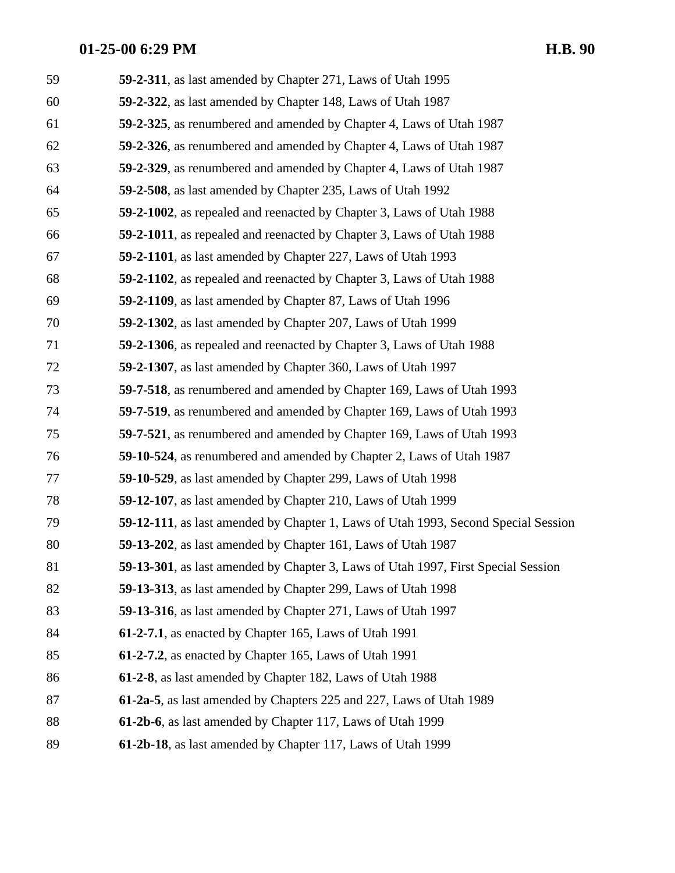| 59 | 59-2-311, as last amended by Chapter 271, Laws of Utah 1995                        |
|----|------------------------------------------------------------------------------------|
| 60 | 59-2-322, as last amended by Chapter 148, Laws of Utah 1987                        |
| 61 | 59-2-325, as renumbered and amended by Chapter 4, Laws of Utah 1987                |
| 62 | 59-2-326, as renumbered and amended by Chapter 4, Laws of Utah 1987                |
| 63 | 59-2-329, as renumbered and amended by Chapter 4, Laws of Utah 1987                |
| 64 | 59-2-508, as last amended by Chapter 235, Laws of Utah 1992                        |
| 65 | <b>59-2-1002</b> , as repealed and reenacted by Chapter 3, Laws of Utah 1988       |
| 66 | 59-2-1011, as repealed and reenacted by Chapter 3, Laws of Utah 1988               |
| 67 | 59-2-1101, as last amended by Chapter 227, Laws of Utah 1993                       |
| 68 | 59-2-1102, as repealed and reenacted by Chapter 3, Laws of Utah 1988               |
| 69 | 59-2-1109, as last amended by Chapter 87, Laws of Utah 1996                        |
| 70 | 59-2-1302, as last amended by Chapter 207, Laws of Utah 1999                       |
| 71 | 59-2-1306, as repealed and reenacted by Chapter 3, Laws of Utah 1988               |
| 72 | 59-2-1307, as last amended by Chapter 360, Laws of Utah 1997                       |
| 73 | 59-7-518, as renumbered and amended by Chapter 169, Laws of Utah 1993              |
| 74 | 59-7-519, as renumbered and amended by Chapter 169, Laws of Utah 1993              |
| 75 | 59-7-521, as renumbered and amended by Chapter 169, Laws of Utah 1993              |
| 76 | 59-10-524, as renumbered and amended by Chapter 2, Laws of Utah 1987               |
| 77 | 59-10-529, as last amended by Chapter 299, Laws of Utah 1998                       |
| 78 | 59-12-107, as last amended by Chapter 210, Laws of Utah 1999                       |
| 79 | 59-12-111, as last amended by Chapter 1, Laws of Utah 1993, Second Special Session |
| 80 | 59-13-202, as last amended by Chapter 161, Laws of Utah 1987                       |
| 81 | 59-13-301, as last amended by Chapter 3, Laws of Utah 1997, First Special Session  |
| 82 | 59-13-313, as last amended by Chapter 299, Laws of Utah 1998                       |
| 83 | 59-13-316, as last amended by Chapter 271, Laws of Utah 1997                       |
| 84 | 61-2-7.1, as enacted by Chapter 165, Laws of Utah 1991                             |
| 85 | 61-2-7.2, as enacted by Chapter 165, Laws of Utah 1991                             |
| 86 | 61-2-8, as last amended by Chapter 182, Laws of Utah 1988                          |
| 87 | 61-2a-5, as last amended by Chapters 225 and 227, Laws of Utah 1989                |
| 88 | 61-2b-6, as last amended by Chapter 117, Laws of Utah 1999                         |
| 89 | 61-2b-18, as last amended by Chapter 117, Laws of Utah 1999                        |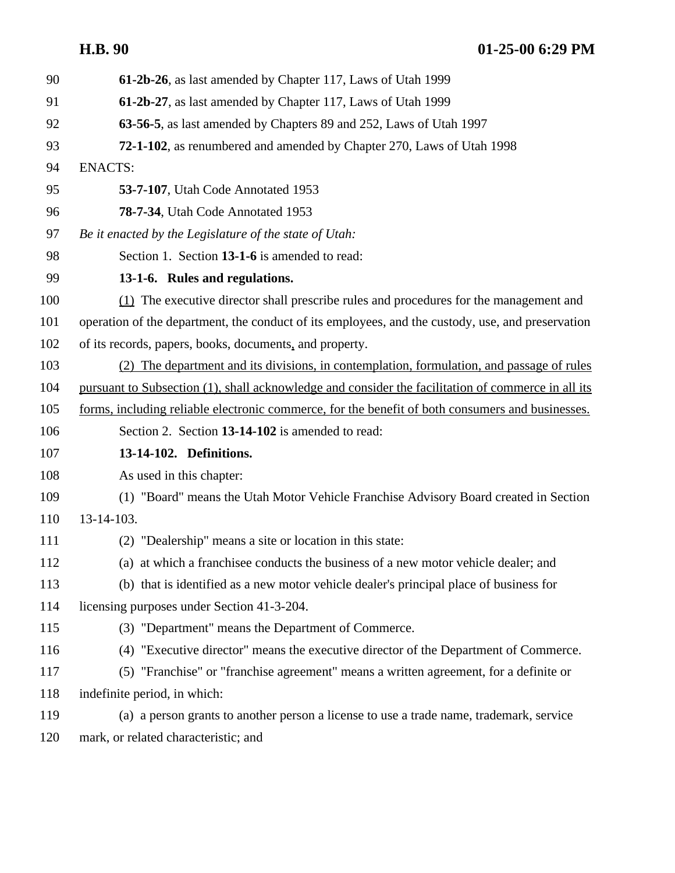| 90  | 61-2b-26, as last amended by Chapter 117, Laws of Utah 1999                                        |
|-----|----------------------------------------------------------------------------------------------------|
| 91  | 61-2b-27, as last amended by Chapter 117, Laws of Utah 1999                                        |
| 92  | 63-56-5, as last amended by Chapters 89 and 252, Laws of Utah 1997                                 |
| 93  | 72-1-102, as renumbered and amended by Chapter 270, Laws of Utah 1998                              |
| 94  | <b>ENACTS:</b>                                                                                     |
| 95  | 53-7-107, Utah Code Annotated 1953                                                                 |
| 96  | 78-7-34, Utah Code Annotated 1953                                                                  |
| 97  | Be it enacted by the Legislature of the state of Utah:                                             |
| 98  | Section 1. Section 13-1-6 is amended to read:                                                      |
| 99  | 13-1-6. Rules and regulations.                                                                     |
| 100 | (1) The executive director shall prescribe rules and procedures for the management and             |
| 101 | operation of the department, the conduct of its employees, and the custody, use, and preservation  |
| 102 | of its records, papers, books, documents, and property.                                            |
| 103 | (2) The department and its divisions, in contemplation, formulation, and passage of rules          |
| 104 | pursuant to Subsection (1), shall acknowledge and consider the facilitation of commerce in all its |
| 105 | forms, including reliable electronic commerce, for the benefit of both consumers and businesses.   |
| 106 | Section 2. Section 13-14-102 is amended to read:                                                   |
| 107 | 13-14-102. Definitions.                                                                            |
| 108 | As used in this chapter:                                                                           |
| 109 | (1) "Board" means the Utah Motor Vehicle Franchise Advisory Board created in Section               |
| 110 | 13-14-103.                                                                                         |
| 111 | (2) "Dealership" means a site or location in this state:                                           |
| 112 | (a) at which a franchisee conducts the business of a new motor vehicle dealer; and                 |
| 113 | (b) that is identified as a new motor vehicle dealer's principal place of business for             |
| 114 | licensing purposes under Section 41-3-204.                                                         |
| 115 | (3) "Department" means the Department of Commerce.                                                 |
| 116 | (4) "Executive director" means the executive director of the Department of Commerce.               |
| 117 | (5) "Franchise" or "franchise agreement" means a written agreement, for a definite or              |
| 118 | indefinite period, in which:                                                                       |
| 119 | (a) a person grants to another person a license to use a trade name, trademark, service            |
| 120 | mark, or related characteristic; and                                                               |
|     |                                                                                                    |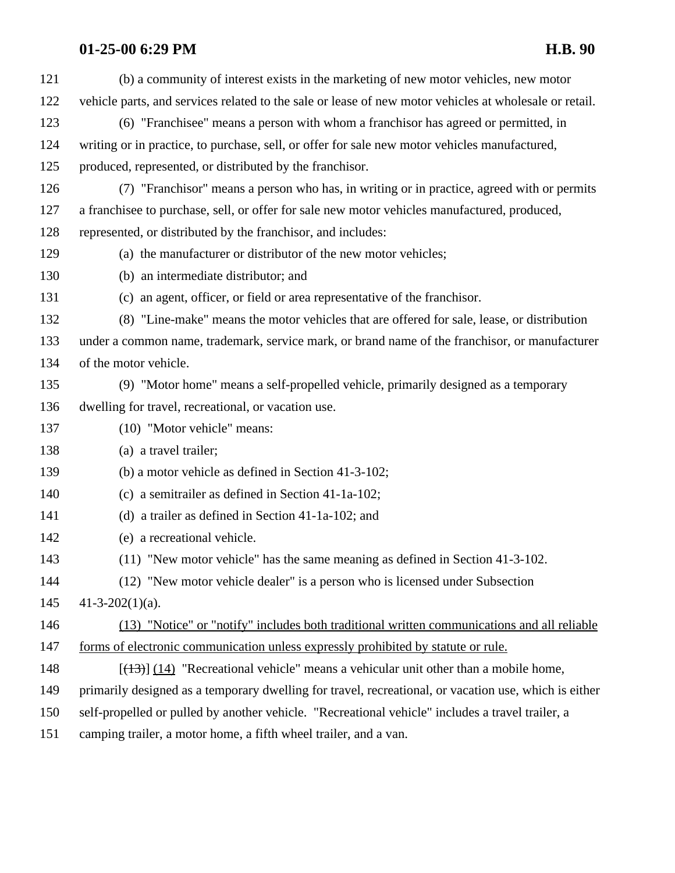| 121 | (b) a community of interest exists in the marketing of new motor vehicles, new motor                   |
|-----|--------------------------------------------------------------------------------------------------------|
| 122 | vehicle parts, and services related to the sale or lease of new motor vehicles at wholesale or retail. |
| 123 | (6) "Franchisee" means a person with whom a franchisor has agreed or permitted, in                     |
| 124 | writing or in practice, to purchase, sell, or offer for sale new motor vehicles manufactured,          |
| 125 | produced, represented, or distributed by the franchisor.                                               |
| 126 | (7) "Franchisor" means a person who has, in writing or in practice, agreed with or permits             |
| 127 | a franchisee to purchase, sell, or offer for sale new motor vehicles manufactured, produced,           |
| 128 | represented, or distributed by the franchisor, and includes:                                           |
| 129 | (a) the manufacturer or distributor of the new motor vehicles;                                         |
| 130 | (b) an intermediate distributor; and                                                                   |
| 131 | (c) an agent, officer, or field or area representative of the franchisor.                              |
| 132 | (8) "Line-make" means the motor vehicles that are offered for sale, lease, or distribution             |
| 133 | under a common name, trademark, service mark, or brand name of the franchisor, or manufacturer         |
| 134 | of the motor vehicle.                                                                                  |
| 135 | (9) "Motor home" means a self-propelled vehicle, primarily designed as a temporary                     |
| 136 | dwelling for travel, recreational, or vacation use.                                                    |
| 137 | (10) "Motor vehicle" means:                                                                            |
| 138 | (a) a travel trailer;                                                                                  |
| 139 | (b) a motor vehicle as defined in Section 41-3-102;                                                    |
| 140 | (c) a semitrailer as defined in Section 41-1a-102;                                                     |
| 141 | (d) a trailer as defined in Section $41-1a-102$ ; and                                                  |
| 142 | (e) a recreational vehicle.                                                                            |
| 143 | (11) "New motor vehicle" has the same meaning as defined in Section 41-3-102.                          |
| 144 | (12) "New motor vehicle dealer" is a person who is licensed under Subsection                           |
| 145 | $41-3-202(1)(a)$ .                                                                                     |
| 146 | (13) "Notice" or "notify" includes both traditional written communications and all reliable            |
| 147 | forms of electronic communication unless expressly prohibited by statute or rule.                      |
| 148 | $[ (13) ] (14)$ "Recreational vehicle" means a vehicular unit other than a mobile home,                |
| 149 | primarily designed as a temporary dwelling for travel, recreational, or vacation use, which is either  |
| 150 | self-propelled or pulled by another vehicle. "Recreational vehicle" includes a travel trailer, a       |
| 151 | camping trailer, a motor home, a fifth wheel trailer, and a van.                                       |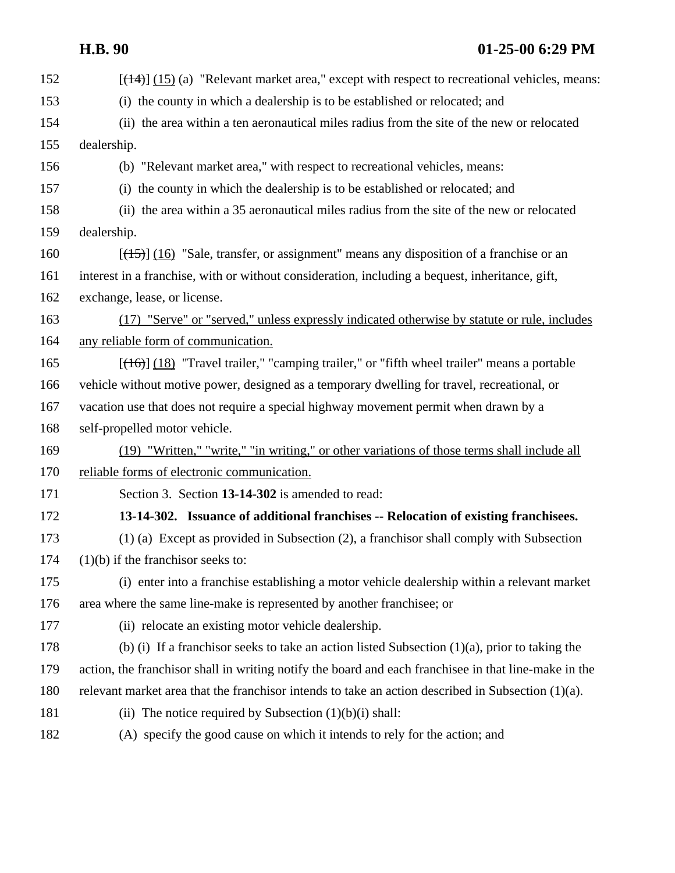| 152 | $[$ ( $(14)$ ) $(15)$ (a) "Relevant market area," except with respect to recreational vehicles, means: |
|-----|--------------------------------------------------------------------------------------------------------|
| 153 | (i) the county in which a dealership is to be established or relocated; and                            |
| 154 | (ii) the area within a ten aeronautical miles radius from the site of the new or relocated             |
| 155 | dealership.                                                                                            |
| 156 | (b) "Relevant market area," with respect to recreational vehicles, means:                              |
| 157 | (i) the county in which the dealership is to be established or relocated; and                          |
| 158 | (ii) the area within a 35 aeronautical miles radius from the site of the new or relocated              |
| 159 | dealership.                                                                                            |
| 160 | $[\frac{15}{10}]$ (16) "Sale, transfer, or assignment" means any disposition of a franchise or an      |
| 161 | interest in a franchise, with or without consideration, including a bequest, inheritance, gift,        |
| 162 | exchange, lease, or license.                                                                           |
| 163 | (17) "Serve" or "served," unless expressly indicated otherwise by statute or rule, includes            |
| 164 | any reliable form of communication.                                                                    |
| 165 | $[ (16) ] (18)$ "Travel trailer," "camping trailer," or "fifth wheel trailer" means a portable         |
| 166 | vehicle without motive power, designed as a temporary dwelling for travel, recreational, or            |
| 167 | vacation use that does not require a special highway movement permit when drawn by a                   |
| 168 | self-propelled motor vehicle.                                                                          |
| 169 | (19) "Written," "write," "in writing," or other variations of those terms shall include all            |
| 170 | reliable forms of electronic communication.                                                            |
| 171 | Section 3. Section 13-14-302 is amended to read:                                                       |
| 172 | 13-14-302. Issuance of additional franchises -- Relocation of existing franchisees.                    |
| 173 | $(1)$ (a) Except as provided in Subsection (2), a franchisor shall comply with Subsection              |
| 174 | $(1)(b)$ if the franchisor seeks to:                                                                   |
| 175 | (i) enter into a franchise establishing a motor vehicle dealership within a relevant market            |
| 176 | area where the same line-make is represented by another franchisee; or                                 |
| 177 | (ii) relocate an existing motor vehicle dealership.                                                    |
| 178 | (b) (i) If a franchisor seeks to take an action listed Subsection $(1)(a)$ , prior to taking the       |
| 179 | action, the franchisor shall in writing notify the board and each franchisee in that line-make in the  |
| 180 | relevant market area that the franchisor intends to take an action described in Subsection $(1)(a)$ .  |
| 181 | (ii) The notice required by Subsection $(1)(b)(i)$ shall:                                              |
| 182 | (A) specify the good cause on which it intends to rely for the action; and                             |
|     |                                                                                                        |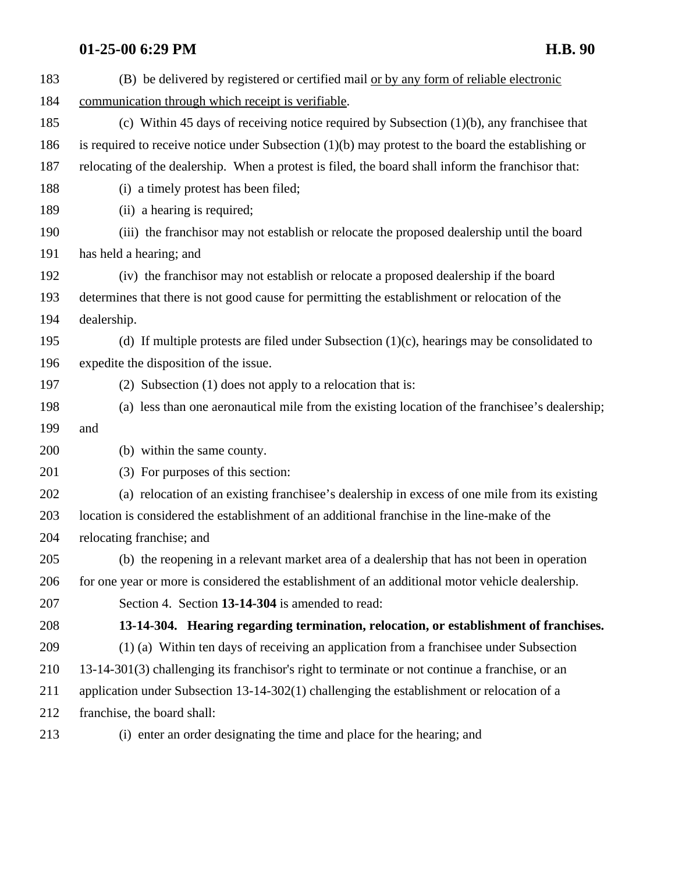| 183 | (B) be delivered by registered or certified mail or by any form of reliable electronic               |
|-----|------------------------------------------------------------------------------------------------------|
| 184 | communication through which receipt is verifiable.                                                   |
| 185 | (c) Within 45 days of receiving notice required by Subsection $(1)(b)$ , any franchisee that         |
| 186 | is required to receive notice under Subsection $(1)(b)$ may protest to the board the establishing or |
| 187 | relocating of the dealership. When a protest is filed, the board shall inform the franchisor that:   |
| 188 | (i) a timely protest has been filed;                                                                 |
| 189 | (ii) a hearing is required;                                                                          |
| 190 | (iii) the franchisor may not establish or relocate the proposed dealership until the board           |
| 191 | has held a hearing; and                                                                              |
| 192 | (iv) the franchisor may not establish or relocate a proposed dealership if the board                 |
| 193 | determines that there is not good cause for permitting the establishment or relocation of the        |
| 194 | dealership.                                                                                          |
| 195 | (d) If multiple protests are filed under Subsection $(1)(c)$ , hearings may be consolidated to       |
| 196 | expedite the disposition of the issue.                                                               |
| 197 | (2) Subsection $(1)$ does not apply to a relocation that is:                                         |
| 198 | (a) less than one aeronautical mile from the existing location of the franchisee's dealership;       |
| 199 | and                                                                                                  |
| 200 | (b) within the same county.                                                                          |
| 201 | (3) For purposes of this section:                                                                    |
| 202 | (a) relocation of an existing franchisee's dealership in excess of one mile from its existing        |
| 203 | location is considered the establishment of an additional franchise in the line-make of the          |
| 204 | relocating franchise; and                                                                            |
| 205 | (b) the reopening in a relevant market area of a dealership that has not been in operation           |
| 206 | for one year or more is considered the establishment of an additional motor vehicle dealership.      |
| 207 | Section 4. Section 13-14-304 is amended to read:                                                     |
| 208 | 13-14-304. Hearing regarding termination, relocation, or establishment of franchises.                |
| 209 | (1) (a) Within ten days of receiving an application from a franchisee under Subsection               |
| 210 | 13-14-301(3) challenging its franchisor's right to terminate or not continue a franchise, or an      |
| 211 | application under Subsection 13-14-302(1) challenging the establishment or relocation of a           |
| 212 | franchise, the board shall:                                                                          |
| 213 | (i) enter an order designating the time and place for the hearing; and                               |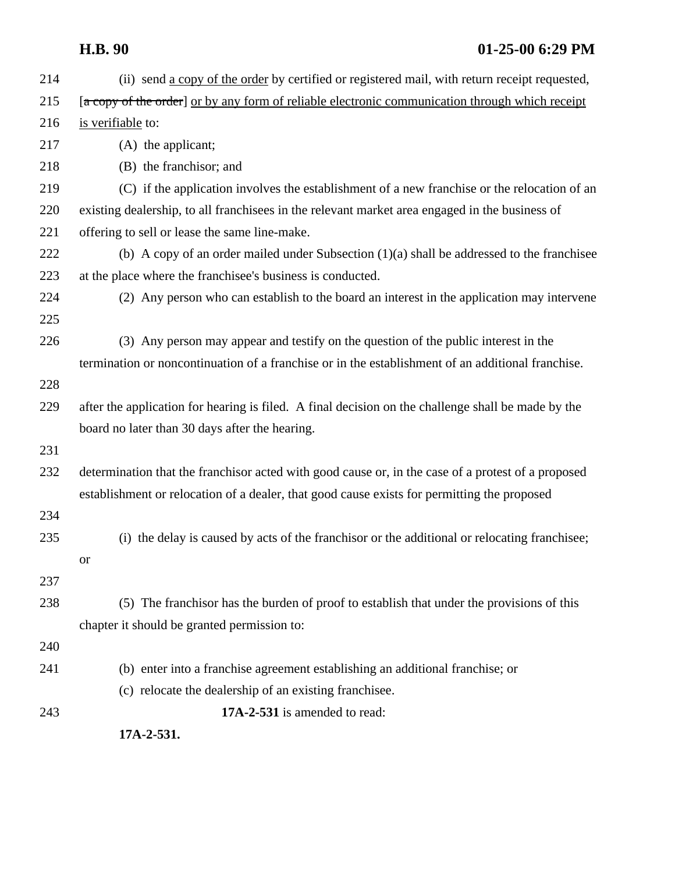| 214 | (ii) send a copy of the order by certified or registered mail, with return receipt requested,      |
|-----|----------------------------------------------------------------------------------------------------|
| 215 | [a copy of the order] or by any form of reliable electronic communication through which receipt    |
| 216 | is verifiable to:                                                                                  |
| 217 | (A) the applicant;                                                                                 |
| 218 | (B) the franchisor; and                                                                            |
| 219 | (C) if the application involves the establishment of a new franchise or the relocation of an       |
| 220 | existing dealership, to all franchisees in the relevant market area engaged in the business of     |
| 221 | offering to sell or lease the same line-make.                                                      |
| 222 | (b) A copy of an order mailed under Subsection $(1)(a)$ shall be addressed to the franchisee       |
| 223 | at the place where the franchises's business is conducted.                                         |
| 224 | (2) Any person who can establish to the board an interest in the application may intervene         |
| 225 |                                                                                                    |
| 226 | (3) Any person may appear and testify on the question of the public interest in the                |
|     | termination or noncontinuation of a franchise or in the establishment of an additional franchise.  |
| 228 |                                                                                                    |
| 229 | after the application for hearing is filed. A final decision on the challenge shall be made by the |
|     | board no later than 30 days after the hearing.                                                     |
| 231 |                                                                                                    |
| 232 | determination that the franchisor acted with good cause or, in the case of a protest of a proposed |
|     | establishment or relocation of a dealer, that good cause exists for permitting the proposed        |
| 234 |                                                                                                    |
| 235 | (i) the delay is caused by acts of the franchisor or the additional or relocating franchises;      |
|     | <b>or</b>                                                                                          |
| 237 |                                                                                                    |
| 238 | (5) The franchisor has the burden of proof to establish that under the provisions of this          |
|     | chapter it should be granted permission to:                                                        |
| 240 |                                                                                                    |
| 241 | (b) enter into a franchise agreement establishing an additional franchise; or                      |
|     | (c) relocate the dealership of an existing franchisee.                                             |
| 243 | 17A-2-531 is amended to read:                                                                      |
|     | 17A-2-531.                                                                                         |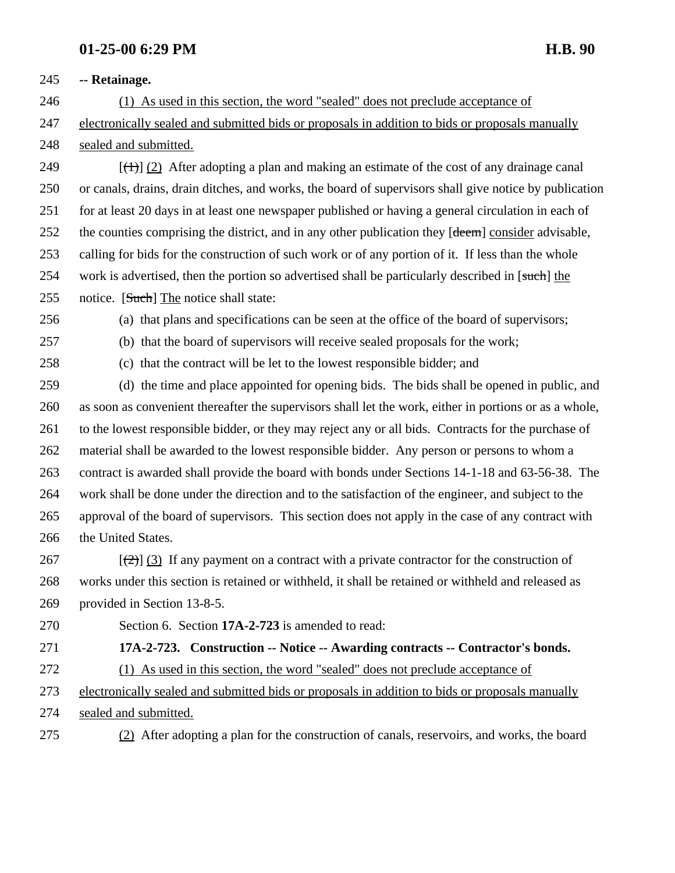### **-- Retainage.**

 (1) As used in this section, the word "sealed" does not preclude acceptance of electronically sealed and submitted bids or proposals in addition to bids or proposals manually sealed and submitted.

249  $\left[\left(\frac{1}{2}\right)\right]$  (2) After adopting a plan and making an estimate of the cost of any drainage canal or canals, drains, drain ditches, and works, the board of supervisors shall give notice by publication for at least 20 days in at least one newspaper published or having a general circulation in each of 252 the counties comprising the district, and in any other publication they [deem] consider advisable, calling for bids for the construction of such work or of any portion of it. If less than the whole 254 work is advertised, then the portion so advertised shall be particularly described in [such] the 255 notice. [Such] The notice shall state:

(a) that plans and specifications can be seen at the office of the board of supervisors;

(b) that the board of supervisors will receive sealed proposals for the work;

(c) that the contract will be let to the lowest responsible bidder; and

 (d) the time and place appointed for opening bids. The bids shall be opened in public, and as soon as convenient thereafter the supervisors shall let the work, either in portions or as a whole, to the lowest responsible bidder, or they may reject any or all bids. Contracts for the purchase of material shall be awarded to the lowest responsible bidder. Any person or persons to whom a contract is awarded shall provide the board with bonds under Sections 14-1-18 and 63-56-38. The work shall be done under the direction and to the satisfaction of the engineer, and subject to the approval of the board of supervisors. This section does not apply in the case of any contract with 266 the United States.

267  $[\frac{1}{2}]$  (3) If any payment on a contract with a private contractor for the construction of works under this section is retained or withheld, it shall be retained or withheld and released as provided in Section 13-8-5.

Section 6. Section **17A-2-723** is amended to read:

**17A-2-723. Construction -- Notice -- Awarding contracts -- Contractor's bonds.**

(1) As used in this section, the word "sealed" does not preclude acceptance of

 electronically sealed and submitted bids or proposals in addition to bids or proposals manually sealed and submitted.

(2) After adopting a plan for the construction of canals, reservoirs, and works, the board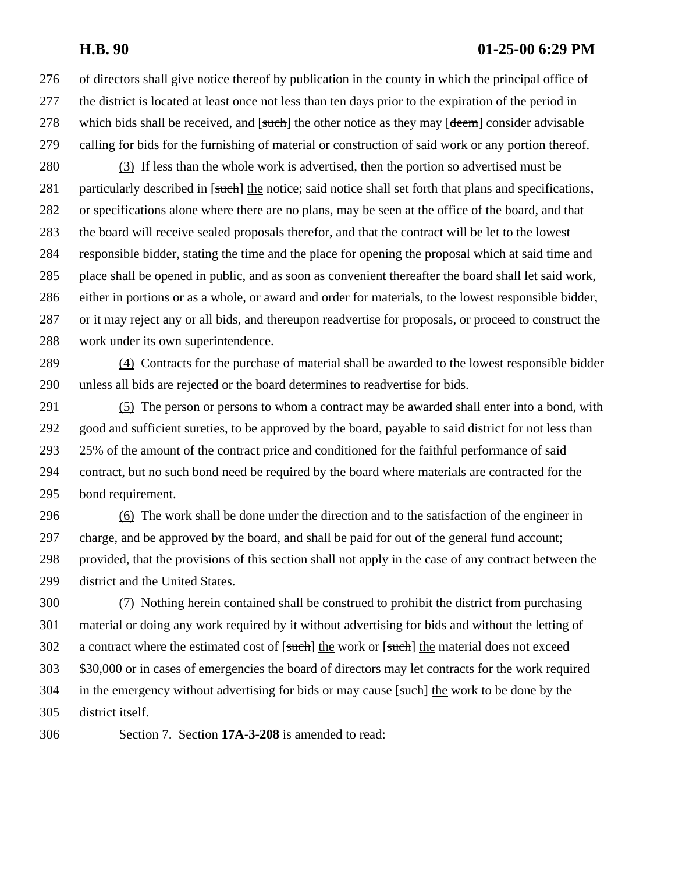of directors shall give notice thereof by publication in the county in which the principal office of the district is located at least once not less than ten days prior to the expiration of the period in 278 which bids shall be received, and [such] the other notice as they may [deem] consider advisable calling for bids for the furnishing of material or construction of said work or any portion thereof.

 (3) If less than the whole work is advertised, then the portion so advertised must be 281 particularly described in [such] the notice; said notice shall set forth that plans and specifications, or specifications alone where there are no plans, may be seen at the office of the board, and that the board will receive sealed proposals therefor, and that the contract will be let to the lowest responsible bidder, stating the time and the place for opening the proposal which at said time and place shall be opened in public, and as soon as convenient thereafter the board shall let said work, either in portions or as a whole, or award and order for materials, to the lowest responsible bidder, or it may reject any or all bids, and thereupon readvertise for proposals, or proceed to construct the work under its own superintendence.

 (4) Contracts for the purchase of material shall be awarded to the lowest responsible bidder unless all bids are rejected or the board determines to readvertise for bids.

 (5) The person or persons to whom a contract may be awarded shall enter into a bond, with good and sufficient sureties, to be approved by the board, payable to said district for not less than 25% of the amount of the contract price and conditioned for the faithful performance of said contract, but no such bond need be required by the board where materials are contracted for the bond requirement.

 (6) The work shall be done under the direction and to the satisfaction of the engineer in charge, and be approved by the board, and shall be paid for out of the general fund account; provided, that the provisions of this section shall not apply in the case of any contract between the district and the United States.

 (7) Nothing herein contained shall be construed to prohibit the district from purchasing material or doing any work required by it without advertising for bids and without the letting of 302 a contract where the estimated cost of [such] the work or [such] the material does not exceed \$30,000 or in cases of emergencies the board of directors may let contracts for the work required 304 in the emergency without advertising for bids or may cause [such] the work to be done by the district itself.

Section 7. Section **17A-3-208** is amended to read: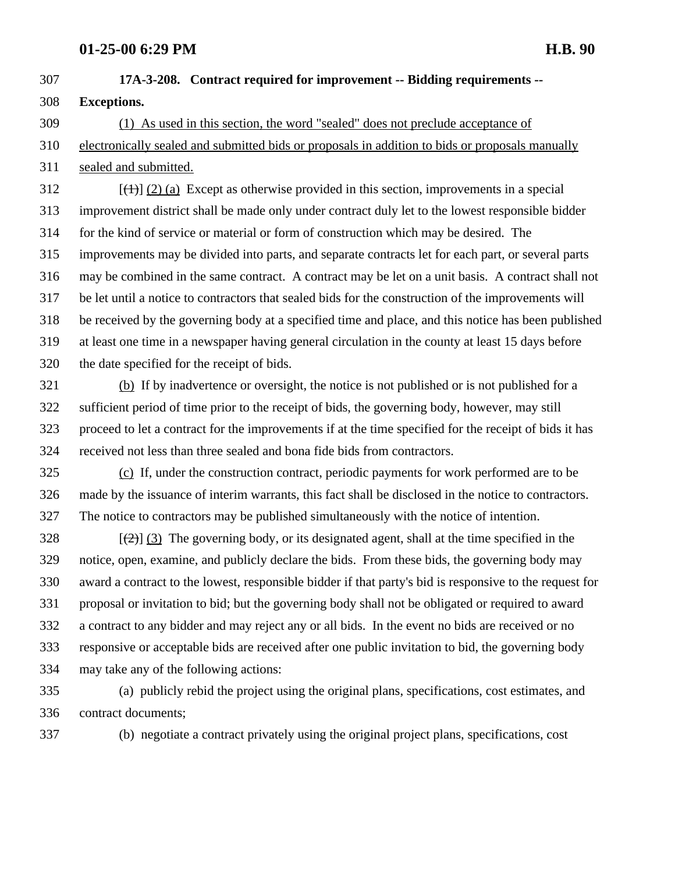**17A-3-208. Contract required for improvement -- Bidding requirements -- Exceptions.** (1) As used in this section, the word "sealed" does not preclude acceptance of

 electronically sealed and submitted bids or proposals in addition to bids or proposals manually sealed and submitted.

 [(1)] (2) (a) Except as otherwise provided in this section, improvements in a special improvement district shall be made only under contract duly let to the lowest responsible bidder for the kind of service or material or form of construction which may be desired. The improvements may be divided into parts, and separate contracts let for each part, or several parts may be combined in the same contract. A contract may be let on a unit basis. A contract shall not be let until a notice to contractors that sealed bids for the construction of the improvements will be received by the governing body at a specified time and place, and this notice has been published at least one time in a newspaper having general circulation in the county at least 15 days before the date specified for the receipt of bids.

 (b) If by inadvertence or oversight, the notice is not published or is not published for a sufficient period of time prior to the receipt of bids, the governing body, however, may still proceed to let a contract for the improvements if at the time specified for the receipt of bids it has received not less than three sealed and bona fide bids from contractors.

 (c) If, under the construction contract, periodic payments for work performed are to be made by the issuance of interim warrants, this fact shall be disclosed in the notice to contractors. The notice to contractors may be published simultaneously with the notice of intention.

 $\left[\frac{1}{2}\right]$  (3) The governing body, or its designated agent, shall at the time specified in the notice, open, examine, and publicly declare the bids. From these bids, the governing body may award a contract to the lowest, responsible bidder if that party's bid is responsive to the request for proposal or invitation to bid; but the governing body shall not be obligated or required to award a contract to any bidder and may reject any or all bids. In the event no bids are received or no responsive or acceptable bids are received after one public invitation to bid, the governing body may take any of the following actions:

 (a) publicly rebid the project using the original plans, specifications, cost estimates, and contract documents;

(b) negotiate a contract privately using the original project plans, specifications, cost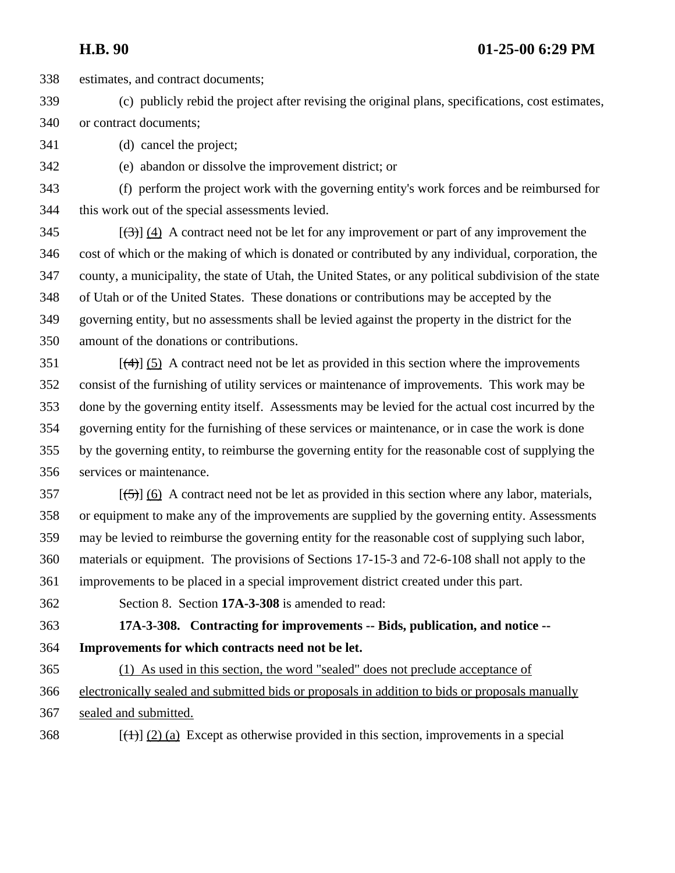estimates, and contract documents;

- (c) publicly rebid the project after revising the original plans, specifications, cost estimates, or contract documents;
- (d) cancel the project;
- (e) abandon or dissolve the improvement district; or

 (f) perform the project work with the governing entity's work forces and be reimbursed for this work out of the special assessments levied.

 $[345$  [(3)] (4) A contract need not be let for any improvement or part of any improvement the cost of which or the making of which is donated or contributed by any individual, corporation, the county, a municipality, the state of Utah, the United States, or any political subdivision of the state of Utah or of the United States. These donations or contributions may be accepted by the governing entity, but no assessments shall be levied against the property in the district for the amount of the donations or contributions.

 $[4]$  (5) A contract need not be let as provided in this section where the improvements consist of the furnishing of utility services or maintenance of improvements. This work may be done by the governing entity itself. Assessments may be levied for the actual cost incurred by the governing entity for the furnishing of these services or maintenance, or in case the work is done by the governing entity, to reimburse the governing entity for the reasonable cost of supplying the services or maintenance.

- [(5)] (6) A contract need not be let as provided in this section where any labor, materials, or equipment to make any of the improvements are supplied by the governing entity. Assessments may be levied to reimburse the governing entity for the reasonable cost of supplying such labor, materials or equipment. The provisions of Sections 17-15-3 and 72-6-108 shall not apply to the
- improvements to be placed in a special improvement district created under this part.
- Section 8. Section **17A-3-308** is amended to read:

 **17A-3-308. Contracting for improvements -- Bids, publication, and notice -- Improvements for which contracts need not be let.** 

 (1) As used in this section, the word "sealed" does not preclude acceptance of electronically sealed and submitted bids or proposals in addition to bids or proposals manually sealed and submitted.

[(1)] (2) (a) Except as otherwise provided in this section, improvements in a special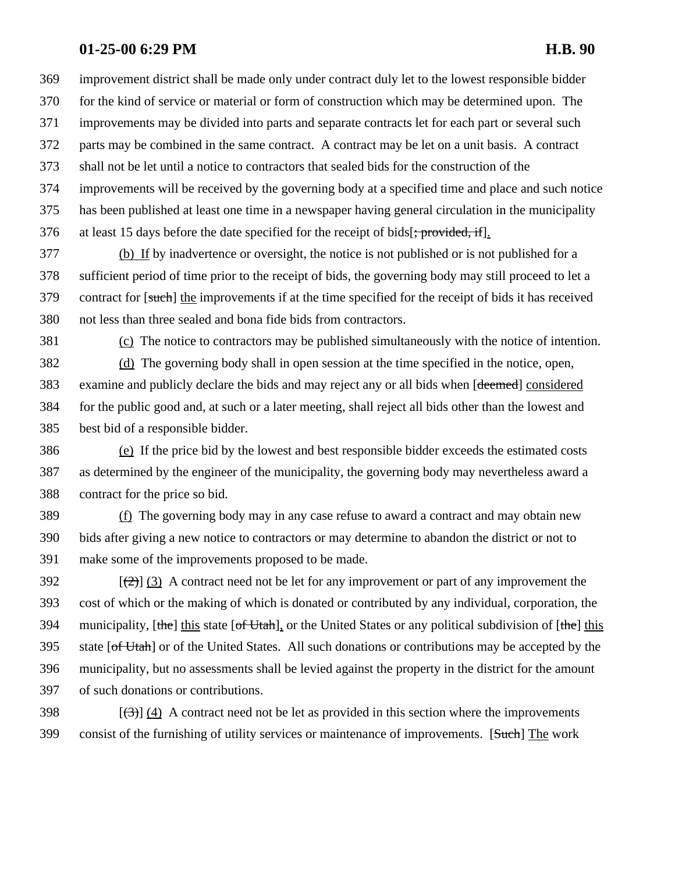improvement district shall be made only under contract duly let to the lowest responsible bidder for the kind of service or material or form of construction which may be determined upon. The improvements may be divided into parts and separate contracts let for each part or several such

parts may be combined in the same contract. A contract may be let on a unit basis. A contract

shall not be let until a notice to contractors that sealed bids for the construction of the

 improvements will be received by the governing body at a specified time and place and such notice has been published at least one time in a newspaper having general circulation in the municipality 376 at least 15 days before the date specified for the receipt of bids[; provided, if].

 (b) If by inadvertence or oversight, the notice is not published or is not published for a sufficient period of time prior to the receipt of bids, the governing body may still proceed to let a 379 contract for [such] the improvements if at the time specified for the receipt of bids it has received not less than three sealed and bona fide bids from contractors.

(c) The notice to contractors may be published simultaneously with the notice of intention.

 (d) The governing body shall in open session at the time specified in the notice, open, 383 examine and publicly declare the bids and may reject any or all bids when [deemed] considered for the public good and, at such or a later meeting, shall reject all bids other than the lowest and best bid of a responsible bidder.

 (e) If the price bid by the lowest and best responsible bidder exceeds the estimated costs as determined by the engineer of the municipality, the governing body may nevertheless award a contract for the price so bid.

 (f) The governing body may in any case refuse to award a contract and may obtain new bids after giving a new notice to contractors or may determine to abandon the district or not to make some of the improvements proposed to be made.

 $[392]$  [(2)] (3) A contract need not be let for any improvement or part of any improvement the cost of which or the making of which is donated or contributed by any individual, corporation, the 394 municipality, [the] this state [of Utah], or the United States or any political subdivision of [the] this 395 state  $[off-Ut<sub>ath</sub>]$  or of the United States. All such donations or contributions may be accepted by the municipality, but no assessments shall be levied against the property in the district for the amount of such donations or contributions.

398  $\left[\left(\frac{3}{2}\right)\right]$  (4) A contract need not be let as provided in this section where the improvements consist of the furnishing of utility services or maintenance of improvements. [Such] The work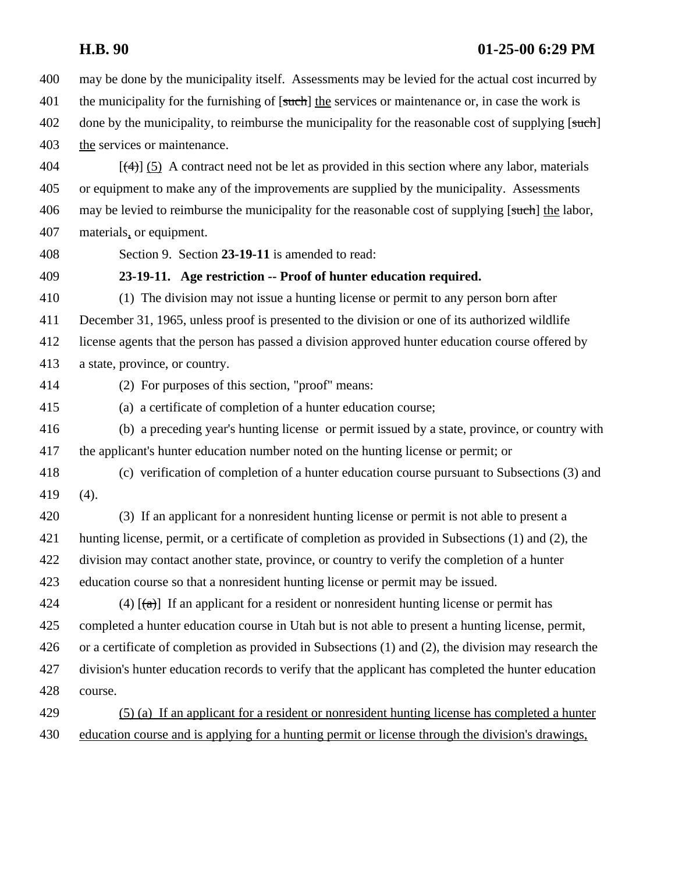may be done by the municipality itself. Assessments may be levied for the actual cost incurred by 401 the municipality for the furnishing of [such] the services or maintenance or, in case the work is 402 done by the municipality, to reimburse the municipality for the reasonable cost of supplying [such] 403 the services or maintenance.

 $(4)$  [(4)] (5) A contract need not be let as provided in this section where any labor, materials or equipment to make any of the improvements are supplied by the municipality. Assessments 406 may be levied to reimburse the municipality for the reasonable cost of supplying [such] the labor, materials, or equipment.

Section 9. Section **23-19-11** is amended to read:

## **23-19-11. Age restriction -- Proof of hunter education required.**

 (1) The division may not issue a hunting license or permit to any person born after December 31, 1965, unless proof is presented to the division or one of its authorized wildlife license agents that the person has passed a division approved hunter education course offered by a state, province, or country.

(2) For purposes of this section, "proof" means:

(a) a certificate of completion of a hunter education course;

 (b) a preceding year's hunting license or permit issued by a state, province, or country with the applicant's hunter education number noted on the hunting license or permit; or

 (c) verification of completion of a hunter education course pursuant to Subsections (3) and (4).

 (3) If an applicant for a nonresident hunting license or permit is not able to present a hunting license, permit, or a certificate of completion as provided in Subsections (1) and (2), the division may contact another state, province, or country to verify the completion of a hunter education course so that a nonresident hunting license or permit may be issued.

424 (4)  $\left[\frac{1}{(a)}\right]$  If an applicant for a resident or nonresident hunting license or permit has completed a hunter education course in Utah but is not able to present a hunting license, permit, or a certificate of completion as provided in Subsections (1) and (2), the division may research the division's hunter education records to verify that the applicant has completed the hunter education course.

 (5) (a) If an applicant for a resident or nonresident hunting license has completed a hunter education course and is applying for a hunting permit or license through the division's drawings,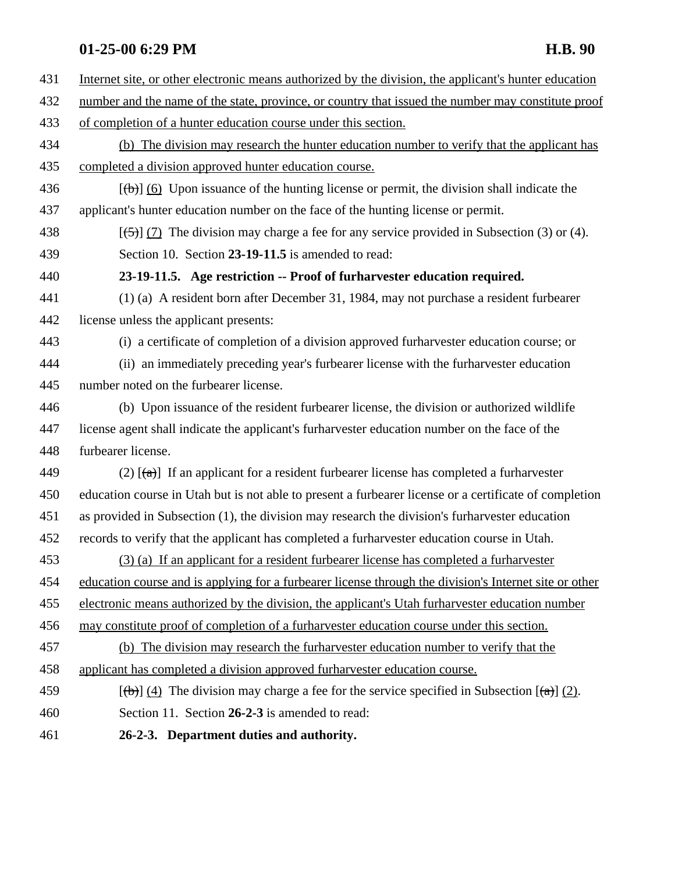| 431 | Internet site, or other electronic means authorized by the division, the applicant's hunter education           |
|-----|-----------------------------------------------------------------------------------------------------------------|
| 432 | number and the name of the state, province, or country that issued the number may constitute proof              |
| 433 | of completion of a hunter education course under this section.                                                  |
| 434 | (b) The division may research the hunter education number to verify that the applicant has                      |
| 435 | completed a division approved hunter education course.                                                          |
| 436 | $[\langle \theta \rangle]$ (6) Upon issuance of the hunting license or permit, the division shall indicate the  |
| 437 | applicant's hunter education number on the face of the hunting license or permit.                               |
| 438 | $[\frac{(-5)}{7}]$ The division may charge a fee for any service provided in Subsection (3) or (4).             |
| 439 | Section 10. Section 23-19-11.5 is amended to read:                                                              |
| 440 | 23-19-11.5. Age restriction -- Proof of furharvester education required.                                        |
| 441 | (1) (a) A resident born after December 31, 1984, may not purchase a resident furbearer                          |
| 442 | license unless the applicant presents:                                                                          |
| 443 | (i) a certificate of completion of a division approved furtharvester education course; or                       |
| 444 | (ii) an immediately preceding year's furbearer license with the furbary ester education                         |
| 445 | number noted on the furbearer license.                                                                          |
| 446 | (b) Upon issuance of the resident furbearer license, the division or authorized wildlife                        |
| 447 | license agent shall indicate the applicant's furharvester education number on the face of the                   |
| 448 | furbearer license.                                                                                              |
| 449 | (2) $\left[\frac{1}{(a)}\right]$ If an applicant for a resident furbearer license has completed a furtharvester |
| 450 | education course in Utah but is not able to present a furbearer license or a certificate of completion          |
| 451 | as provided in Subsection (1), the division may research the division's furharvester education                  |
| 452 | records to verify that the applicant has completed a furharvester education course in Utah.                     |
| 453 | (3) (a) If an applicant for a resident furbearer license has completed a furharvester                           |
| 454 | education course and is applying for a furbearer license through the division's Internet site or other          |
| 455 | electronic means authorized by the division, the applicant's Utah further vester education number               |
| 456 | may constitute proof of completion of a furtharvester education course under this section.                      |
| 457 | (b) The division may research the furtharvester education number to verify that the                             |
| 458 | applicant has completed a division approved furthanvester education course.                                     |
| 459 | $[\phi]$ (4) The division may charge a fee for the service specified in Subsection $[\phi]$ (2).                |
| 460 | Section 11. Section 26-2-3 is amended to read:                                                                  |
| 461 | 26-2-3. Department duties and authority.                                                                        |
|     |                                                                                                                 |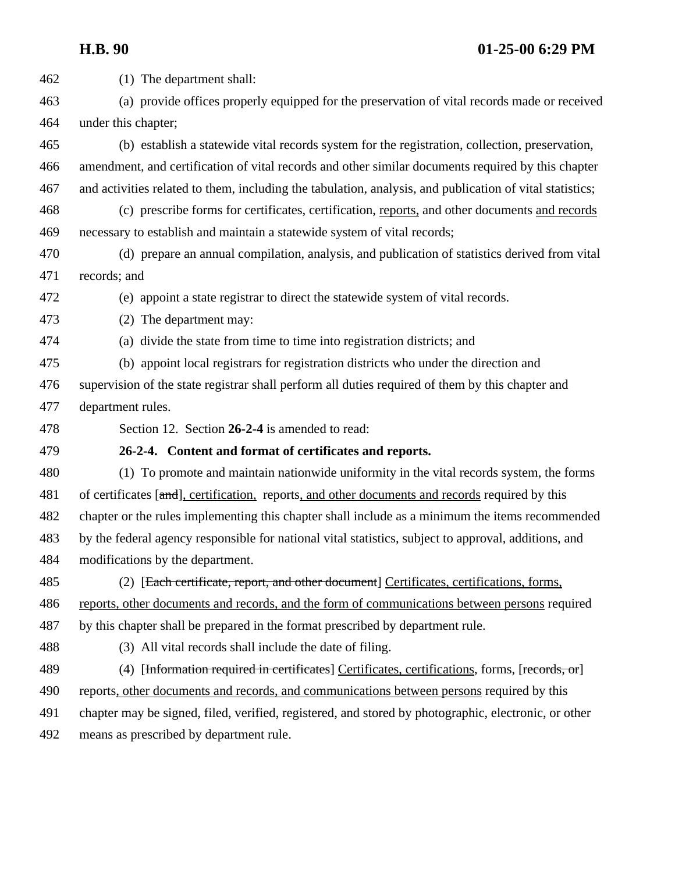(1) The department shall: (a) provide offices properly equipped for the preservation of vital records made or received under this chapter; (b) establish a statewide vital records system for the registration, collection, preservation, amendment, and certification of vital records and other similar documents required by this chapter and activities related to them, including the tabulation, analysis, and publication of vital statistics; (c) prescribe forms for certificates, certification, reports, and other documents and records necessary to establish and maintain a statewide system of vital records; (d) prepare an annual compilation, analysis, and publication of statistics derived from vital records; and (e) appoint a state registrar to direct the statewide system of vital records. (2) The department may: (a) divide the state from time to time into registration districts; and (b) appoint local registrars for registration districts who under the direction and supervision of the state registrar shall perform all duties required of them by this chapter and department rules. Section 12. Section **26-2-4** is amended to read: **26-2-4. Content and format of certificates and reports.**  (1) To promote and maintain nationwide uniformity in the vital records system, the forms 481 of certificates [and], certification, reports, and other documents and records required by this chapter or the rules implementing this chapter shall include as a minimum the items recommended by the federal agency responsible for national vital statistics, subject to approval, additions, and modifications by the department. 485 (2) [Each certificate, report, and other document] Certificates, certifications, forms, reports, other documents and records, and the form of communications between persons required by this chapter shall be prepared in the format prescribed by department rule. (3) All vital records shall include the date of filing. 489 (4) [Information required in certificates] Certificates, certifications, forms, [records, or] reports, other documents and records, and communications between persons required by this chapter may be signed, filed, verified, registered, and stored by photographic, electronic, or other means as prescribed by department rule.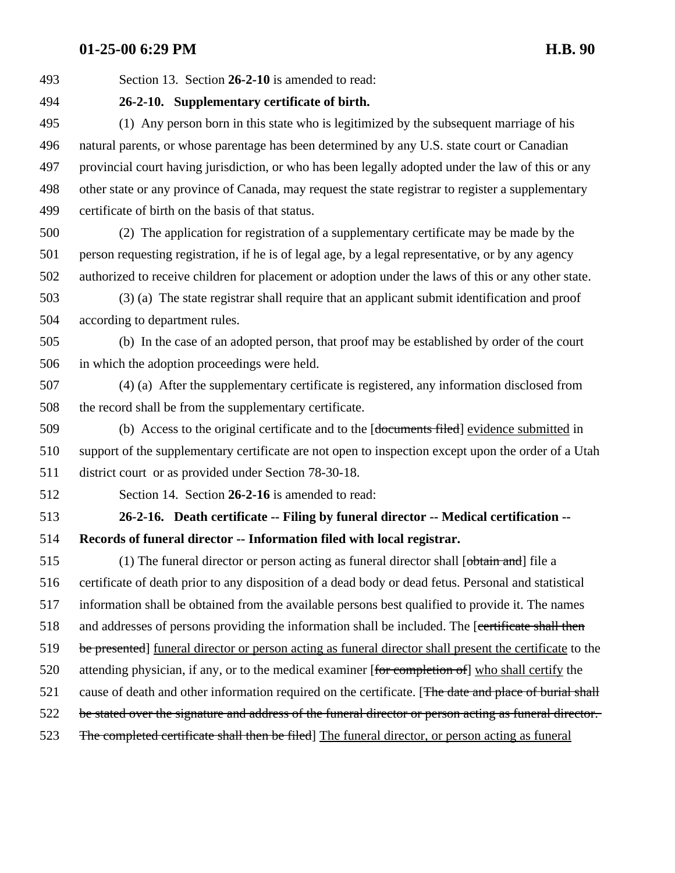Section 13. Section **26-2-10** is amended to read:

**26-2-10. Supplementary certificate of birth.** 

 (1) Any person born in this state who is legitimized by the subsequent marriage of his natural parents, or whose parentage has been determined by any U.S. state court or Canadian provincial court having jurisdiction, or who has been legally adopted under the law of this or any other state or any province of Canada, may request the state registrar to register a supplementary certificate of birth on the basis of that status.

 (2) The application for registration of a supplementary certificate may be made by the person requesting registration, if he is of legal age, by a legal representative, or by any agency authorized to receive children for placement or adoption under the laws of this or any other state.

 (3) (a) The state registrar shall require that an applicant submit identification and proof according to department rules.

 (b) In the case of an adopted person, that proof may be established by order of the court in which the adoption proceedings were held.

 (4) (a) After the supplementary certificate is registered, any information disclosed from the record shall be from the supplementary certificate.

 (b) Access to the original certificate and to the [documents filed] evidence submitted in support of the supplementary certificate are not open to inspection except upon the order of a Utah district court or as provided under Section 78-30-18.

Section 14. Section **26-2-16** is amended to read:

 **26-2-16. Death certificate -- Filing by funeral director -- Medical certification -- Records of funeral director -- Information filed with local registrar.** 

515 (1) The funeral director or person acting as funeral director shall [obtain and] file a certificate of death prior to any disposition of a dead body or dead fetus. Personal and statistical information shall be obtained from the available persons best qualified to provide it. The names 518 and addresses of persons providing the information shall be included. The [certificate shall then 519 be presented] funeral director or person acting as funeral director shall present the certificate to the 520 attending physician, if any, or to the medical examiner [for completion of] who shall certify the 521 cause of death and other information required on the certificate. [The date and place of burial shall 522 be stated over the signature and address of the funeral director or person acting as funeral director. 523 The completed certificate shall then be filed] The funeral director, or person acting as funeral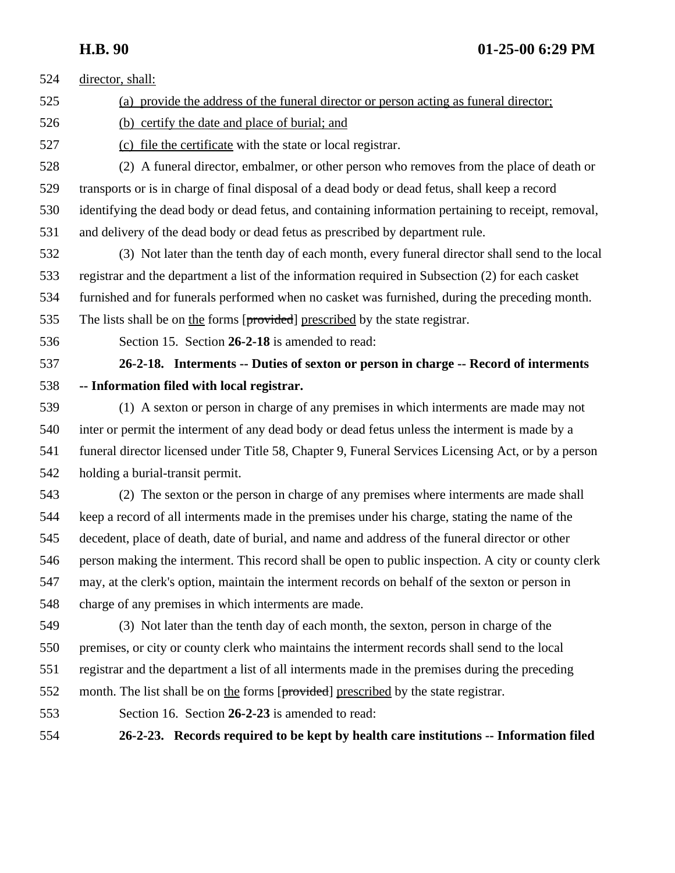director, shall: (a) provide the address of the funeral director or person acting as funeral director; (b) certify the date and place of burial; and (c) file the certificate with the state or local registrar. (2) A funeral director, embalmer, or other person who removes from the place of death or transports or is in charge of final disposal of a dead body or dead fetus, shall keep a record identifying the dead body or dead fetus, and containing information pertaining to receipt, removal, and delivery of the dead body or dead fetus as prescribed by department rule. (3) Not later than the tenth day of each month, every funeral director shall send to the local registrar and the department a list of the information required in Subsection (2) for each casket furnished and for funerals performed when no casket was furnished, during the preceding month. 535 The lists shall be on the forms [provided] prescribed by the state registrar. Section 15. Section **26-2-18** is amended to read: **26-2-18. Interments -- Duties of sexton or person in charge -- Record of interments -- Information filed with local registrar.**  (1) A sexton or person in charge of any premises in which interments are made may not inter or permit the interment of any dead body or dead fetus unless the interment is made by a funeral director licensed under Title 58, Chapter 9, Funeral Services Licensing Act, or by a person holding a burial-transit permit. (2) The sexton or the person in charge of any premises where interments are made shall keep a record of all interments made in the premises under his charge, stating the name of the decedent, place of death, date of burial, and name and address of the funeral director or other person making the interment. This record shall be open to public inspection. A city or county clerk may, at the clerk's option, maintain the interment records on behalf of the sexton or person in charge of any premises in which interments are made. (3) Not later than the tenth day of each month, the sexton, person in charge of the premises, or city or county clerk who maintains the interment records shall send to the local registrar and the department a list of all interments made in the premises during the preceding month. The list shall be on the forms [provided] prescribed by the state registrar. Section 16. Section **26-2-23** is amended to read: **26-2-23. Records required to be kept by health care institutions -- Information filed**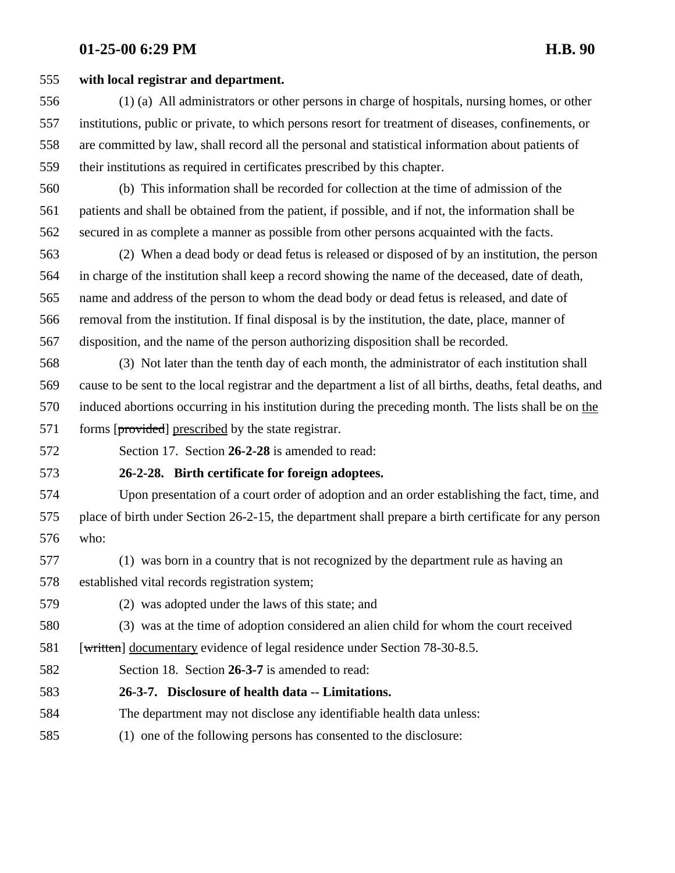### **with local registrar and department.**

 (1) (a) All administrators or other persons in charge of hospitals, nursing homes, or other institutions, public or private, to which persons resort for treatment of diseases, confinements, or are committed by law, shall record all the personal and statistical information about patients of their institutions as required in certificates prescribed by this chapter.

- (b) This information shall be recorded for collection at the time of admission of the patients and shall be obtained from the patient, if possible, and if not, the information shall be secured in as complete a manner as possible from other persons acquainted with the facts.
- (2) When a dead body or dead fetus is released or disposed of by an institution, the person in charge of the institution shall keep a record showing the name of the deceased, date of death, name and address of the person to whom the dead body or dead fetus is released, and date of removal from the institution. If final disposal is by the institution, the date, place, manner of disposition, and the name of the person authorizing disposition shall be recorded.

 (3) Not later than the tenth day of each month, the administrator of each institution shall cause to be sent to the local registrar and the department a list of all births, deaths, fetal deaths, and induced abortions occurring in his institution during the preceding month. The lists shall be on the 571 forms [provided] prescribed by the state registrar.

Section 17. Section **26-2-28** is amended to read:

# **26-2-28. Birth certificate for foreign adoptees.**

 Upon presentation of a court order of adoption and an order establishing the fact, time, and place of birth under Section 26-2-15, the department shall prepare a birth certificate for any person who:

 (1) was born in a country that is not recognized by the department rule as having an established vital records registration system;

(2) was adopted under the laws of this state; and

(3) was at the time of adoption considered an alien child for whom the court received

581 [written] documentary evidence of legal residence under Section 78-30-8.5.

Section 18. Section **26-3-7** is amended to read:

- **26-3-7. Disclosure of health data -- Limitations.**
- The department may not disclose any identifiable health data unless:
- (1) one of the following persons has consented to the disclosure: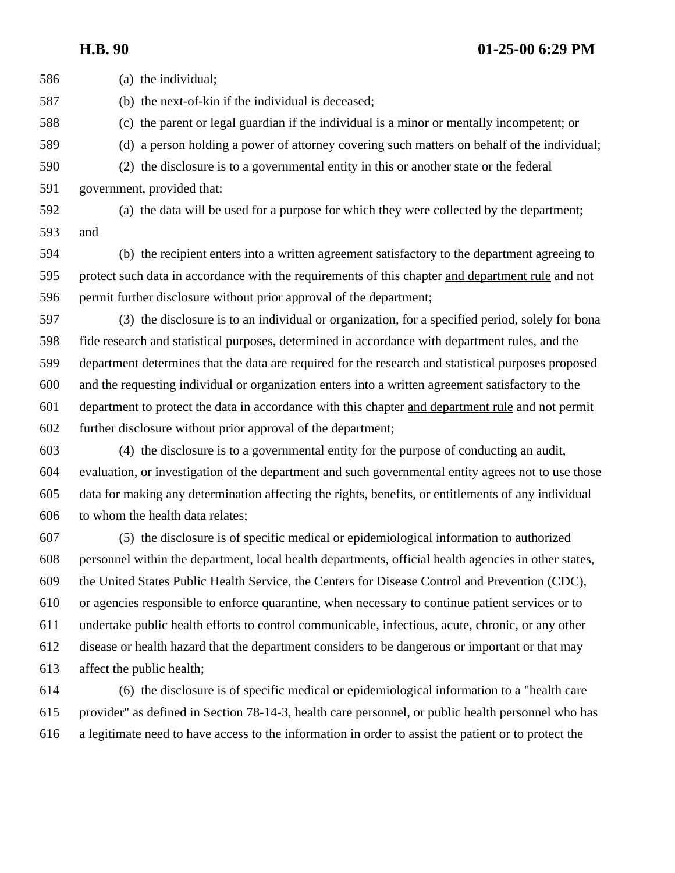(a) the individual; (b) the next-of-kin if the individual is deceased; (c) the parent or legal guardian if the individual is a minor or mentally incompetent; or (d) a person holding a power of attorney covering such matters on behalf of the individual; (2) the disclosure is to a governmental entity in this or another state or the federal government, provided that: (a) the data will be used for a purpose for which they were collected by the department; and (b) the recipient enters into a written agreement satisfactory to the department agreeing to protect such data in accordance with the requirements of this chapter and department rule and not permit further disclosure without prior approval of the department; (3) the disclosure is to an individual or organization, for a specified period, solely for bona fide research and statistical purposes, determined in accordance with department rules, and the department determines that the data are required for the research and statistical purposes proposed and the requesting individual or organization enters into a written agreement satisfactory to the department to protect the data in accordance with this chapter and department rule and not permit further disclosure without prior approval of the department;

 (4) the disclosure is to a governmental entity for the purpose of conducting an audit, evaluation, or investigation of the department and such governmental entity agrees not to use those data for making any determination affecting the rights, benefits, or entitlements of any individual to whom the health data relates;

 (5) the disclosure is of specific medical or epidemiological information to authorized personnel within the department, local health departments, official health agencies in other states, the United States Public Health Service, the Centers for Disease Control and Prevention (CDC), or agencies responsible to enforce quarantine, when necessary to continue patient services or to undertake public health efforts to control communicable, infectious, acute, chronic, or any other disease or health hazard that the department considers to be dangerous or important or that may affect the public health;

 (6) the disclosure is of specific medical or epidemiological information to a "health care provider" as defined in Section 78-14-3, health care personnel, or public health personnel who has a legitimate need to have access to the information in order to assist the patient or to protect the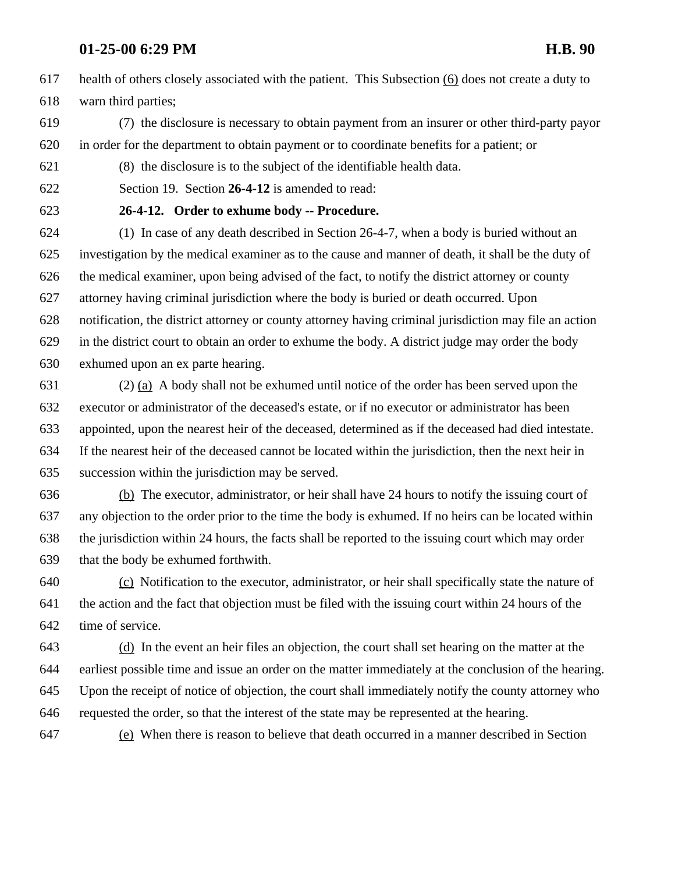health of others closely associated with the patient. This Subsection (6) does not create a duty to warn third parties;

 (7) the disclosure is necessary to obtain payment from an insurer or other third-party payor in order for the department to obtain payment or to coordinate benefits for a patient; or

(8) the disclosure is to the subject of the identifiable health data.

Section 19. Section **26-4-12** is amended to read:

### **26-4-12. Order to exhume body -- Procedure.**

 (1) In case of any death described in Section 26-4-7, when a body is buried without an investigation by the medical examiner as to the cause and manner of death, it shall be the duty of the medical examiner, upon being advised of the fact, to notify the district attorney or county attorney having criminal jurisdiction where the body is buried or death occurred. Upon notification, the district attorney or county attorney having criminal jurisdiction may file an action in the district court to obtain an order to exhume the body. A district judge may order the body exhumed upon an ex parte hearing.

 (2) (a) A body shall not be exhumed until notice of the order has been served upon the executor or administrator of the deceased's estate, or if no executor or administrator has been appointed, upon the nearest heir of the deceased, determined as if the deceased had died intestate. If the nearest heir of the deceased cannot be located within the jurisdiction, then the next heir in succession within the jurisdiction may be served.

 (b) The executor, administrator, or heir shall have 24 hours to notify the issuing court of any objection to the order prior to the time the body is exhumed. If no heirs can be located within the jurisdiction within 24 hours, the facts shall be reported to the issuing court which may order that the body be exhumed forthwith.

 (c) Notification to the executor, administrator, or heir shall specifically state the nature of the action and the fact that objection must be filed with the issuing court within 24 hours of the time of service.

 (d) In the event an heir files an objection, the court shall set hearing on the matter at the earliest possible time and issue an order on the matter immediately at the conclusion of the hearing. Upon the receipt of notice of objection, the court shall immediately notify the county attorney who requested the order, so that the interest of the state may be represented at the hearing.

(e) When there is reason to believe that death occurred in a manner described in Section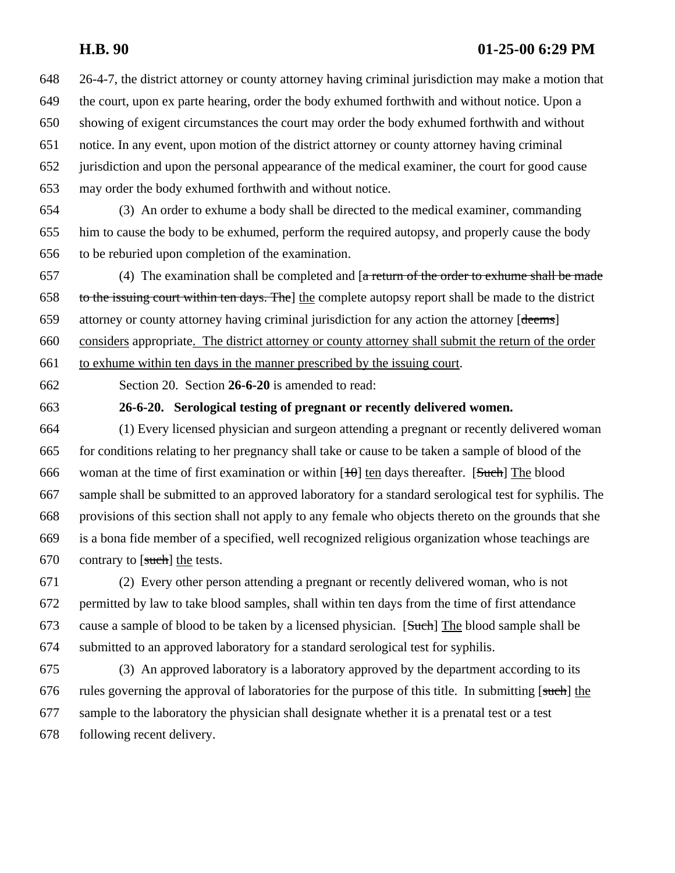26-4-7, the district attorney or county attorney having criminal jurisdiction may make a motion that the court, upon ex parte hearing, order the body exhumed forthwith and without notice. Upon a showing of exigent circumstances the court may order the body exhumed forthwith and without notice. In any event, upon motion of the district attorney or county attorney having criminal jurisdiction and upon the personal appearance of the medical examiner, the court for good cause may order the body exhumed forthwith and without notice.

 (3) An order to exhume a body shall be directed to the medical examiner, commanding him to cause the body to be exhumed, perform the required autopsy, and properly cause the body to be reburied upon completion of the examination.

657 (4) The examination shall be completed and  $\left[ \text{a} \right]$  return of the order to exhume shall be made 658 to the issuing court within ten days. The l the complete autopsy report shall be made to the district 659 attorney or county attorney having criminal jurisdiction for any action the attorney [deems] considers appropriate. The district attorney or county attorney shall submit the return of the order to exhume within ten days in the manner prescribed by the issuing court.

Section 20. Section **26-6-20** is amended to read:

**26-6-20. Serological testing of pregnant or recently delivered women.** 

 (1) Every licensed physician and surgeon attending a pregnant or recently delivered woman for conditions relating to her pregnancy shall take or cause to be taken a sample of blood of the 666 woman at the time of first examination or within  $[10]$  ten days thereafter. [Such] The blood sample shall be submitted to an approved laboratory for a standard serological test for syphilis. The provisions of this section shall not apply to any female who objects thereto on the grounds that she is a bona fide member of a specified, well recognized religious organization whose teachings are 670 contrary to  $\lceil \text{such} \rceil$  the tests.

 (2) Every other person attending a pregnant or recently delivered woman, who is not permitted by law to take blood samples, shall within ten days from the time of first attendance 673 cause a sample of blood to be taken by a licensed physician. [Such] The blood sample shall be submitted to an approved laboratory for a standard serological test for syphilis.

 (3) An approved laboratory is a laboratory approved by the department according to its 676 rules governing the approval of laboratories for the purpose of this title. In submitting [such] the sample to the laboratory the physician shall designate whether it is a prenatal test or a test following recent delivery.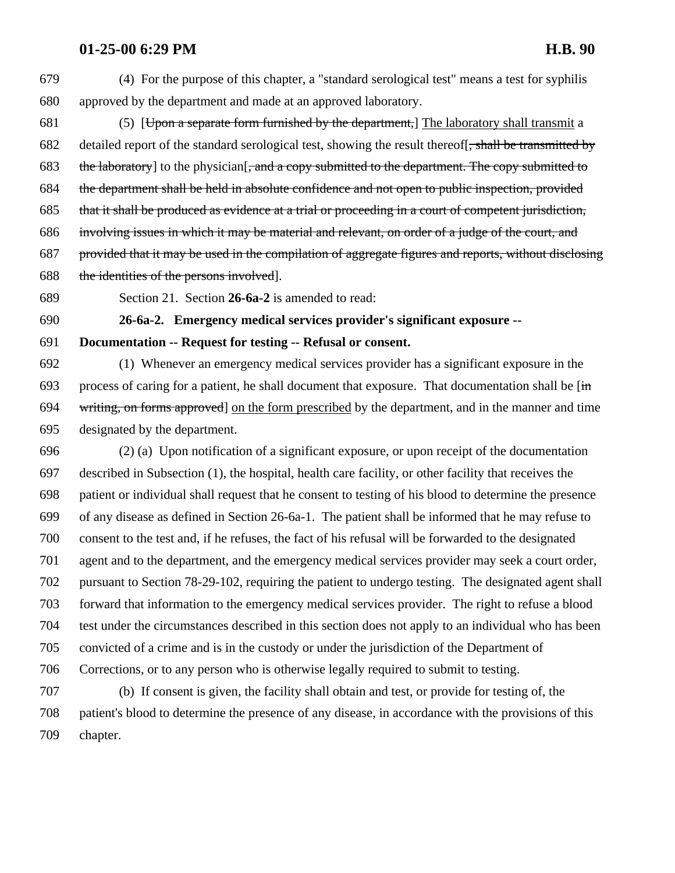(4) For the purpose of this chapter, a "standard serological test" means a test for syphilis approved by the department and made at an approved laboratory.

 (5) [Upon a separate form furnished by the department,] The laboratory shall transmit a 682 detailed report of the standard serological test, showing the result thereof. shall be transmitted by 683 the laboratory] to the physician[, and a copy submitted to the department. The copy submitted to the department shall be held in absolute confidence and not open to public inspection, provided that it shall be produced as evidence at a trial or proceeding in a court of competent jurisdiction, involving issues in which it may be material and relevant, on order of a judge of the court, and provided that it may be used in the compilation of aggregate figures and reports, without disclosing 688 the identities of the persons involved.

Section 21. Section **26-6a-2** is amended to read:

### **26-6a-2. Emergency medical services provider's significant exposure --**

**Documentation -- Request for testing -- Refusal or consent.**

 (1) Whenever an emergency medical services provider has a significant exposure in the 693 process of caring for a patient, he shall document that exposure. That documentation shall be  $[\mathbf{in}]$  writing, on forms approved] on the form prescribed by the department, and in the manner and time designated by the department.

 (2) (a) Upon notification of a significant exposure, or upon receipt of the documentation described in Subsection (1), the hospital, health care facility, or other facility that receives the patient or individual shall request that he consent to testing of his blood to determine the presence of any disease as defined in Section 26-6a-1. The patient shall be informed that he may refuse to consent to the test and, if he refuses, the fact of his refusal will be forwarded to the designated agent and to the department, and the emergency medical services provider may seek a court order, pursuant to Section 78-29-102, requiring the patient to undergo testing. The designated agent shall forward that information to the emergency medical services provider. The right to refuse a blood test under the circumstances described in this section does not apply to an individual who has been convicted of a crime and is in the custody or under the jurisdiction of the Department of Corrections, or to any person who is otherwise legally required to submit to testing.

 (b) If consent is given, the facility shall obtain and test, or provide for testing of, the patient's blood to determine the presence of any disease, in accordance with the provisions of this chapter.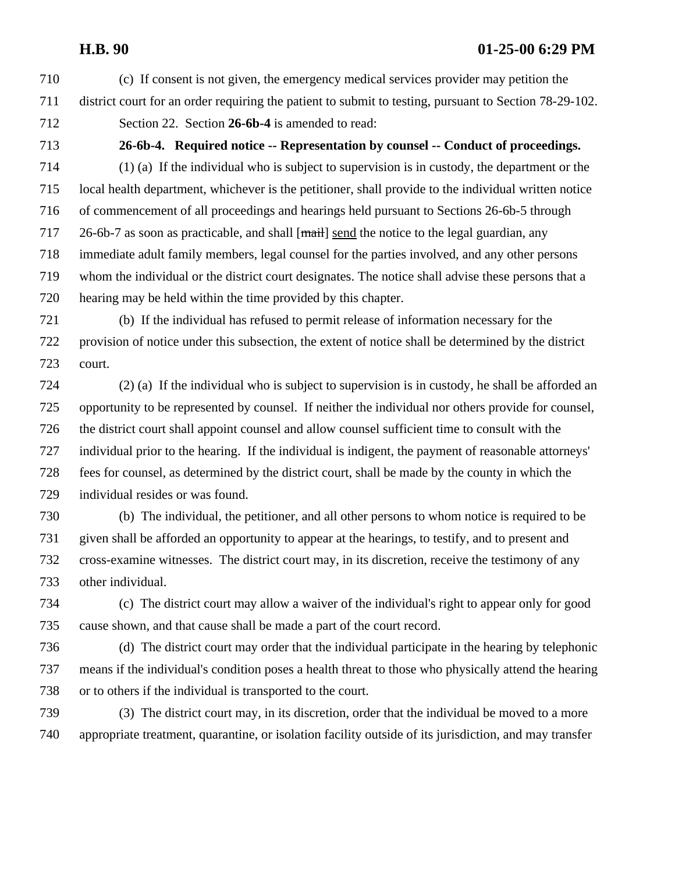- (c) If consent is not given, the emergency medical services provider may petition the district court for an order requiring the patient to submit to testing, pursuant to Section 78-29-102.
- Section 22. Section **26-6b-4** is amended to read:

**26-6b-4. Required notice -- Representation by counsel -- Conduct of proceedings.**

 (1) (a) If the individual who is subject to supervision is in custody, the department or the local health department, whichever is the petitioner, shall provide to the individual written notice of commencement of all proceedings and hearings held pursuant to Sections 26-6b-5 through 717 26-6b-7 as soon as practicable, and shall [mail] send the notice to the legal guardian, any immediate adult family members, legal counsel for the parties involved, and any other persons whom the individual or the district court designates. The notice shall advise these persons that a hearing may be held within the time provided by this chapter.

 (b) If the individual has refused to permit release of information necessary for the provision of notice under this subsection, the extent of notice shall be determined by the district court.

 (2) (a) If the individual who is subject to supervision is in custody, he shall be afforded an opportunity to be represented by counsel. If neither the individual nor others provide for counsel, the district court shall appoint counsel and allow counsel sufficient time to consult with the individual prior to the hearing. If the individual is indigent, the payment of reasonable attorneys' fees for counsel, as determined by the district court, shall be made by the county in which the individual resides or was found.

 (b) The individual, the petitioner, and all other persons to whom notice is required to be given shall be afforded an opportunity to appear at the hearings, to testify, and to present and cross-examine witnesses. The district court may, in its discretion, receive the testimony of any other individual.

 (c) The district court may allow a waiver of the individual's right to appear only for good cause shown, and that cause shall be made a part of the court record.

 (d) The district court may order that the individual participate in the hearing by telephonic means if the individual's condition poses a health threat to those who physically attend the hearing or to others if the individual is transported to the court.

 (3) The district court may, in its discretion, order that the individual be moved to a more appropriate treatment, quarantine, or isolation facility outside of its jurisdiction, and may transfer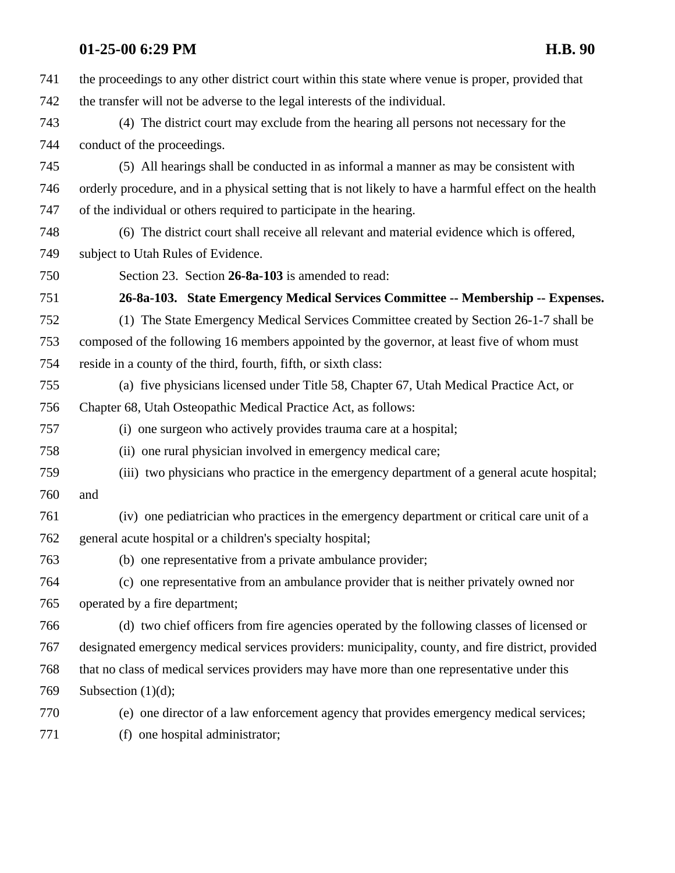the proceedings to any other district court within this state where venue is proper, provided that the transfer will not be adverse to the legal interests of the individual. (4) The district court may exclude from the hearing all persons not necessary for the conduct of the proceedings. (5) All hearings shall be conducted in as informal a manner as may be consistent with orderly procedure, and in a physical setting that is not likely to have a harmful effect on the health of the individual or others required to participate in the hearing. (6) The district court shall receive all relevant and material evidence which is offered, subject to Utah Rules of Evidence. Section 23. Section **26-8a-103** is amended to read: **26-8a-103. State Emergency Medical Services Committee -- Membership -- Expenses.** (1) The State Emergency Medical Services Committee created by Section 26-1-7 shall be composed of the following 16 members appointed by the governor, at least five of whom must reside in a county of the third, fourth, fifth, or sixth class: (a) five physicians licensed under Title 58, Chapter 67, Utah Medical Practice Act, or Chapter 68, Utah Osteopathic Medical Practice Act, as follows: (i) one surgeon who actively provides trauma care at a hospital; (ii) one rural physician involved in emergency medical care; (iii) two physicians who practice in the emergency department of a general acute hospital; and (iv) one pediatrician who practices in the emergency department or critical care unit of a general acute hospital or a children's specialty hospital; (b) one representative from a private ambulance provider; (c) one representative from an ambulance provider that is neither privately owned nor operated by a fire department; (d) two chief officers from fire agencies operated by the following classes of licensed or designated emergency medical services providers: municipality, county, and fire district, provided that no class of medical services providers may have more than one representative under this 769 Subsection (1)(d); (e) one director of a law enforcement agency that provides emergency medical services; (f) one hospital administrator;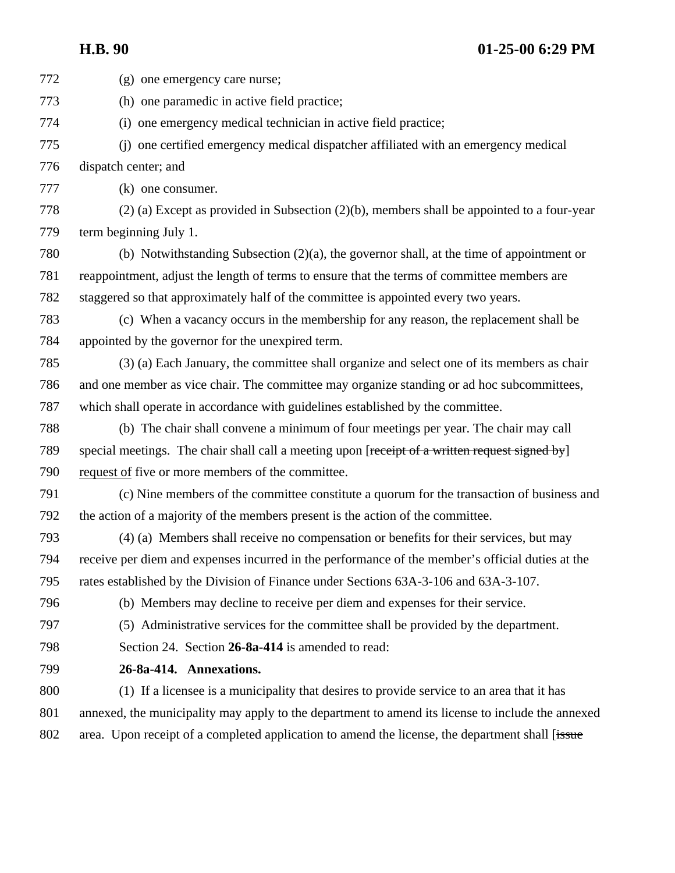(g) one emergency care nurse; (h) one paramedic in active field practice; (i) one emergency medical technician in active field practice; (j) one certified emergency medical dispatcher affiliated with an emergency medical dispatch center; and (k) one consumer. (2) (a) Except as provided in Subsection (2)(b), members shall be appointed to a four-year term beginning July 1. (b) Notwithstanding Subsection (2)(a), the governor shall, at the time of appointment or reappointment, adjust the length of terms to ensure that the terms of committee members are staggered so that approximately half of the committee is appointed every two years. (c) When a vacancy occurs in the membership for any reason, the replacement shall be appointed by the governor for the unexpired term. (3) (a) Each January, the committee shall organize and select one of its members as chair and one member as vice chair. The committee may organize standing or ad hoc subcommittees, which shall operate in accordance with guidelines established by the committee. (b) The chair shall convene a minimum of four meetings per year. The chair may call 789 special meetings. The chair shall call a meeting upon [receipt of a written request signed by] request of five or more members of the committee. (c) Nine members of the committee constitute a quorum for the transaction of business and the action of a majority of the members present is the action of the committee. (4) (a) Members shall receive no compensation or benefits for their services, but may receive per diem and expenses incurred in the performance of the member's official duties at the rates established by the Division of Finance under Sections 63A-3-106 and 63A-3-107. (b) Members may decline to receive per diem and expenses for their service. (5) Administrative services for the committee shall be provided by the department. Section 24. Section **26-8a-414** is amended to read: **26-8a-414. Annexations.** (1) If a licensee is a municipality that desires to provide service to an area that it has annexed, the municipality may apply to the department to amend its license to include the annexed 802 area. Upon receipt of a completed application to amend the license, the department shall [issue]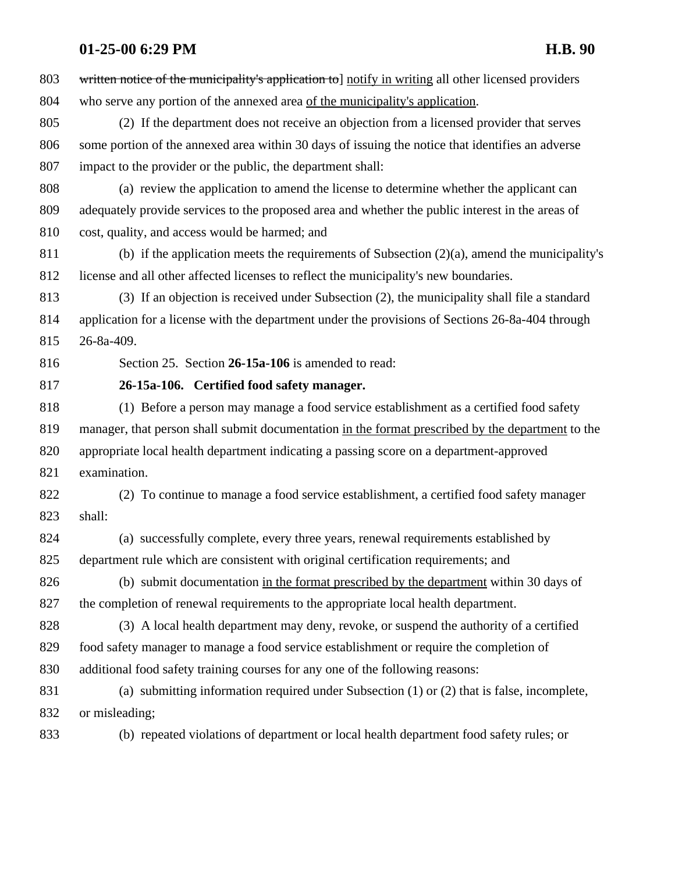803 written notice of the municipality's application to notify in writing all other licensed providers who serve any portion of the annexed area of the municipality's application. (2) If the department does not receive an objection from a licensed provider that serves some portion of the annexed area within 30 days of issuing the notice that identifies an adverse impact to the provider or the public, the department shall: (a) review the application to amend the license to determine whether the applicant can adequately provide services to the proposed area and whether the public interest in the areas of cost, quality, and access would be harmed; and 811 (b) if the application meets the requirements of Subsection  $(2)(a)$ , amend the municipality's license and all other affected licenses to reflect the municipality's new boundaries. (3) If an objection is received under Subsection (2), the municipality shall file a standard application for a license with the department under the provisions of Sections 26-8a-404 through 26-8a-409. Section 25. Section **26-15a-106** is amended to read: **26-15a-106. Certified food safety manager.** (1) Before a person may manage a food service establishment as a certified food safety manager, that person shall submit documentation in the format prescribed by the department to the appropriate local health department indicating a passing score on a department-approved examination. (2) To continue to manage a food service establishment, a certified food safety manager shall: (a) successfully complete, every three years, renewal requirements established by department rule which are consistent with original certification requirements; and (b) submit documentation in the format prescribed by the department within 30 days of the completion of renewal requirements to the appropriate local health department. (3) A local health department may deny, revoke, or suspend the authority of a certified food safety manager to manage a food service establishment or require the completion of additional food safety training courses for any one of the following reasons: (a) submitting information required under Subsection (1) or (2) that is false, incomplete, or misleading; (b) repeated violations of department or local health department food safety rules; or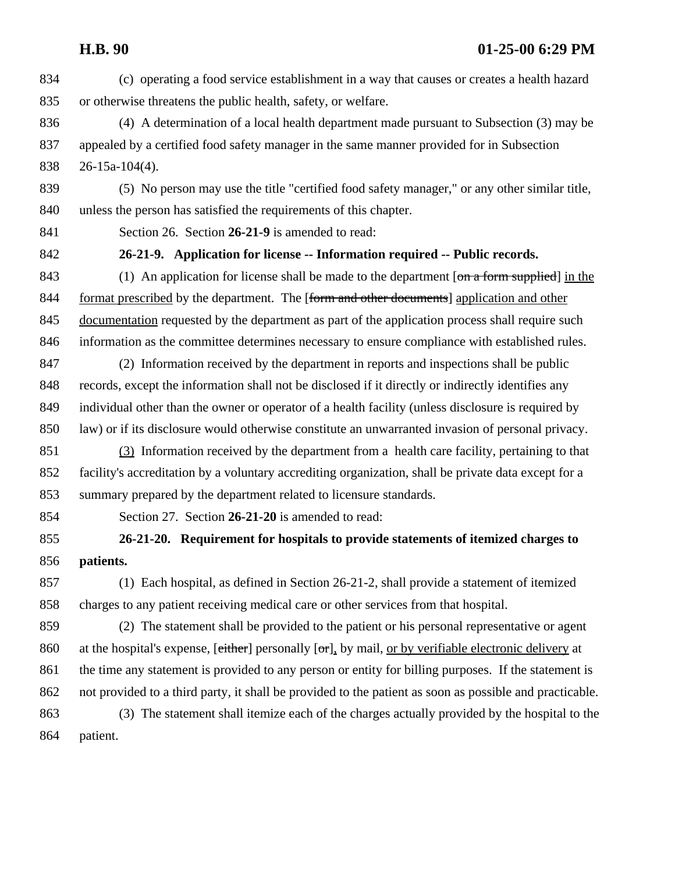(c) operating a food service establishment in a way that causes or creates a health hazard or otherwise threatens the public health, safety, or welfare.

 (4) A determination of a local health department made pursuant to Subsection (3) may be appealed by a certified food safety manager in the same manner provided for in Subsection 26-15a-104(4).

 (5) No person may use the title "certified food safety manager," or any other similar title, unless the person has satisfied the requirements of this chapter.

Section 26. Section **26-21-9** is amended to read:

**26-21-9. Application for license -- Information required -- Public records.** 

843 (1) An application for license shall be made to the department [on a form supplied] in the 844 format prescribed by the department. The [form and other documents] application and other 845 documentation requested by the department as part of the application process shall require such information as the committee determines necessary to ensure compliance with established rules.

 (2) Information received by the department in reports and inspections shall be public records, except the information shall not be disclosed if it directly or indirectly identifies any individual other than the owner or operator of a health facility (unless disclosure is required by law) or if its disclosure would otherwise constitute an unwarranted invasion of personal privacy.

 (3) Information received by the department from a health care facility, pertaining to that facility's accreditation by a voluntary accrediting organization, shall be private data except for a summary prepared by the department related to licensure standards.

Section 27. Section **26-21-20** is amended to read:

 **26-21-20. Requirement for hospitals to provide statements of itemized charges to patients.**

 (1) Each hospital, as defined in Section 26-21-2, shall provide a statement of itemized charges to any patient receiving medical care or other services from that hospital.

 (2) The statement shall be provided to the patient or his personal representative or agent 860 at the hospital's expense,  $[either]$  personally  $[or]$ , by mail, or by verifiable electronic delivery at the time any statement is provided to any person or entity for billing purposes. If the statement is not provided to a third party, it shall be provided to the patient as soon as possible and practicable. (3) The statement shall itemize each of the charges actually provided by the hospital to the

patient.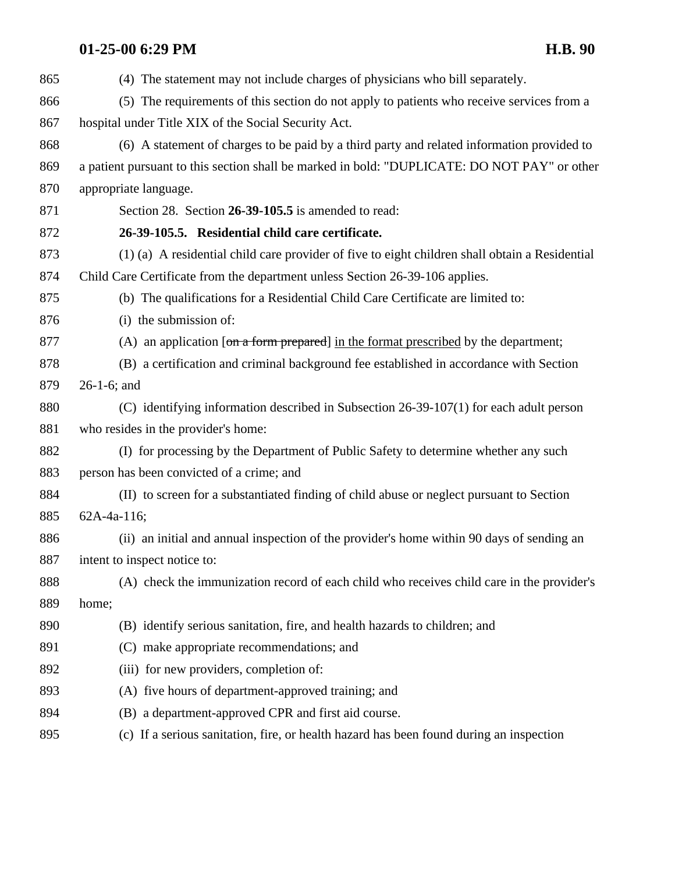| 865 | (4) The statement may not include charges of physicians who bill separately.                   |
|-----|------------------------------------------------------------------------------------------------|
| 866 | (5) The requirements of this section do not apply to patients who receive services from a      |
| 867 | hospital under Title XIX of the Social Security Act.                                           |
| 868 | (6) A statement of charges to be paid by a third party and related information provided to     |
| 869 | a patient pursuant to this section shall be marked in bold: "DUPLICATE: DO NOT PAY" or other   |
| 870 | appropriate language.                                                                          |
| 871 | Section 28. Section 26-39-105.5 is amended to read:                                            |
| 872 | 26-39-105.5. Residential child care certificate.                                               |
| 873 | (1) (a) A residential child care provider of five to eight children shall obtain a Residential |
| 874 | Child Care Certificate from the department unless Section 26-39-106 applies.                   |
| 875 | (b) The qualifications for a Residential Child Care Certificate are limited to:                |
| 876 | (i) the submission of:                                                                         |
| 877 | (A) an application [ $\sigma$ n a form prepared] in the format prescribed by the department;   |
| 878 | (B) a certification and criminal background fee established in accordance with Section         |
| 879 | $26-1-6$ ; and                                                                                 |
| 880 | (C) identifying information described in Subsection $26-39-107(1)$ for each adult person       |
| 881 | who resides in the provider's home:                                                            |
| 882 | (I) for processing by the Department of Public Safety to determine whether any such            |
| 883 | person has been convicted of a crime; and                                                      |
| 884 | (II) to screen for a substantiated finding of child abuse or neglect pursuant to Section       |
| 885 | 62A-4a-116;                                                                                    |
| 886 | (ii) an initial and annual inspection of the provider's home within 90 days of sending an      |
| 887 | intent to inspect notice to:                                                                   |
| 888 | (A) check the immunization record of each child who receives child care in the provider's      |
| 889 | home;                                                                                          |
| 890 | (B) identify serious sanitation, fire, and health hazards to children; and                     |
| 891 | (C) make appropriate recommendations; and                                                      |
| 892 | (iii) for new providers, completion of:                                                        |
| 893 | (A) five hours of department-approved training; and                                            |
| 894 | (B) a department-approved CPR and first aid course.                                            |
| 895 | (c) If a serious sanitation, fire, or health hazard has been found during an inspection        |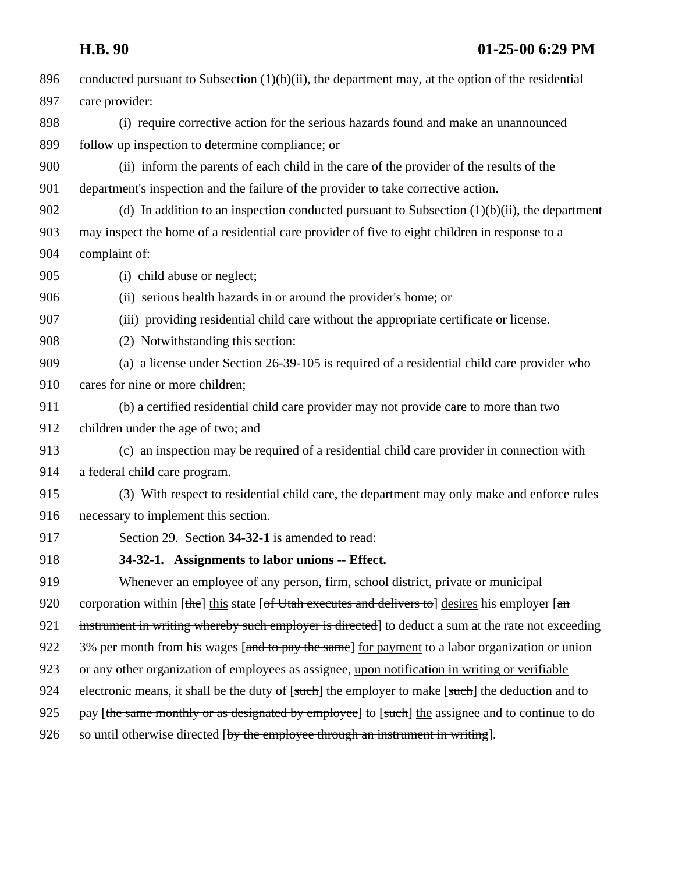| 896 | conducted pursuant to Subsection $(1)(b)(ii)$ , the department may, at the option of the residential |
|-----|------------------------------------------------------------------------------------------------------|
| 897 | care provider:                                                                                       |
| 898 | (i) require corrective action for the serious hazards found and make an unannounced                  |
| 899 | follow up inspection to determine compliance; or                                                     |
| 900 | (ii) inform the parents of each child in the care of the provider of the results of the              |
| 901 | department's inspection and the failure of the provider to take corrective action.                   |
| 902 | (d) In addition to an inspection conducted pursuant to Subsection $(1)(b)(ii)$ , the department      |
| 903 | may inspect the home of a residential care provider of five to eight children in response to a       |
| 904 | complaint of:                                                                                        |
| 905 | (i) child abuse or neglect;                                                                          |
| 906 | (ii) serious health hazards in or around the provider's home; or                                     |
| 907 | (iii) providing residential child care without the appropriate certificate or license.               |
| 908 | (2) Notwithstanding this section:                                                                    |
| 909 | (a) a license under Section 26-39-105 is required of a residential child care provider who           |
| 910 | cares for nine or more children;                                                                     |
| 911 | (b) a certified residential child care provider may not provide care to more than two                |
| 912 | children under the age of two; and                                                                   |
| 913 | (c) an inspection may be required of a residential child care provider in connection with            |
| 914 | a federal child care program.                                                                        |
| 915 | (3) With respect to residential child care, the department may only make and enforce rules           |
| 916 | necessary to implement this section.                                                                 |
| 917 | Section 29. Section 34-32-1 is amended to read:                                                      |
| 918 | 34-32-1. Assignments to labor unions -- Effect.                                                      |
| 919 | Whenever an employee of any person, firm, school district, private or municipal                      |
| 920 | corporation within [the] this state [of Utah executes and delivers to] desires his employer [an      |
| 921 | instrument in writing whereby such employer is directed] to deduct a sum at the rate not exceeding   |
| 922 | 3% per month from his wages [and to pay the same] for payment to a labor organization or union       |
| 923 | or any other organization of employees as assignee, upon notification in writing or verifiable       |
| 924 | electronic means, it shall be the duty of [such] the employer to make [such] the deduction and to    |
| 925 | pay [the same monthly or as designated by employee] to [such] the assignee and to continue to do     |
| 926 | so until otherwise directed [by the employee through an instrument in writing].                      |
|     |                                                                                                      |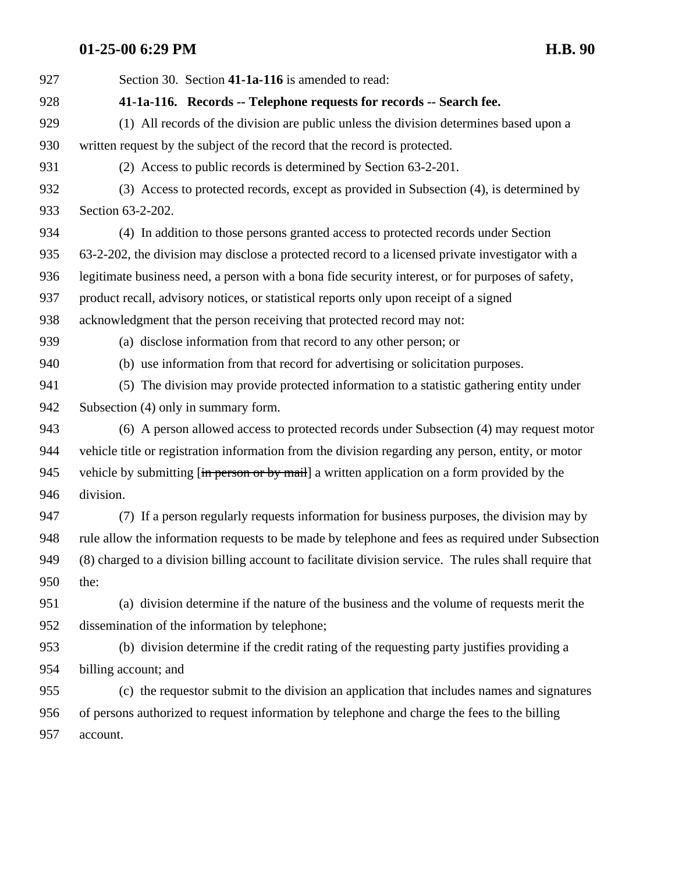Section 30. Section **41-1a-116** is amended to read: **41-1a-116. Records -- Telephone requests for records -- Search fee.** (1) All records of the division are public unless the division determines based upon a written request by the subject of the record that the record is protected. (2) Access to public records is determined by Section 63-2-201. (3) Access to protected records, except as provided in Subsection (4), is determined by Section 63-2-202. (4) In addition to those persons granted access to protected records under Section 63-2-202, the division may disclose a protected record to a licensed private investigator with a legitimate business need, a person with a bona fide security interest, or for purposes of safety, product recall, advisory notices, or statistical reports only upon receipt of a signed acknowledgment that the person receiving that protected record may not: (a) disclose information from that record to any other person; or (b) use information from that record for advertising or solicitation purposes. (5) The division may provide protected information to a statistic gathering entity under Subsection (4) only in summary form. (6) A person allowed access to protected records under Subsection (4) may request motor vehicle title or registration information from the division regarding any person, entity, or motor 945 vehicle by submitting  $\left[\frac{1}{2}m\right]$  person or by mail a written application on a form provided by the division. (7) If a person regularly requests information for business purposes, the division may by rule allow the information requests to be made by telephone and fees as required under Subsection (8) charged to a division billing account to facilitate division service. The rules shall require that the: (a) division determine if the nature of the business and the volume of requests merit the dissemination of the information by telephone; (b) division determine if the credit rating of the requesting party justifies providing a billing account; and (c) the requestor submit to the division an application that includes names and signatures of persons authorized to request information by telephone and charge the fees to the billing account.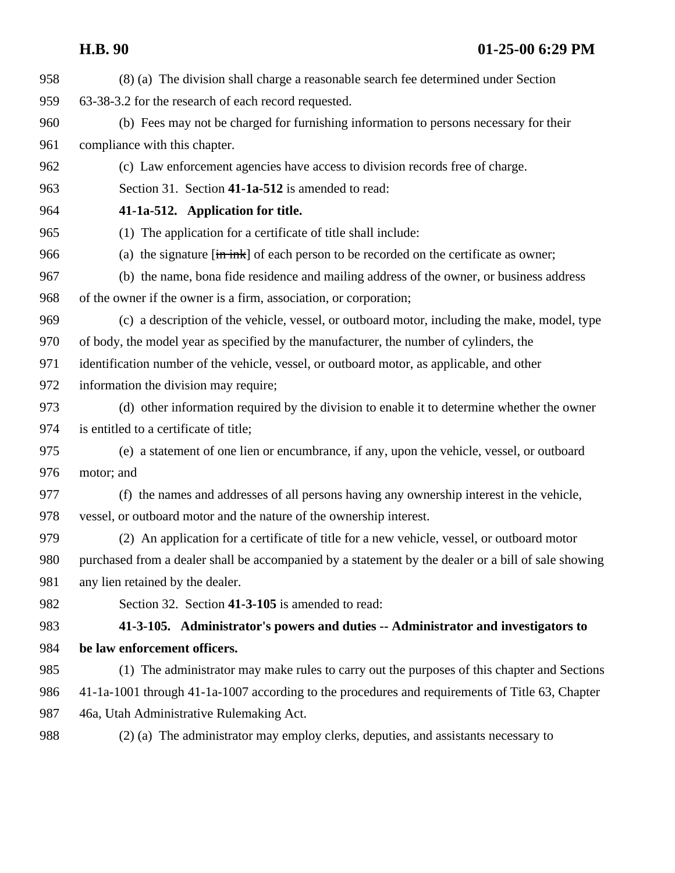| 958 | (8) (a) The division shall charge a reasonable search fee determined under Section                     |
|-----|--------------------------------------------------------------------------------------------------------|
| 959 | 63-38-3.2 for the research of each record requested.                                                   |
| 960 | (b) Fees may not be charged for furnishing information to persons necessary for their                  |
| 961 | compliance with this chapter.                                                                          |
| 962 | (c) Law enforcement agencies have access to division records free of charge.                           |
| 963 | Section 31. Section 41-1a-512 is amended to read:                                                      |
| 964 | 41-1a-512. Application for title.                                                                      |
| 965 | (1) The application for a certificate of title shall include:                                          |
| 966 | (a) the signature $[\text{im}\,\text{ink}]$ of each person to be recorded on the certificate as owner; |
| 967 | (b) the name, bona fide residence and mailing address of the owner, or business address                |
| 968 | of the owner if the owner is a firm, association, or corporation;                                      |
| 969 | (c) a description of the vehicle, vessel, or outboard motor, including the make, model, type           |
| 970 | of body, the model year as specified by the manufacturer, the number of cylinders, the                 |
| 971 | identification number of the vehicle, vessel, or outboard motor, as applicable, and other              |
| 972 | information the division may require;                                                                  |
| 973 | (d) other information required by the division to enable it to determine whether the owner             |
| 974 | is entitled to a certificate of title;                                                                 |
| 975 | (e) a statement of one lien or encumbrance, if any, upon the vehicle, vessel, or outboard              |
| 976 | motor; and                                                                                             |
| 977 | (f) the names and addresses of all persons having any ownership interest in the vehicle,               |
| 978 | vessel, or outboard motor and the nature of the ownership interest.                                    |
| 979 | (2) An application for a certificate of title for a new vehicle, vessel, or outboard motor             |
| 980 | purchased from a dealer shall be accompanied by a statement by the dealer or a bill of sale showing    |
| 981 | any lien retained by the dealer.                                                                       |
| 982 | Section 32. Section 41-3-105 is amended to read:                                                       |
| 983 | 41-3-105. Administrator's powers and duties -- Administrator and investigators to                      |
| 984 | be law enforcement officers.                                                                           |
| 985 | (1) The administrator may make rules to carry out the purposes of this chapter and Sections            |
| 986 | 41-1a-1001 through 41-1a-1007 according to the procedures and requirements of Title 63, Chapter        |
| 987 | 46a, Utah Administrative Rulemaking Act.                                                               |
| 988 | (2) (a) The administrator may employ clerks, deputies, and assistants necessary to                     |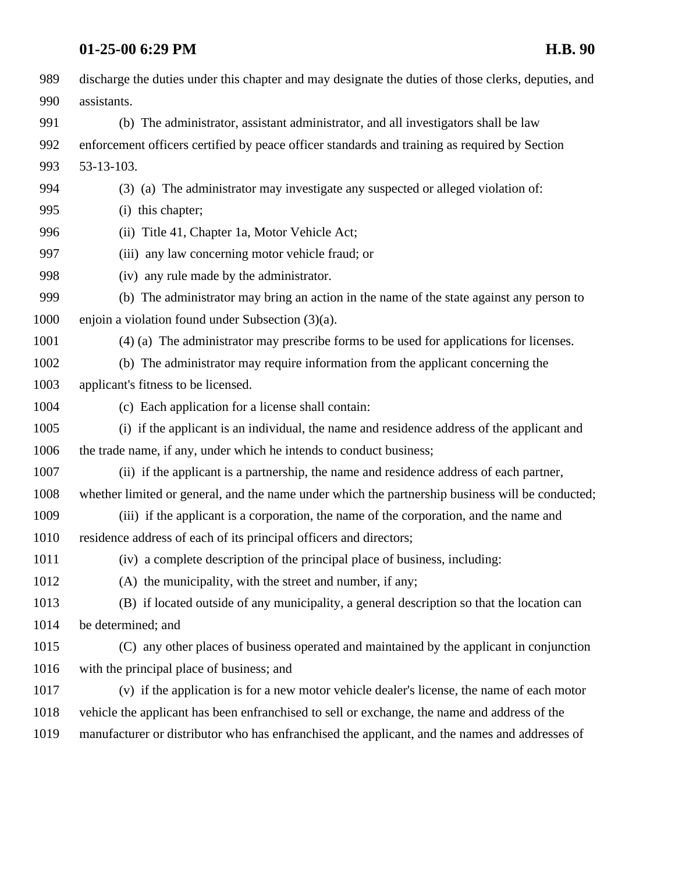| 989  | discharge the duties under this chapter and may designate the duties of those clerks, deputies, and |
|------|-----------------------------------------------------------------------------------------------------|
| 990  | assistants.                                                                                         |
| 991  | (b) The administrator, assistant administrator, and all investigators shall be law                  |
| 992  | enforcement officers certified by peace officer standards and training as required by Section       |
| 993  | 53-13-103.                                                                                          |
| 994  | (3) (a) The administrator may investigate any suspected or alleged violation of:                    |
| 995  | (i) this chapter;                                                                                   |
| 996  | (ii) Title 41, Chapter 1a, Motor Vehicle Act;                                                       |
| 997  | (iii) any law concerning motor vehicle fraud; or                                                    |
| 998  | (iv) any rule made by the administrator.                                                            |
| 999  | (b) The administrator may bring an action in the name of the state against any person to            |
| 1000 | enjoin a violation found under Subsection $(3)(a)$ .                                                |
| 1001 | (4) (a) The administrator may prescribe forms to be used for applications for licenses.             |
| 1002 | (b) The administrator may require information from the applicant concerning the                     |
| 1003 | applicant's fitness to be licensed.                                                                 |
| 1004 | (c) Each application for a license shall contain:                                                   |
| 1005 | (i) if the applicant is an individual, the name and residence address of the applicant and          |
| 1006 | the trade name, if any, under which he intends to conduct business;                                 |
| 1007 | (ii) if the applicant is a partnership, the name and residence address of each partner,             |
| 1008 | whether limited or general, and the name under which the partnership business will be conducted;    |
| 1009 | (iii) if the applicant is a corporation, the name of the corporation, and the name and              |
| 1010 | residence address of each of its principal officers and directors;                                  |
| 1011 | (iv) a complete description of the principal place of business, including:                          |
| 1012 | (A) the municipality, with the street and number, if any;                                           |
| 1013 | (B) if located outside of any municipality, a general description so that the location can          |
| 1014 | be determined; and                                                                                  |
| 1015 | (C) any other places of business operated and maintained by the applicant in conjunction            |
| 1016 | with the principal place of business; and                                                           |
| 1017 | (v) if the application is for a new motor vehicle dealer's license, the name of each motor          |
| 1018 | vehicle the applicant has been enfranchised to sell or exchange, the name and address of the        |
| 1019 | manufacturer or distributor who has enfranchised the applicant, and the names and addresses of      |
|      |                                                                                                     |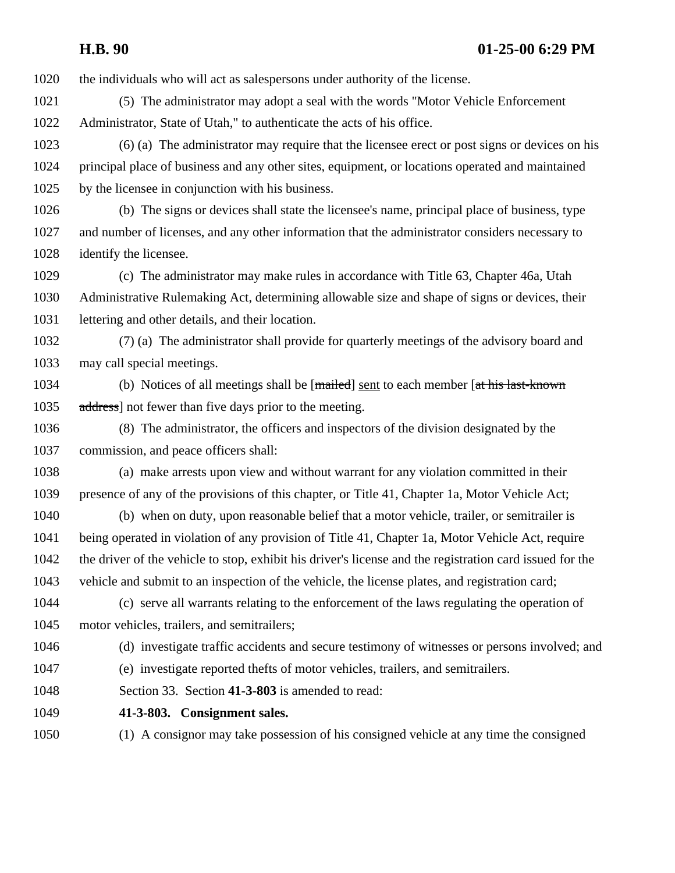the individuals who will act as salespersons under authority of the license.

 (5) The administrator may adopt a seal with the words "Motor Vehicle Enforcement Administrator, State of Utah," to authenticate the acts of his office.

 (6) (a) The administrator may require that the licensee erect or post signs or devices on his principal place of business and any other sites, equipment, or locations operated and maintained by the licensee in conjunction with his business.

 (b) The signs or devices shall state the licensee's name, principal place of business, type and number of licenses, and any other information that the administrator considers necessary to identify the licensee.

 (c) The administrator may make rules in accordance with Title 63, Chapter 46a, Utah Administrative Rulemaking Act, determining allowable size and shape of signs or devices, their lettering and other details, and their location.

 (7) (a) The administrator shall provide for quarterly meetings of the advisory board and may call special meetings.

1034 (b) Notices of all meetings shall be [mailed] sent to each member [at his last-known 1035 address not fewer than five days prior to the meeting.

 (8) The administrator, the officers and inspectors of the division designated by the commission, and peace officers shall:

 (a) make arrests upon view and without warrant for any violation committed in their presence of any of the provisions of this chapter, or Title 41, Chapter 1a, Motor Vehicle Act;

 (b) when on duty, upon reasonable belief that a motor vehicle, trailer, or semitrailer is being operated in violation of any provision of Title 41, Chapter 1a, Motor Vehicle Act, require the driver of the vehicle to stop, exhibit his driver's license and the registration card issued for the vehicle and submit to an inspection of the vehicle, the license plates, and registration card;

 (c) serve all warrants relating to the enforcement of the laws regulating the operation of motor vehicles, trailers, and semitrailers;

(d) investigate traffic accidents and secure testimony of witnesses or persons involved; and

(e) investigate reported thefts of motor vehicles, trailers, and semitrailers.

Section 33. Section **41-3-803** is amended to read:

**41-3-803. Consignment sales.** 

(1) A consignor may take possession of his consigned vehicle at any time the consigned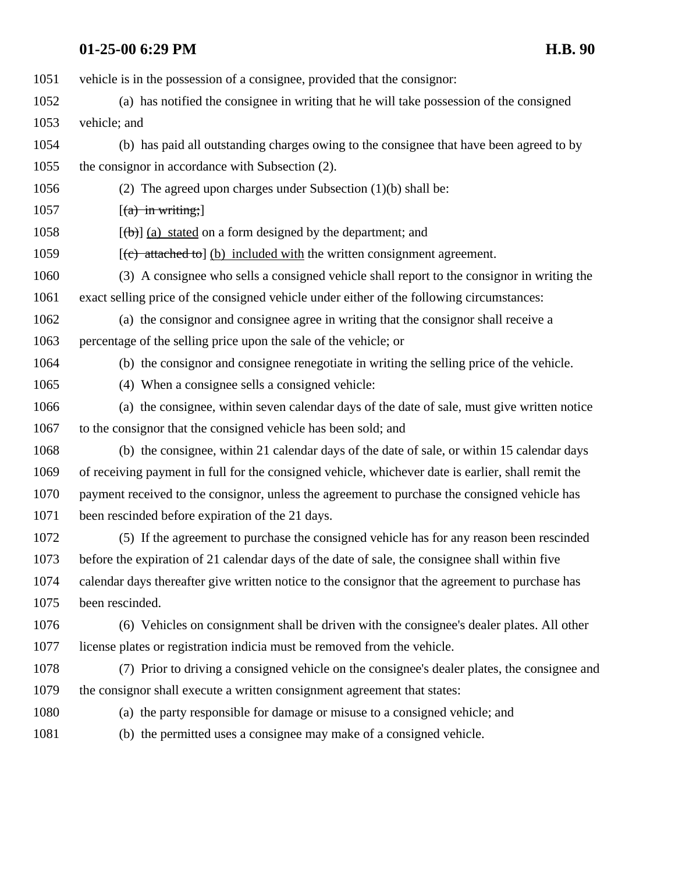vehicle is in the possession of a consignee, provided that the consignor: (a) has notified the consignee in writing that he will take possession of the consigned vehicle; and (b) has paid all outstanding charges owing to the consignee that have been agreed to by the consignor in accordance with Subsection (2). (2) The agreed upon charges under Subsection (1)(b) shall be: [(a) in writing;]  $[\frac{1}{b}]$  (a) stated on a form designed by the department; and  $[(c)$  attached to  $]$  (b) included with the written consignment agreement. (3) A consignee who sells a consigned vehicle shall report to the consignor in writing the exact selling price of the consigned vehicle under either of the following circumstances: (a) the consignor and consignee agree in writing that the consignor shall receive a percentage of the selling price upon the sale of the vehicle; or (b) the consignor and consignee renegotiate in writing the selling price of the vehicle. (4) When a consignee sells a consigned vehicle: (a) the consignee, within seven calendar days of the date of sale, must give written notice 1067 to the consignor that the consigned vehicle has been sold; and (b) the consignee, within 21 calendar days of the date of sale, or within 15 calendar days of receiving payment in full for the consigned vehicle, whichever date is earlier, shall remit the payment received to the consignor, unless the agreement to purchase the consigned vehicle has been rescinded before expiration of the 21 days. (5) If the agreement to purchase the consigned vehicle has for any reason been rescinded before the expiration of 21 calendar days of the date of sale, the consignee shall within five calendar days thereafter give written notice to the consignor that the agreement to purchase has been rescinded. (6) Vehicles on consignment shall be driven with the consignee's dealer plates. All other license plates or registration indicia must be removed from the vehicle. (7) Prior to driving a consigned vehicle on the consignee's dealer plates, the consignee and the consignor shall execute a written consignment agreement that states: (a) the party responsible for damage or misuse to a consigned vehicle; and (b) the permitted uses a consignee may make of a consigned vehicle.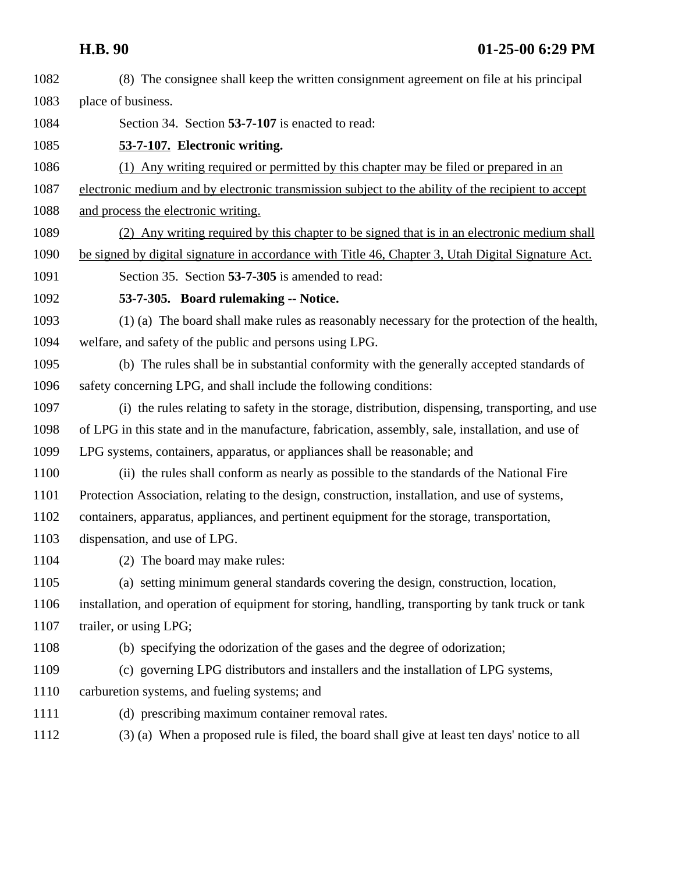(8) The consignee shall keep the written consignment agreement on file at his principal place of business. Section 34. Section **53-7-107** is enacted to read: **53-7-107. Electronic writing.** (1) Any writing required or permitted by this chapter may be filed or prepared in an electronic medium and by electronic transmission subject to the ability of the recipient to accept and process the electronic writing. (2) Any writing required by this chapter to be signed that is in an electronic medium shall be signed by digital signature in accordance with Title 46, Chapter 3, Utah Digital Signature Act. Section 35. Section **53-7-305** is amended to read: **53-7-305. Board rulemaking -- Notice.**  (1) (a) The board shall make rules as reasonably necessary for the protection of the health, welfare, and safety of the public and persons using LPG. (b) The rules shall be in substantial conformity with the generally accepted standards of safety concerning LPG, and shall include the following conditions: (i) the rules relating to safety in the storage, distribution, dispensing, transporting, and use of LPG in this state and in the manufacture, fabrication, assembly, sale, installation, and use of LPG systems, containers, apparatus, or appliances shall be reasonable; and (ii) the rules shall conform as nearly as possible to the standards of the National Fire Protection Association, relating to the design, construction, installation, and use of systems, containers, apparatus, appliances, and pertinent equipment for the storage, transportation, dispensation, and use of LPG. (2) The board may make rules: (a) setting minimum general standards covering the design, construction, location, installation, and operation of equipment for storing, handling, transporting by tank truck or tank 1107 trailer, or using LPG; (b) specifying the odorization of the gases and the degree of odorization; (c) governing LPG distributors and installers and the installation of LPG systems, carburetion systems, and fueling systems; and (d) prescribing maximum container removal rates. (3) (a) When a proposed rule is filed, the board shall give at least ten days' notice to all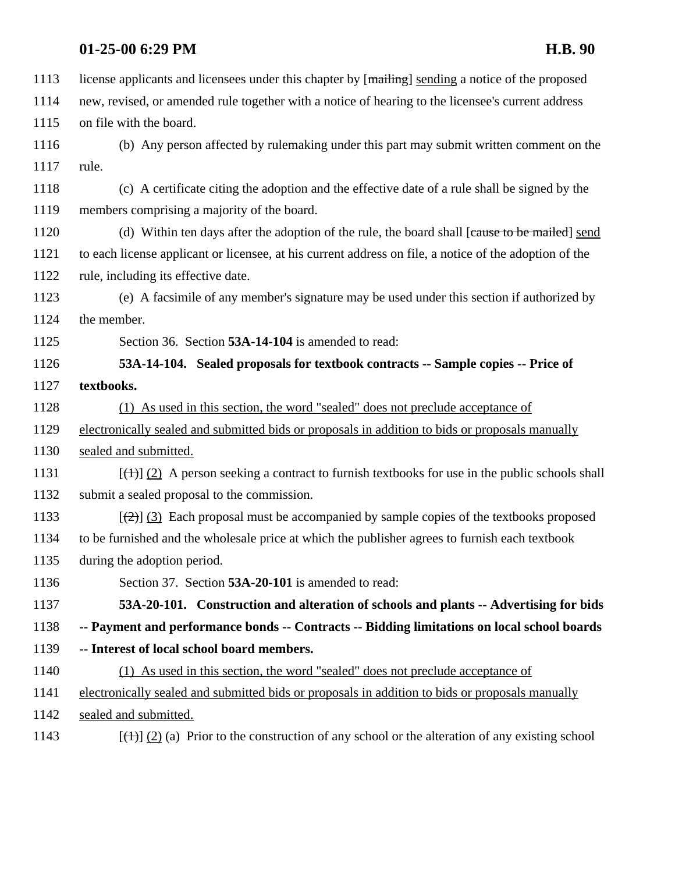|      | 01-25-00 6:29 PM<br><b>H.B. 90</b>                                                                         |
|------|------------------------------------------------------------------------------------------------------------|
| 1113 | license applicants and licensees under this chapter by [mailing] sending a notice of the proposed          |
| 1114 | new, revised, or amended rule together with a notice of hearing to the licensee's current address          |
| 1115 | on file with the board.                                                                                    |
| 1116 | (b) Any person affected by rulemaking under this part may submit written comment on the                    |
| 1117 | rule.                                                                                                      |
| 1118 | (c) A certificate citing the adoption and the effective date of a rule shall be signed by the              |
| 1119 | members comprising a majority of the board.                                                                |
| 1120 | (d) Within ten days after the adoption of the rule, the board shall [cause to be mailed] send              |
| 1121 | to each license applicant or licensee, at his current address on file, a notice of the adoption of the     |
| 1122 | rule, including its effective date.                                                                        |
| 1123 | (e) A facsimile of any member's signature may be used under this section if authorized by                  |
| 1124 | the member.                                                                                                |
| 1125 | Section 36. Section 53A-14-104 is amended to read:                                                         |
| 1126 | 53A-14-104. Sealed proposals for textbook contracts -- Sample copies -- Price of                           |
| 1127 | textbooks.                                                                                                 |
| 1128 | (1) As used in this section, the word "sealed" does not preclude acceptance of                             |
| 1129 | electronically sealed and submitted bids or proposals in addition to bids or proposals manually            |
| 1130 | sealed and submitted.                                                                                      |
| 1131 | $[\frac{(+)}{2}]$ A person seeking a contract to furnish textbooks for use in the public schools shall     |
| 1132 | submit a sealed proposal to the commission.                                                                |
| 1133 | $[\frac{1}{2}]$ (3) Each proposal must be accompanied by sample copies of the textbooks proposed           |
| 1134 | to be furnished and the wholesale price at which the publisher agrees to furnish each textbook             |
| 1135 | during the adoption period.                                                                                |
| 1136 | Section 37. Section 53A-20-101 is amended to read:                                                         |
| 1137 | 53A-20-101. Construction and alteration of schools and plants -- Advertising for bids                      |
| 1138 | -- Payment and performance bonds -- Contracts -- Bidding limitations on local school boards                |
| 1139 | -- Interest of local school board members.                                                                 |
| 1140 | (1) As used in this section, the word "sealed" does not preclude acceptance of                             |
| 1141 | electronically sealed and submitted bids or proposals in addition to bids or proposals manually            |
| 1142 | sealed and submitted.                                                                                      |
| 1143 | $[\frac{(+)}{2}]$ (2) (a) Prior to the construction of any school or the alteration of any existing school |
|      |                                                                                                            |
|      |                                                                                                            |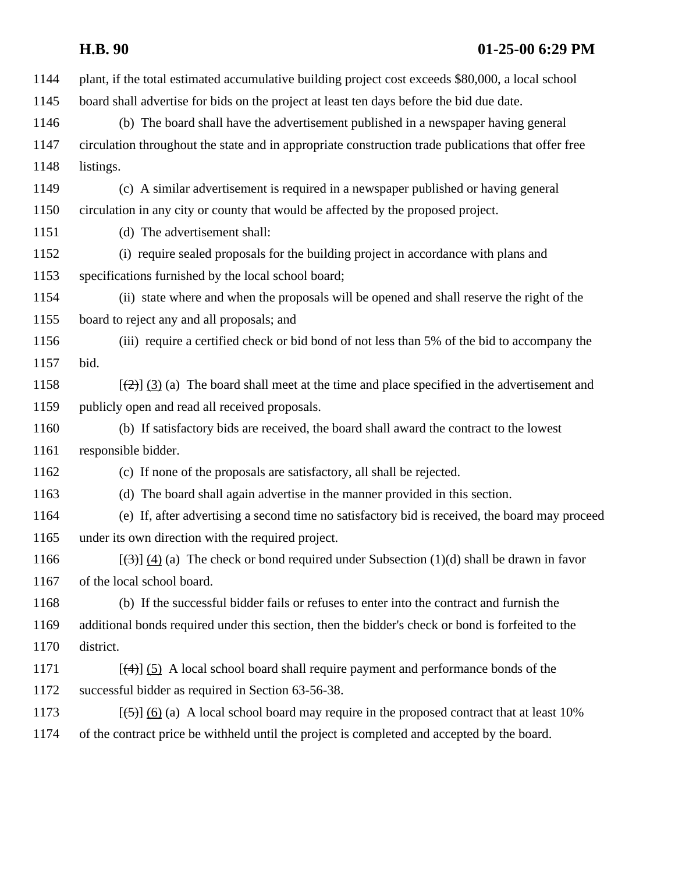| 1144 | plant, if the total estimated accumulative building project cost exceeds \$80,000, a local school     |
|------|-------------------------------------------------------------------------------------------------------|
| 1145 | board shall advertise for bids on the project at least ten days before the bid due date.              |
| 1146 | (b) The board shall have the advertisement published in a newspaper having general                    |
| 1147 | circulation throughout the state and in appropriate construction trade publications that offer free   |
| 1148 | listings.                                                                                             |
| 1149 | (c) A similar advertisement is required in a newspaper published or having general                    |
| 1150 | circulation in any city or county that would be affected by the proposed project.                     |
| 1151 | (d) The advertisement shall:                                                                          |
| 1152 | (i) require sealed proposals for the building project in accordance with plans and                    |
| 1153 | specifications furnished by the local school board;                                                   |
| 1154 | (ii) state where and when the proposals will be opened and shall reserve the right of the             |
| 1155 | board to reject any and all proposals; and                                                            |
| 1156 | (iii) require a certified check or bid bond of not less than 5% of the bid to accompany the           |
| 1157 | bid.                                                                                                  |
| 1158 | $[\frac{1}{2}]$ (3) (a) The board shall meet at the time and place specified in the advertisement and |
| 1159 | publicly open and read all received proposals.                                                        |
| 1160 | (b) If satisfactory bids are received, the board shall award the contract to the lowest               |
| 1161 | responsible bidder.                                                                                   |
| 1162 | (c) If none of the proposals are satisfactory, all shall be rejected.                                 |
| 1163 | (d) The board shall again advertise in the manner provided in this section.                           |
| 1164 | (e) If, after advertising a second time no satisfactory bid is received, the board may proceed        |
| 1165 | under its own direction with the required project.                                                    |
| 1166 | $[\frac{1}{3}]$ (4) (a) The check or bond required under Subsection (1)(d) shall be drawn in favor    |
| 1167 | of the local school board.                                                                            |
| 1168 | (b) If the successful bidder fails or refuses to enter into the contract and furnish the              |
| 1169 | additional bonds required under this section, then the bidder's check or bond is forfeited to the     |
| 1170 | district.                                                                                             |
| 1171 | $[\frac{4}{3}]$ (5) A local school board shall require payment and performance bonds of the           |
| 1172 | successful bidder as required in Section 63-56-38.                                                    |
| 1173 | $[\frac{5}{2}]$ (6) (a) A local school board may require in the proposed contract that at least 10%   |
| 1174 | of the contract price be withheld until the project is completed and accepted by the board.           |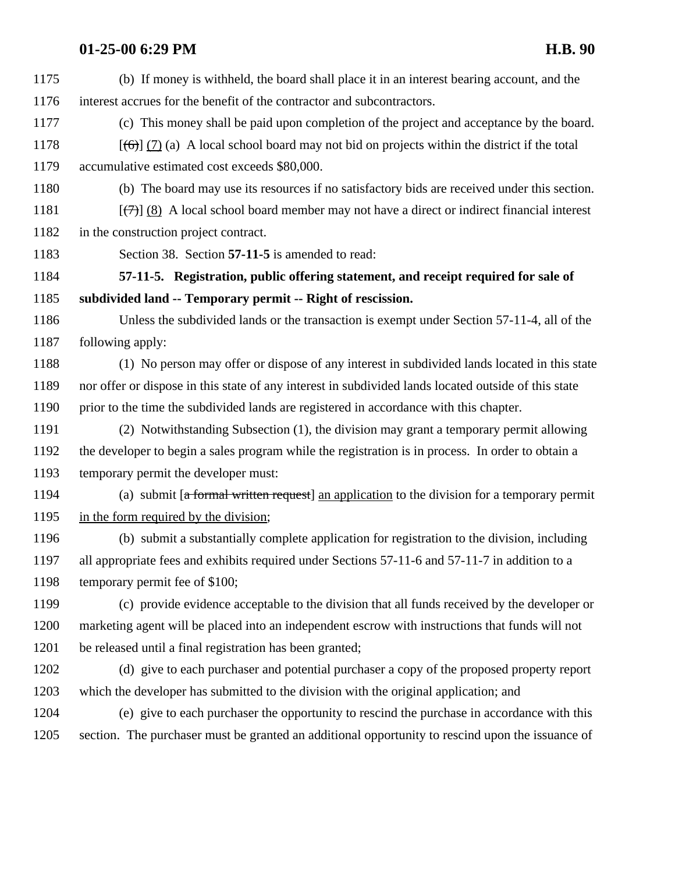| 1175 | (b) If money is withheld, the board shall place it in an interest bearing account, and the              |
|------|---------------------------------------------------------------------------------------------------------|
| 1176 | interest accrues for the benefit of the contractor and subcontractors.                                  |
| 1177 | (c) This money shall be paid upon completion of the project and acceptance by the board.                |
| 1178 | $[\text{f6}][(7)]$ (a) A local school board may not bid on projects within the district if the total    |
| 1179 | accumulative estimated cost exceeds \$80,000.                                                           |
| 1180 | (b) The board may use its resources if no satisfactory bids are received under this section.            |
| 1181 | $[\overline{(+)}]$ (8) A local school board member may not have a direct or indirect financial interest |
| 1182 | in the construction project contract.                                                                   |
| 1183 | Section 38. Section 57-11-5 is amended to read:                                                         |
| 1184 | 57-11-5. Registration, public offering statement, and receipt required for sale of                      |
| 1185 | subdivided land -- Temporary permit -- Right of rescission.                                             |
| 1186 | Unless the subdivided lands or the transaction is exempt under Section 57-11-4, all of the              |
| 1187 | following apply:                                                                                        |
| 1188 | (1) No person may offer or dispose of any interest in subdivided lands located in this state            |
| 1189 | nor offer or dispose in this state of any interest in subdivided lands located outside of this state    |
| 1190 | prior to the time the subdivided lands are registered in accordance with this chapter.                  |
| 1191 | (2) Notwithstanding Subsection (1), the division may grant a temporary permit allowing                  |
| 1192 | the developer to begin a sales program while the registration is in process. In order to obtain a       |
| 1193 | temporary permit the developer must:                                                                    |
| 1194 | (a) submit [a formal written request] an application to the division for a temporary permit             |
| 1195 | in the form required by the division;                                                                   |
| 1196 | (b) submit a substantially complete application for registration to the division, including             |
| 1197 | all appropriate fees and exhibits required under Sections 57-11-6 and 57-11-7 in addition to a          |
| 1198 | temporary permit fee of \$100;                                                                          |
| 1199 | (c) provide evidence acceptable to the division that all funds received by the developer or             |
| 1200 | marketing agent will be placed into an independent escrow with instructions that funds will not         |
| 1201 | be released until a final registration has been granted;                                                |
| 1202 | (d) give to each purchaser and potential purchaser a copy of the proposed property report               |
| 1203 | which the developer has submitted to the division with the original application; and                    |
| 1204 | (e) give to each purchaser the opportunity to rescind the purchase in accordance with this              |
| 1205 | section. The purchaser must be granted an additional opportunity to rescind upon the issuance of        |
|      |                                                                                                         |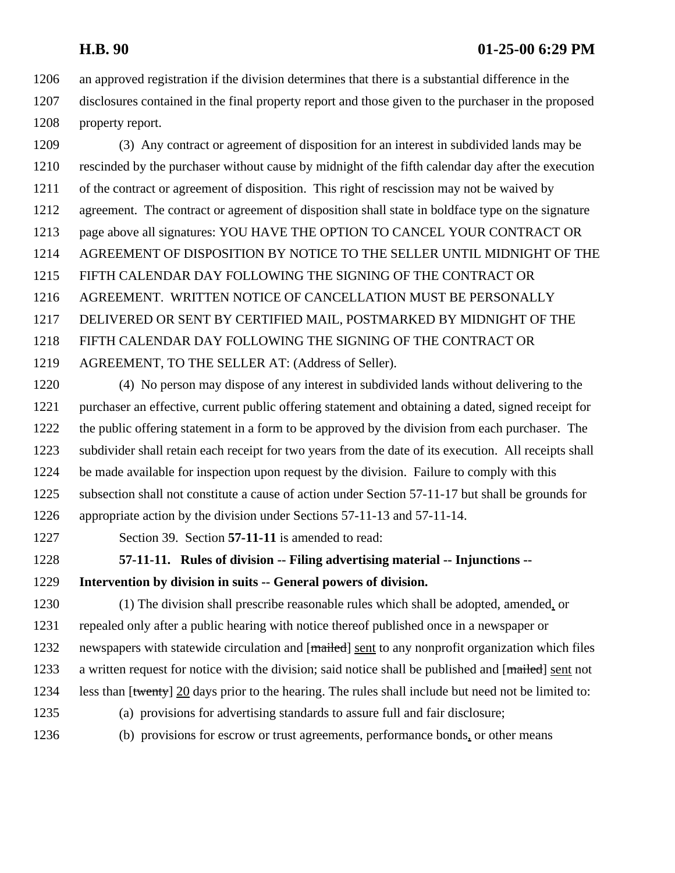an approved registration if the division determines that there is a substantial difference in the disclosures contained in the final property report and those given to the purchaser in the proposed property report.

 (3) Any contract or agreement of disposition for an interest in subdivided lands may be rescinded by the purchaser without cause by midnight of the fifth calendar day after the execution of the contract or agreement of disposition. This right of rescission may not be waived by agreement. The contract or agreement of disposition shall state in boldface type on the signature page above all signatures: YOU HAVE THE OPTION TO CANCEL YOUR CONTRACT OR AGREEMENT OF DISPOSITION BY NOTICE TO THE SELLER UNTIL MIDNIGHT OF THE FIFTH CALENDAR DAY FOLLOWING THE SIGNING OF THE CONTRACT OR AGREEMENT. WRITTEN NOTICE OF CANCELLATION MUST BE PERSONALLY DELIVERED OR SENT BY CERTIFIED MAIL, POSTMARKED BY MIDNIGHT OF THE FIFTH CALENDAR DAY FOLLOWING THE SIGNING OF THE CONTRACT OR AGREEMENT, TO THE SELLER AT: (Address of Seller).

 (4) No person may dispose of any interest in subdivided lands without delivering to the purchaser an effective, current public offering statement and obtaining a dated, signed receipt for the public offering statement in a form to be approved by the division from each purchaser. The subdivider shall retain each receipt for two years from the date of its execution. All receipts shall be made available for inspection upon request by the division. Failure to comply with this subsection shall not constitute a cause of action under Section 57-11-17 but shall be grounds for appropriate action by the division under Sections 57-11-13 and 57-11-14.

Section 39. Section **57-11-11** is amended to read:

# **57-11-11. Rules of division -- Filing advertising material -- Injunctions --**

**Intervention by division in suits -- General powers of division.** 

 (1) The division shall prescribe reasonable rules which shall be adopted, amended, or repealed only after a public hearing with notice thereof published once in a newspaper or 1232 newspapers with statewide circulation and [mailed] sent to any nonprofit organization which files 1233 a written request for notice with the division; said notice shall be published and [mailed] sent not less than [twenty] 20 days prior to the hearing. The rules shall include but need not be limited to: (a) provisions for advertising standards to assure full and fair disclosure;

- 
- 
- (b) provisions for escrow or trust agreements, performance bonds, or other means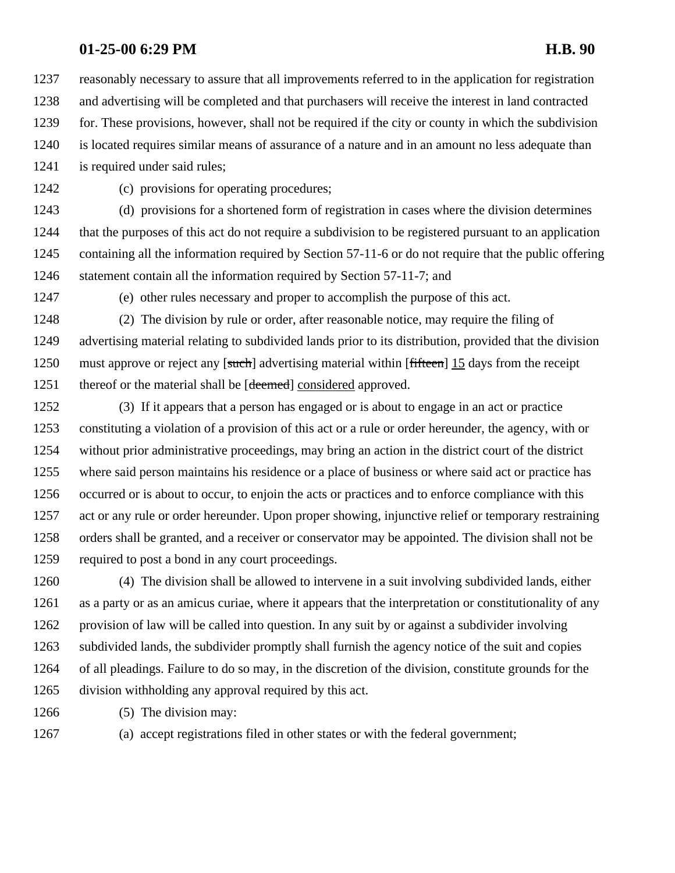reasonably necessary to assure that all improvements referred to in the application for registration and advertising will be completed and that purchasers will receive the interest in land contracted for. These provisions, however, shall not be required if the city or county in which the subdivision is located requires similar means of assurance of a nature and in an amount no less adequate than

is required under said rules;

(c) provisions for operating procedures;

 (d) provisions for a shortened form of registration in cases where the division determines that the purposes of this act do not require a subdivision to be registered pursuant to an application containing all the information required by Section 57-11-6 or do not require that the public offering 1246 statement contain all the information required by Section 57-11-7; and

(e) other rules necessary and proper to accomplish the purpose of this act.

 (2) The division by rule or order, after reasonable notice, may require the filing of advertising material relating to subdivided lands prior to its distribution, provided that the division 1250 must approve or reject any [such] advertising material within [fifteen] 15 days from the receipt 1251 thereof or the material shall be [deemed] considered approved.

 (3) If it appears that a person has engaged or is about to engage in an act or practice constituting a violation of a provision of this act or a rule or order hereunder, the agency, with or without prior administrative proceedings, may bring an action in the district court of the district where said person maintains his residence or a place of business or where said act or practice has occurred or is about to occur, to enjoin the acts or practices and to enforce compliance with this act or any rule or order hereunder. Upon proper showing, injunctive relief or temporary restraining orders shall be granted, and a receiver or conservator may be appointed. The division shall not be required to post a bond in any court proceedings.

 (4) The division shall be allowed to intervene in a suit involving subdivided lands, either as a party or as an amicus curiae, where it appears that the interpretation or constitutionality of any provision of law will be called into question. In any suit by or against a subdivider involving subdivided lands, the subdivider promptly shall furnish the agency notice of the suit and copies of all pleadings. Failure to do so may, in the discretion of the division, constitute grounds for the division withholding any approval required by this act.

- 1266 (5) The division may:
- 

(a) accept registrations filed in other states or with the federal government;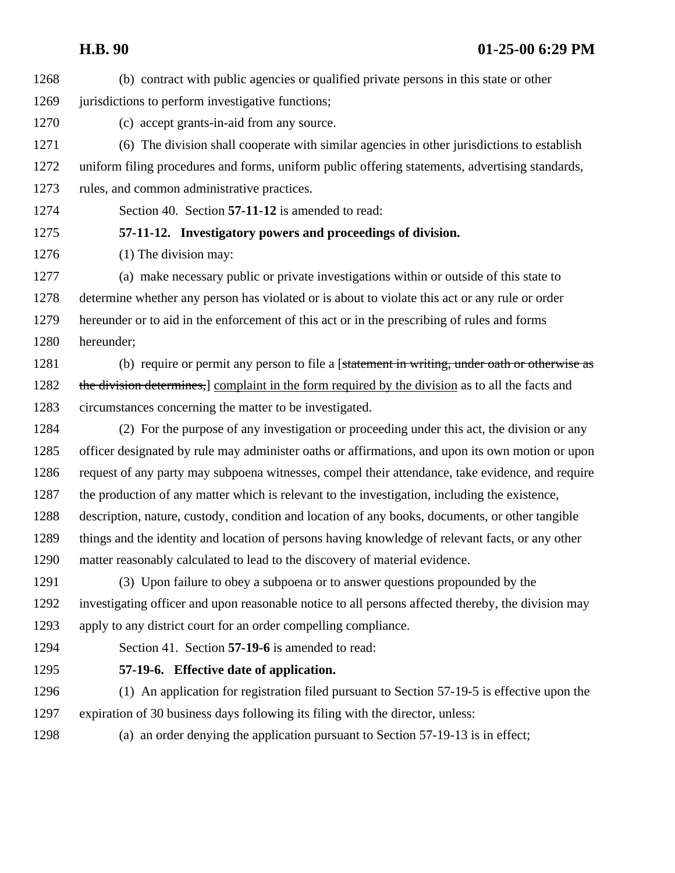(b) contract with public agencies or qualified private persons in this state or other 1269 jurisdictions to perform investigative functions;

(c) accept grants-in-aid from any source.

 (6) The division shall cooperate with similar agencies in other jurisdictions to establish uniform filing procedures and forms, uniform public offering statements, advertising standards, rules, and common administrative practices.

Section 40. Section **57-11-12** is amended to read:

## **57-11-12. Investigatory powers and proceedings of division.**

1276 (1) The division may:

 (a) make necessary public or private investigations within or outside of this state to determine whether any person has violated or is about to violate this act or any rule or order hereunder or to aid in the enforcement of this act or in the prescribing of rules and forms hereunder;

1281 (b) require or permit any person to file a [statement in writing, under oath or otherwise as 1282 the division determines, complaint in the form required by the division as to all the facts and circumstances concerning the matter to be investigated.

 (2) For the purpose of any investigation or proceeding under this act, the division or any officer designated by rule may administer oaths or affirmations, and upon its own motion or upon request of any party may subpoena witnesses, compel their attendance, take evidence, and require the production of any matter which is relevant to the investigation, including the existence, description, nature, custody, condition and location of any books, documents, or other tangible things and the identity and location of persons having knowledge of relevant facts, or any other matter reasonably calculated to lead to the discovery of material evidence.

 (3) Upon failure to obey a subpoena or to answer questions propounded by the investigating officer and upon reasonable notice to all persons affected thereby, the division may apply to any district court for an order compelling compliance.

Section 41. Section **57-19-6** is amended to read:

## **57-19-6. Effective date of application.**

 (1) An application for registration filed pursuant to Section 57-19-5 is effective upon the expiration of 30 business days following its filing with the director, unless:

(a) an order denying the application pursuant to Section 57-19-13 is in effect;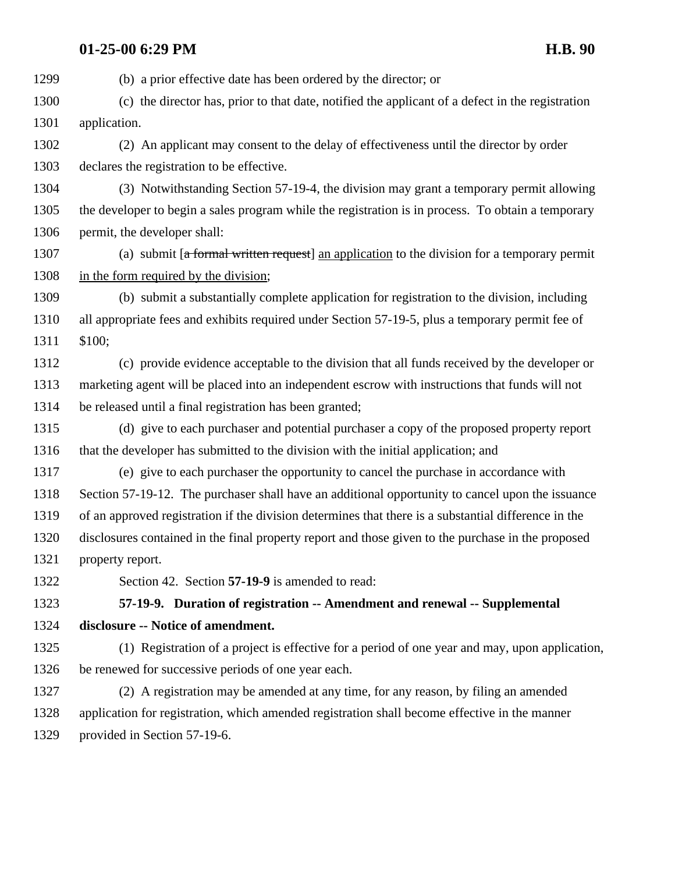(b) a prior effective date has been ordered by the director; or (c) the director has, prior to that date, notified the applicant of a defect in the registration application. (2) An applicant may consent to the delay of effectiveness until the director by order declares the registration to be effective. (3) Notwithstanding Section 57-19-4, the division may grant a temporary permit allowing the developer to begin a sales program while the registration is in process. To obtain a temporary permit, the developer shall: 1307 (a) submit [a formal written request] an application to the division for a temporary permit in the form required by the division; (b) submit a substantially complete application for registration to the division, including all appropriate fees and exhibits required under Section 57-19-5, plus a temporary permit fee of \$100; (c) provide evidence acceptable to the division that all funds received by the developer or marketing agent will be placed into an independent escrow with instructions that funds will not be released until a final registration has been granted; (d) give to each purchaser and potential purchaser a copy of the proposed property report that the developer has submitted to the division with the initial application; and (e) give to each purchaser the opportunity to cancel the purchase in accordance with Section 57-19-12. The purchaser shall have an additional opportunity to cancel upon the issuance of an approved registration if the division determines that there is a substantial difference in the disclosures contained in the final property report and those given to the purchase in the proposed property report. Section 42. Section **57-19-9** is amended to read: **57-19-9. Duration of registration -- Amendment and renewal -- Supplemental disclosure -- Notice of amendment.**  (1) Registration of a project is effective for a period of one year and may, upon application, be renewed for successive periods of one year each. (2) A registration may be amended at any time, for any reason, by filing an amended application for registration, which amended registration shall become effective in the manner provided in Section 57-19-6.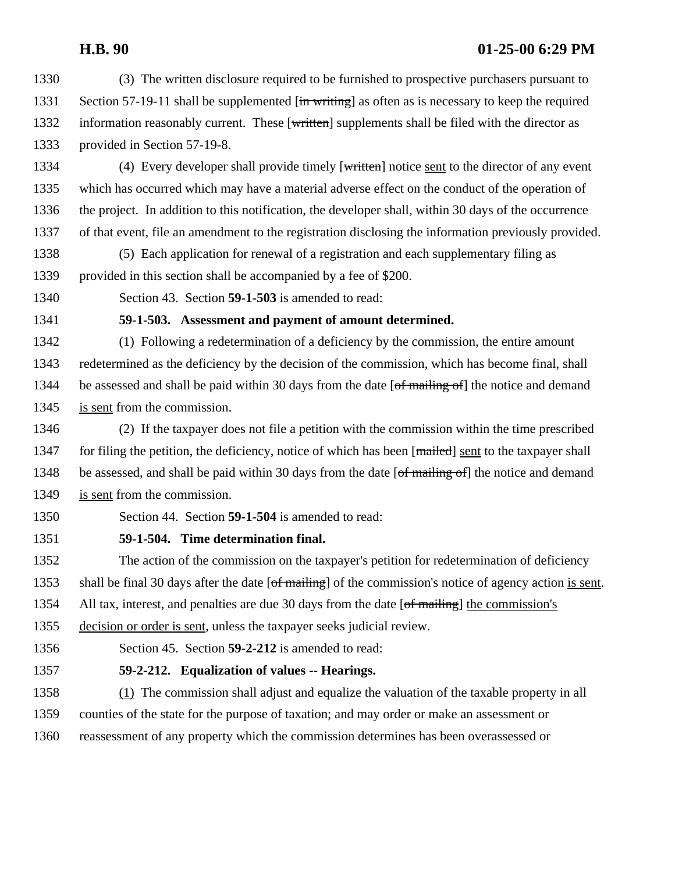- (3) The written disclosure required to be furnished to prospective purchasers pursuant to 1331 Section 57-19-11 shall be supplemented  $\overline{\text{in writing}}$  as often as is necessary to keep the required 1332 information reasonably current. These [written] supplements shall be filed with the director as provided in Section 57-19-8.
- 1334 (4) Every developer shall provide timely [written] notice sent to the director of any event which has occurred which may have a material adverse effect on the conduct of the operation of the project. In addition to this notification, the developer shall, within 30 days of the occurrence of that event, file an amendment to the registration disclosing the information previously provided.
- (5) Each application for renewal of a registration and each supplementary filing as provided in this section shall be accompanied by a fee of \$200.
- 
- Section 43. Section **59-1-503** is amended to read:

## **59-1-503. Assessment and payment of amount determined.**

 (1) Following a redetermination of a deficiency by the commission, the entire amount redetermined as the deficiency by the decision of the commission, which has become final, shall 1344 be assessed and shall be paid within 30 days from the date [of mailing of] the notice and demand is sent from the commission.

- (2) If the taxpayer does not file a petition with the commission within the time prescribed 1347 for filing the petition, the deficiency, notice of which has been [mailed] sent to the taxpayer shall 1348 be assessed, and shall be paid within 30 days from the date [of mailing of] the notice and demand is sent from the commission.
- Section 44. Section **59-1-504** is amended to read:

## **59-1-504. Time determination final.**

 The action of the commission on the taxpayer's petition for redetermination of deficiency 1353 shall be final 30 days after the date [of mailing] of the commission's notice of agency action is sent.

1354 All tax, interest, and penalties are due 30 days from the date [of mailing] the commission's

decision or order is sent, unless the taxpayer seeks judicial review.

Section 45. Section **59-2-212** is amended to read:

**59-2-212. Equalization of values -- Hearings.** 

 (1) The commission shall adjust and equalize the valuation of the taxable property in all counties of the state for the purpose of taxation; and may order or make an assessment or reassessment of any property which the commission determines has been overassessed or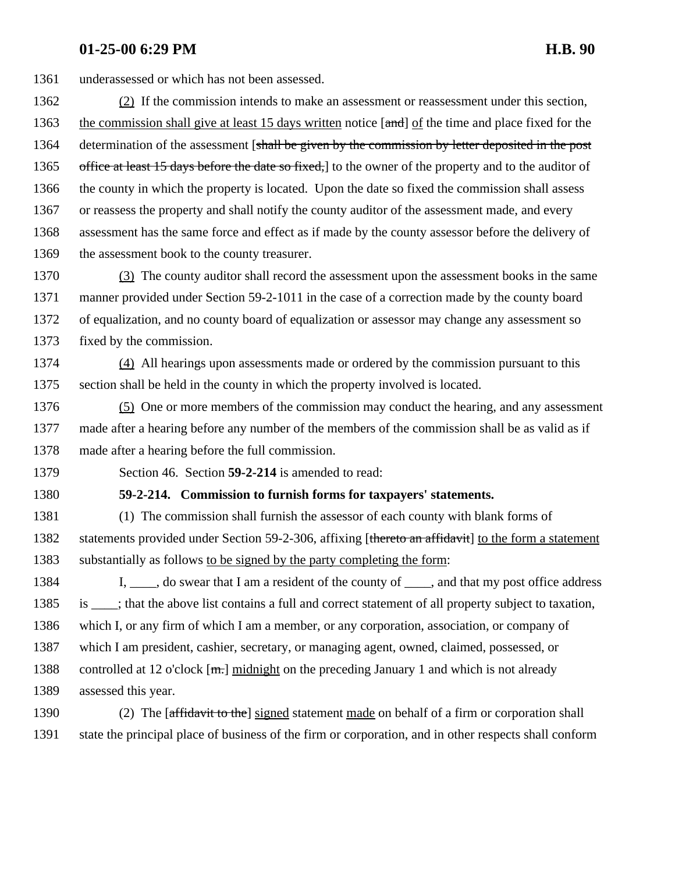underassessed or which has not been assessed.

 (2) If the commission intends to make an assessment or reassessment under this section, 1363 the commission shall give at least 15 days written notice [and] of the time and place fixed for the 1364 determination of the assessment [shall be given by the commission by letter deposited in the post 1365 office at least 15 days before the date so fixed, to the owner of the property and to the auditor of the county in which the property is located. Upon the date so fixed the commission shall assess or reassess the property and shall notify the county auditor of the assessment made, and every assessment has the same force and effect as if made by the county assessor before the delivery of 1369 the assessment book to the county treasurer.

 (3) The county auditor shall record the assessment upon the assessment books in the same manner provided under Section 59-2-1011 in the case of a correction made by the county board of equalization, and no county board of equalization or assessor may change any assessment so fixed by the commission.

 (4) All hearings upon assessments made or ordered by the commission pursuant to this section shall be held in the county in which the property involved is located.

 (5) One or more members of the commission may conduct the hearing, and any assessment made after a hearing before any number of the members of the commission shall be as valid as if made after a hearing before the full commission.

Section 46. Section **59-2-214** is amended to read:

#### **59-2-214. Commission to furnish forms for taxpayers' statements.**

 (1) The commission shall furnish the assessor of each county with blank forms of 1382 statements provided under Section 59-2-306, affixing [thereto an affidavit] to the form a statement substantially as follows to be signed by the party completing the form:

1384 I, i.e., do swear that I am a resident of the county of i.e., and that my post office address is \_\_\_\_; that the above list contains a full and correct statement of all property subject to taxation, which I, or any firm of which I am a member, or any corporation, association, or company of which I am president, cashier, secretary, or managing agent, owned, claimed, possessed, or 1388 controlled at 12 o'clock  $[\text{m}$ . midnight on the preceding January 1 and which is not already assessed this year.

1390 (2) The [affidavit to the] signed statement made on behalf of a firm or corporation shall state the principal place of business of the firm or corporation, and in other respects shall conform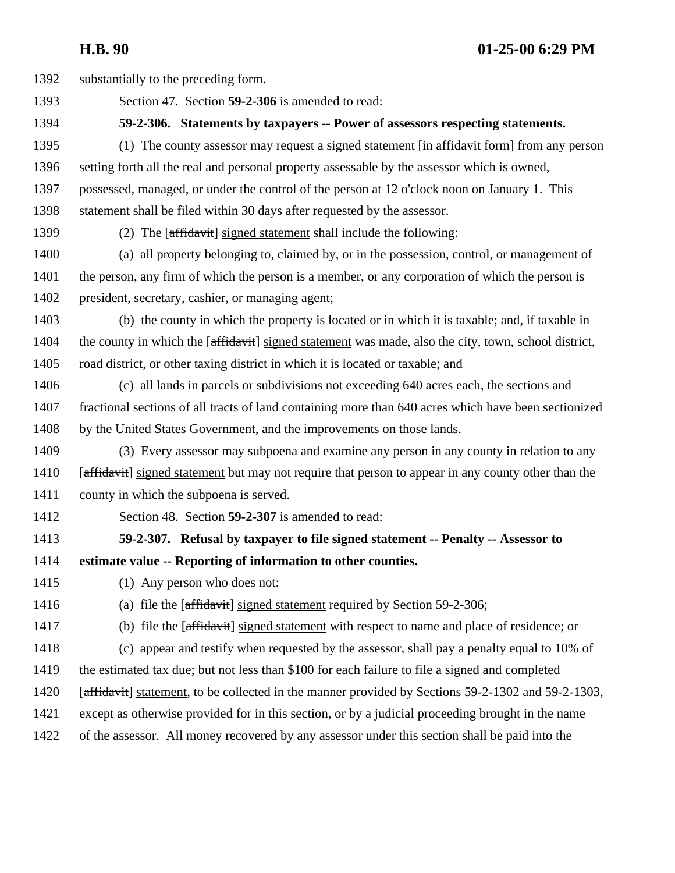substantially to the preceding form. Section 47. Section **59-2-306** is amended to read: **59-2-306. Statements by taxpayers -- Power of assessors respecting statements.**  1395 (1) The county assessor may request a signed statement [in affidavit form] from any person setting forth all the real and personal property assessable by the assessor which is owned, possessed, managed, or under the control of the person at 12 o'clock noon on January 1. This statement shall be filed within 30 days after requested by the assessor. 1399 (2) The [affidavit] signed statement shall include the following: (a) all property belonging to, claimed by, or in the possession, control, or management of the person, any firm of which the person is a member, or any corporation of which the person is president, secretary, cashier, or managing agent; (b) the county in which the property is located or in which it is taxable; and, if taxable in 1404 the county in which the [affidavit] signed statement was made, also the city, town, school district, road district, or other taxing district in which it is located or taxable; and (c) all lands in parcels or subdivisions not exceeding 640 acres each, the sections and fractional sections of all tracts of land containing more than 640 acres which have been sectionized 1408 by the United States Government, and the improvements on those lands. (3) Every assessor may subpoena and examine any person in any county in relation to any 1410 [affidavit] signed statement but may not require that person to appear in any county other than the county in which the subpoena is served. Section 48. Section **59-2-307** is amended to read: **59-2-307. Refusal by taxpayer to file signed statement -- Penalty -- Assessor to estimate value -- Reporting of information to other counties.**  (1) Any person who does not: 1416 (a) file the  $[affidavit]$  signed statement required by Section 59-2-306; 1417 (b) file the [affidavit] signed statement with respect to name and place of residence; or (c) appear and testify when requested by the assessor, shall pay a penalty equal to 10% of the estimated tax due; but not less than \$100 for each failure to file a signed and completed 1420 [affidavit] statement, to be collected in the manner provided by Sections 59-2-1302 and 59-2-1303, except as otherwise provided for in this section, or by a judicial proceeding brought in the name of the assessor. All money recovered by any assessor under this section shall be paid into the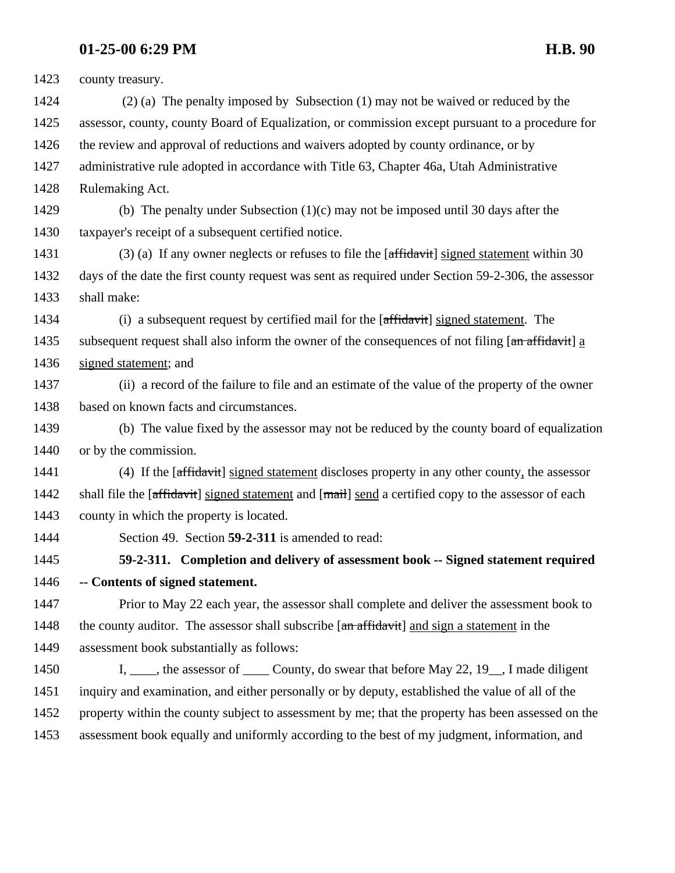county treasury. 1424 (2) (a) The penalty imposed by Subsection (1) may not be waived or reduced by the assessor, county, county Board of Equalization, or commission except pursuant to a procedure for 1426 the review and approval of reductions and waivers adopted by county ordinance, or by administrative rule adopted in accordance with Title 63, Chapter 46a, Utah Administrative Rulemaking Act. (b) The penalty under Subsection (1)(c) may not be imposed until 30 days after the taxpayer's receipt of a subsequent certified notice. 1431 (3) (a) If any owner neglects or refuses to file the [affidavit] signed statement within 30 days of the date the first county request was sent as required under Section 59-2-306, the assessor shall make:

1434 (i) a subsequent request by certified mail for the [affidavit] signed statement. The 1435 subsequent request shall also inform the owner of the consequences of not filing [an affidavit] a signed statement; and

 (ii) a record of the failure to file and an estimate of the value of the property of the owner based on known facts and circumstances.

 (b) The value fixed by the assessor may not be reduced by the county board of equalization or by the commission.

 (4) If the [affidavit] signed statement discloses property in any other county, the assessor 1442 shall file the [affidavit] signed statement and [mail] send a certified copy to the assessor of each county in which the property is located.

Section 49. Section **59-2-311** is amended to read:

 **59-2-311. Completion and delivery of assessment book -- Signed statement required -- Contents of signed statement.** 

 Prior to May 22 each year, the assessor shall complete and deliver the assessment book to 1448 the county auditor. The assessor shall subscribe [an affidavit] and sign a statement in the assessment book substantially as follows:

1450 I, the assessor of County, do swear that before May 22, 19, I made diligent inquiry and examination, and either personally or by deputy, established the value of all of the property within the county subject to assessment by me; that the property has been assessed on the assessment book equally and uniformly according to the best of my judgment, information, and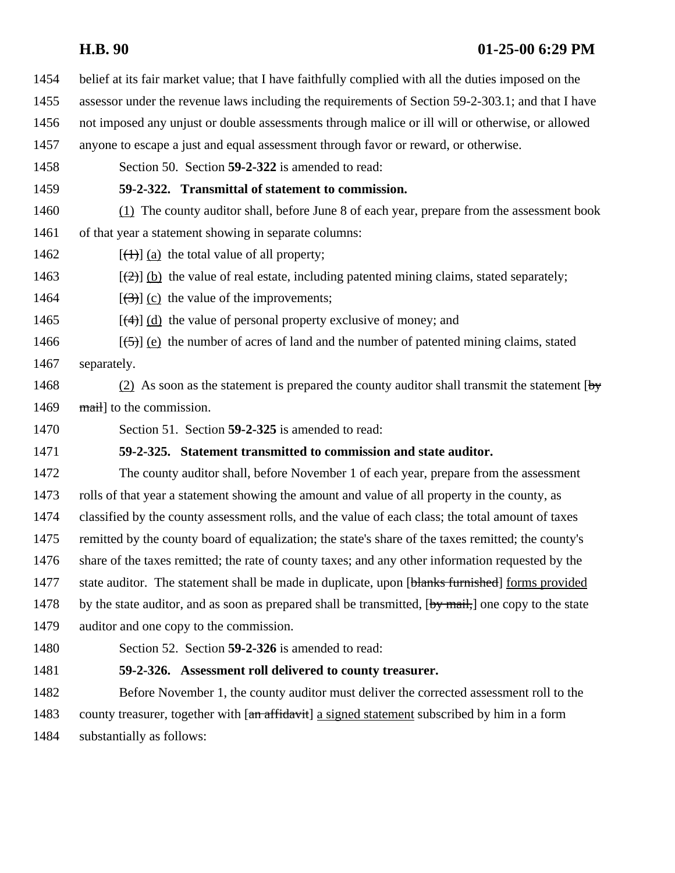- belief at its fair market value; that I have faithfully complied with all the duties imposed on the assessor under the revenue laws including the requirements of Section 59-2-303.1; and that I have not imposed any unjust or double assessments through malice or ill will or otherwise, or allowed anyone to escape a just and equal assessment through favor or reward, or otherwise. Section 50. Section **59-2-322** is amended to read:
	- **59-2-322. Transmittal of statement to commission.**
- (1) The county auditor shall, before June 8 of each year, prepare from the assessment book of that year a statement showing in separate columns:
- 1462  $[(1)] (a)$  the total value of all property;
- 1463  $[\frac{1}{2}]$  (b) the value of real estate, including patented mining claims, stated separately;
- 1464  $[(3)]$  (c) the value of the improvements;
- 1465  $[(4)]$  (d) the value of personal property exclusive of money; and
- 1466  $[\frac{(-5)}{6}]$  (e) the number of acres of land and the number of patented mining claims, stated separately.
- 1468 (2) As soon as the statement is prepared the county auditor shall transmit the statement  $\begin{bmatrix} b_y \end{bmatrix}$ 1469 mail to the commission.
- Section 51. Section **59-2-325** is amended to read:

### **59-2-325. Statement transmitted to commission and state auditor.**

 The county auditor shall, before November 1 of each year, prepare from the assessment rolls of that year a statement showing the amount and value of all property in the county, as classified by the county assessment rolls, and the value of each class; the total amount of taxes remitted by the county board of equalization; the state's share of the taxes remitted; the county's share of the taxes remitted; the rate of county taxes; and any other information requested by the 1477 state auditor. The statement shall be made in duplicate, upon [blanks furnished] forms provided 1478 by the state auditor, and as soon as prepared shall be transmitted,  $[\text{by mail}]$  one copy to the state auditor and one copy to the commission.

Section 52. Section **59-2-326** is amended to read:

## **59-2-326. Assessment roll delivered to county treasurer.**

 Before November 1, the county auditor must deliver the corrected assessment roll to the 1483 county treasurer, together with  $\left[\frac{a_n}{a_n}\right]$  a signed statement subscribed by him in a form substantially as follows: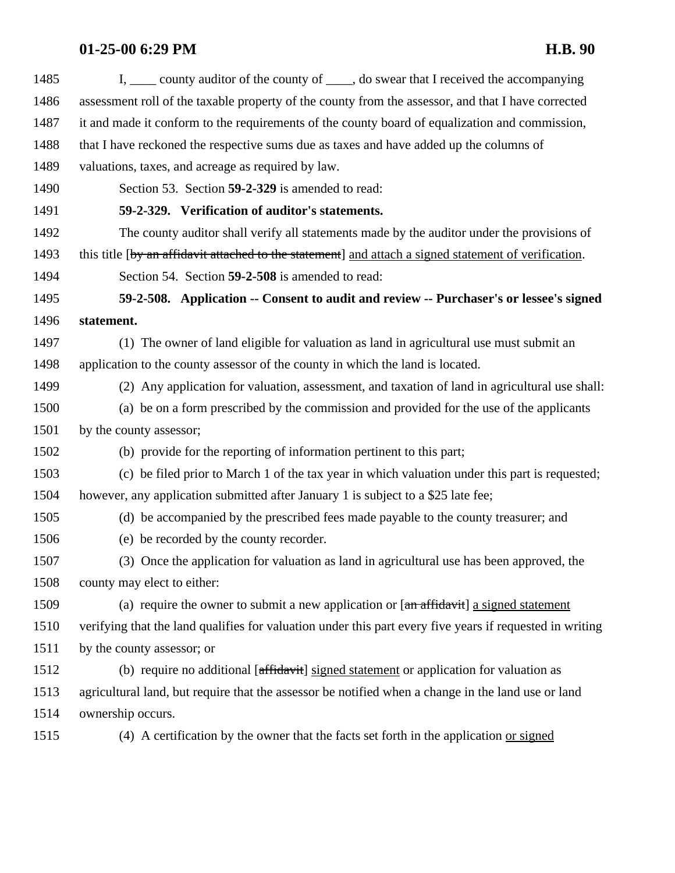| 1485 | I, ____ county auditor of the county of ____, do swear that I received the accompanying                                          |
|------|----------------------------------------------------------------------------------------------------------------------------------|
| 1486 | assessment roll of the taxable property of the county from the assessor, and that I have corrected                               |
| 1487 | it and made it conform to the requirements of the county board of equalization and commission,                                   |
| 1488 | that I have reckoned the respective sums due as taxes and have added up the columns of                                           |
| 1489 | valuations, taxes, and acreage as required by law.                                                                               |
| 1490 | Section 53. Section 59-2-329 is amended to read:                                                                                 |
| 1491 | 59-2-329. Verification of auditor's statements.                                                                                  |
| 1492 | The county auditor shall verify all statements made by the auditor under the provisions of                                       |
| 1493 | this title [by an affidavit attached to the statement] and attach a signed statement of verification.                            |
| 1494 | Section 54. Section 59-2-508 is amended to read:                                                                                 |
| 1495 | 59-2-508. Application -- Consent to audit and review -- Purchaser's or lessee's signed                                           |
| 1496 | statement.                                                                                                                       |
| 1497 | (1) The owner of land eligible for valuation as land in agricultural use must submit an                                          |
| 1498 | application to the county assessor of the county in which the land is located.                                                   |
| 1499 | (2) Any application for valuation, assessment, and taxation of land in agricultural use shall:                                   |
| 1500 | (a) be on a form prescribed by the commission and provided for the use of the applicants                                         |
| 1501 | by the county assessor;                                                                                                          |
| 1502 | (b) provide for the reporting of information pertinent to this part;                                                             |
| 1503 | (c) be filed prior to March 1 of the tax year in which valuation under this part is requested;                                   |
| 1504 | however, any application submitted after January 1 is subject to a \$25 late fee;                                                |
| 1505 | (d) be accompanied by the prescribed fees made payable to the county treasurer; and                                              |
| 1506 | (e) be recorded by the county recorder.                                                                                          |
| 1507 | (3) Once the application for valuation as land in agricultural use has been approved, the                                        |
| 1508 | county may elect to either:                                                                                                      |
| 1509 | (a) require the owner to submit a new application or $[\text{an} \frac{\text{affidavit}}{\text{arifidavit}}]$ a signed statement |
| 1510 | verifying that the land qualifies for valuation under this part every five years if requested in writing                         |
| 1511 | by the county assessor; or                                                                                                       |
| 1512 | (b) require no additional [affidavit] signed statement or application for valuation as                                           |
| 1513 | agricultural land, but require that the assessor be notified when a change in the land use or land                               |
| 1514 | ownership occurs.                                                                                                                |
| 1515 | (4) A certification by the owner that the facts set forth in the application or signed                                           |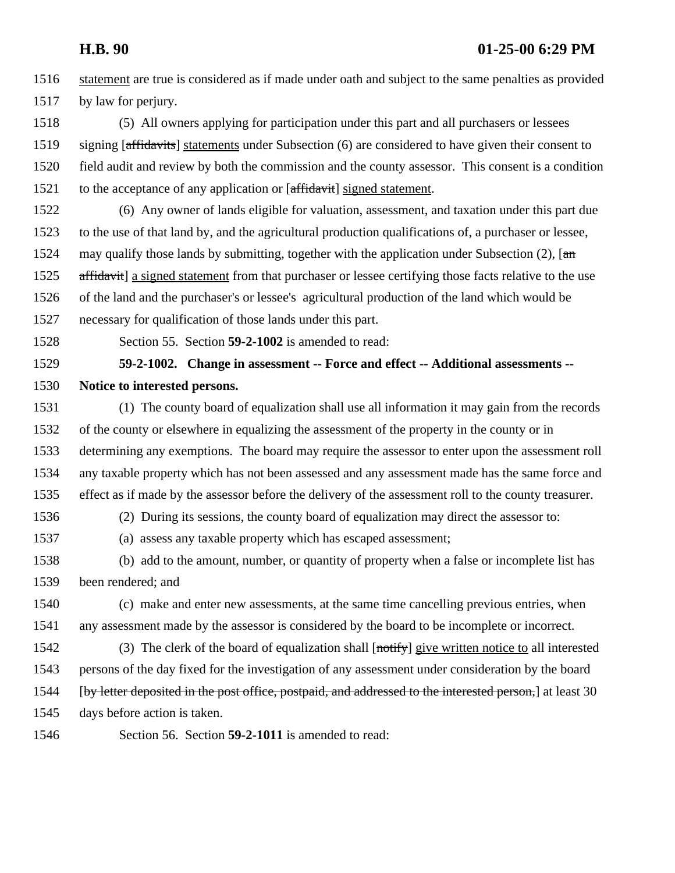statement are true is considered as if made under oath and subject to the same penalties as provided by law for perjury.

 (5) All owners applying for participation under this part and all purchasers or lessees 1519 signing [affidavits] statements under Subsection (6) are considered to have given their consent to field audit and review by both the commission and the county assessor. This consent is a condition 1521 to the acceptance of any application or [affidavit] signed statement.

 (6) Any owner of lands eligible for valuation, assessment, and taxation under this part due to the use of that land by, and the agricultural production qualifications of, a purchaser or lessee, 1524 may qualify those lands by submitting, together with the application under Subsection (2),  $\pi$ 1525 affidavit] a signed statement from that purchaser or lessee certifying those facts relative to the use of the land and the purchaser's or lessee's agricultural production of the land which would be necessary for qualification of those lands under this part.

Section 55. Section **59-2-1002** is amended to read:

 **59-2-1002. Change in assessment -- Force and effect -- Additional assessments -- Notice to interested persons.** 

 (1) The county board of equalization shall use all information it may gain from the records of the county or elsewhere in equalizing the assessment of the property in the county or in determining any exemptions. The board may require the assessor to enter upon the assessment roll any taxable property which has not been assessed and any assessment made has the same force and effect as if made by the assessor before the delivery of the assessment roll to the county treasurer.

(2) During its sessions, the county board of equalization may direct the assessor to:

(a) assess any taxable property which has escaped assessment;

 (b) add to the amount, number, or quantity of property when a false or incomplete list has been rendered; and

 (c) make and enter new assessments, at the same time cancelling previous entries, when any assessment made by the assessor is considered by the board to be incomplete or incorrect.

1542 (3) The clerk of the board of equalization shall  $[$ <del>notify</del> $]$  give written notice to all interested persons of the day fixed for the investigation of any assessment under consideration by the board [by letter deposited in the post office, postpaid, and addressed to the interested person,] at least 30

days before action is taken.

Section 56. Section **59-2-1011** is amended to read: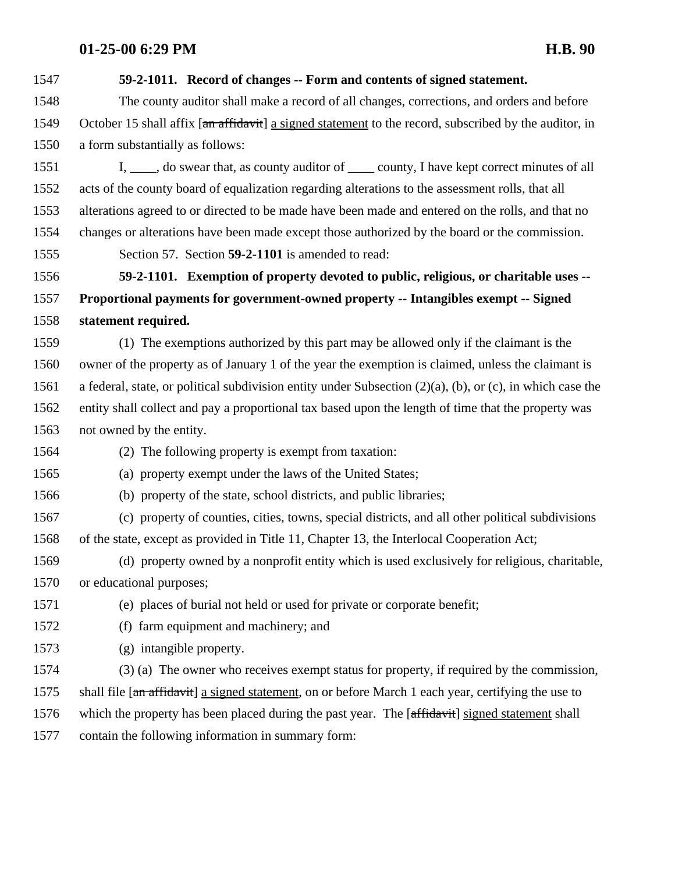| 1547 | 59-2-1011. Record of changes -- Form and contents of signed statement.                                             |
|------|--------------------------------------------------------------------------------------------------------------------|
| 1548 | The county auditor shall make a record of all changes, corrections, and orders and before                          |
| 1549 | October 15 shall affix [an affidavit] a signed statement to the record, subscribed by the auditor, in              |
| 1550 | a form substantially as follows:                                                                                   |
| 1551 | I, ____, do swear that, as county auditor of _____ county, I have kept correct minutes of all                      |
| 1552 | acts of the county board of equalization regarding alterations to the assessment rolls, that all                   |
| 1553 | alterations agreed to or directed to be made have been made and entered on the rolls, and that no                  |
| 1554 | changes or alterations have been made except those authorized by the board or the commission.                      |
| 1555 | Section 57. Section 59-2-1101 is amended to read:                                                                  |
| 1556 | 59-2-1101. Exemption of property devoted to public, religious, or charitable uses --                               |
| 1557 | Proportional payments for government-owned property -- Intangibles exempt -- Signed                                |
| 1558 | statement required.                                                                                                |
| 1559 | (1) The exemptions authorized by this part may be allowed only if the claimant is the                              |
| 1560 | owner of the property as of January 1 of the year the exemption is claimed, unless the claimant is                 |
| 1561 | a federal, state, or political subdivision entity under Subsection $(2)(a)$ , $(b)$ , or $(c)$ , in which case the |
| 1562 | entity shall collect and pay a proportional tax based upon the length of time that the property was                |
| 1563 | not owned by the entity.                                                                                           |
| 1564 | (2) The following property is exempt from taxation:                                                                |
| 1565 | (a) property exempt under the laws of the United States;                                                           |
| 1566 | (b) property of the state, school districts, and public libraries;                                                 |
| 1567 | (c) property of counties, cities, towns, special districts, and all other political subdivisions                   |
| 1568 | of the state, except as provided in Title 11, Chapter 13, the Interlocal Cooperation Act;                          |
| 1569 | (d) property owned by a nonprofit entity which is used exclusively for religious, charitable,                      |
| 1570 | or educational purposes;                                                                                           |
| 1571 | (e) places of burial not held or used for private or corporate benefit;                                            |
| 1572 | (f) farm equipment and machinery; and                                                                              |
| 1573 | (g) intangible property.                                                                                           |
| 1574 | (3) (a) The owner who receives exempt status for property, if required by the commission,                          |
| 1575 | shall file [an affidavit] a signed statement, on or before March 1 each year, certifying the use to                |
| 1576 | which the property has been placed during the past year. The [affidavit] signed statement shall                    |
| 1577 | contain the following information in summary form:                                                                 |
|      |                                                                                                                    |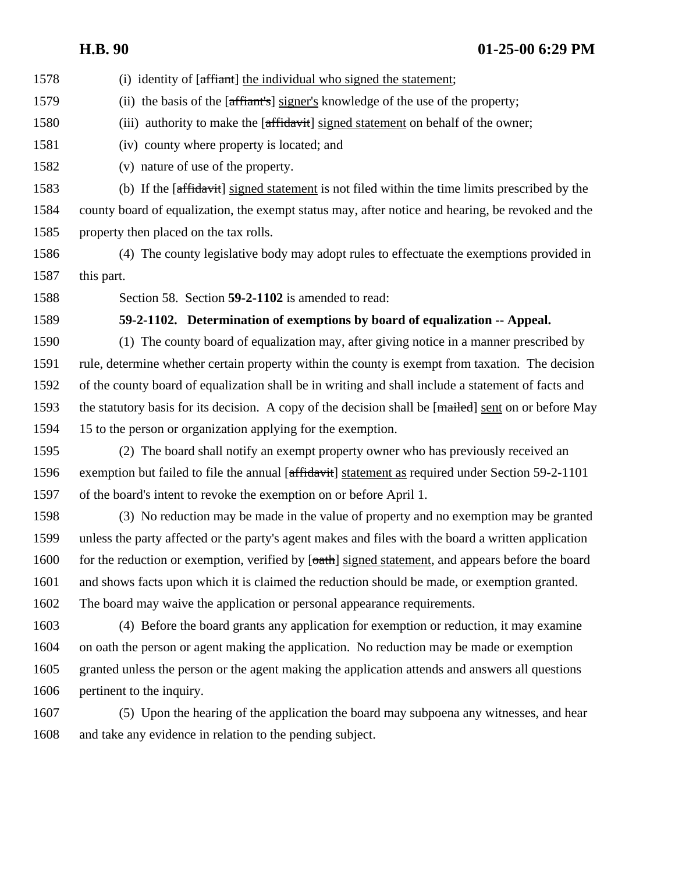- 1578 (i) identity of [affiant] the individual who signed the statement;
- 1579 (ii) the basis of the [affiant's] signer's knowledge of the use of the property;
- 1580 (iii) authority to make the [affidavit] signed statement on behalf of the owner;
- (iv) county where property is located; and
- (v) nature of use of the property.

 (b) If the [affidavit] signed statement is not filed within the time limits prescribed by the county board of equalization, the exempt status may, after notice and hearing, be revoked and the property then placed on the tax rolls.

 (4) The county legislative body may adopt rules to effectuate the exemptions provided in this part.

Section 58. Section **59-2-1102** is amended to read:

#### **59-2-1102. Determination of exemptions by board of equalization -- Appeal.**

 (1) The county board of equalization may, after giving notice in a manner prescribed by rule, determine whether certain property within the county is exempt from taxation. The decision of the county board of equalization shall be in writing and shall include a statement of facts and 1593 the statutory basis for its decision. A copy of the decision shall be [mailed] sent on or before May 15 to the person or organization applying for the exemption.

 (2) The board shall notify an exempt property owner who has previously received an exemption but failed to file the annual [affidavit] statement as required under Section 59-2-1101 of the board's intent to revoke the exemption on or before April 1.

 (3) No reduction may be made in the value of property and no exemption may be granted unless the party affected or the party's agent makes and files with the board a written application 1600 for the reduction or exemption, verified by  $\sqrt{6a}$ th signed statement, and appears before the board and shows facts upon which it is claimed the reduction should be made, or exemption granted. The board may waive the application or personal appearance requirements.

 (4) Before the board grants any application for exemption or reduction, it may examine on oath the person or agent making the application. No reduction may be made or exemption granted unless the person or the agent making the application attends and answers all questions pertinent to the inquiry.

 (5) Upon the hearing of the application the board may subpoena any witnesses, and hear and take any evidence in relation to the pending subject.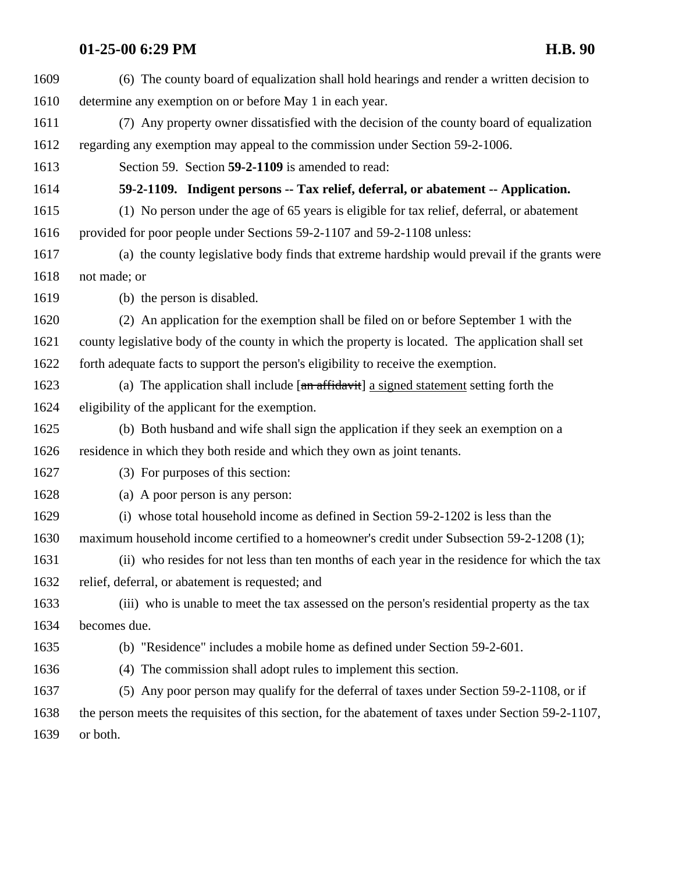| 1609 | (6) The county board of equalization shall hold hearings and render a written decision to            |
|------|------------------------------------------------------------------------------------------------------|
| 1610 | determine any exemption on or before May 1 in each year.                                             |
| 1611 | (7) Any property owner dissatisfied with the decision of the county board of equalization            |
| 1612 | regarding any exemption may appeal to the commission under Section 59-2-1006.                        |
| 1613 | Section 59. Section 59-2-1109 is amended to read:                                                    |
| 1614 | 59-2-1109. Indigent persons -- Tax relief, deferral, or abatement -- Application.                    |
| 1615 | (1) No person under the age of 65 years is eligible for tax relief, deferral, or abatement           |
| 1616 | provided for poor people under Sections 59-2-1107 and 59-2-1108 unless:                              |
| 1617 | (a) the county legislative body finds that extreme hardship would prevail if the grants were         |
| 1618 | not made; or                                                                                         |
| 1619 | (b) the person is disabled.                                                                          |
| 1620 | (2) An application for the exemption shall be filed on or before September 1 with the                |
| 1621 | county legislative body of the county in which the property is located. The application shall set    |
| 1622 | forth adequate facts to support the person's eligibility to receive the exemption.                   |
| 1623 | (a) The application shall include $[an affidavit]$ a signed statement setting forth the              |
| 1624 | eligibility of the applicant for the exemption.                                                      |
| 1625 | (b) Both husband and wife shall sign the application if they seek an exemption on a                  |
| 1626 | residence in which they both reside and which they own as joint tenants.                             |
| 1627 | (3) For purposes of this section:                                                                    |
| 1628 | (a) A poor person is any person:                                                                     |
| 1629 | (i) whose total household income as defined in Section 59-2-1202 is less than the                    |
| 1630 | maximum household income certified to a homeowner's credit under Subsection 59-2-1208 (1);           |
| 1631 | (ii) who resides for not less than ten months of each year in the residence for which the tax        |
| 1632 | relief, deferral, or abatement is requested; and                                                     |
| 1633 | (iii) who is unable to meet the tax assessed on the person's residential property as the tax         |
| 1634 | becomes due.                                                                                         |
| 1635 | (b) "Residence" includes a mobile home as defined under Section 59-2-601.                            |
| 1636 | The commission shall adopt rules to implement this section.<br>(4)                                   |
| 1637 | (5) Any poor person may qualify for the deferral of taxes under Section 59-2-1108, or if             |
| 1638 | the person meets the requisites of this section, for the abatement of taxes under Section 59-2-1107, |
| 1639 | or both.                                                                                             |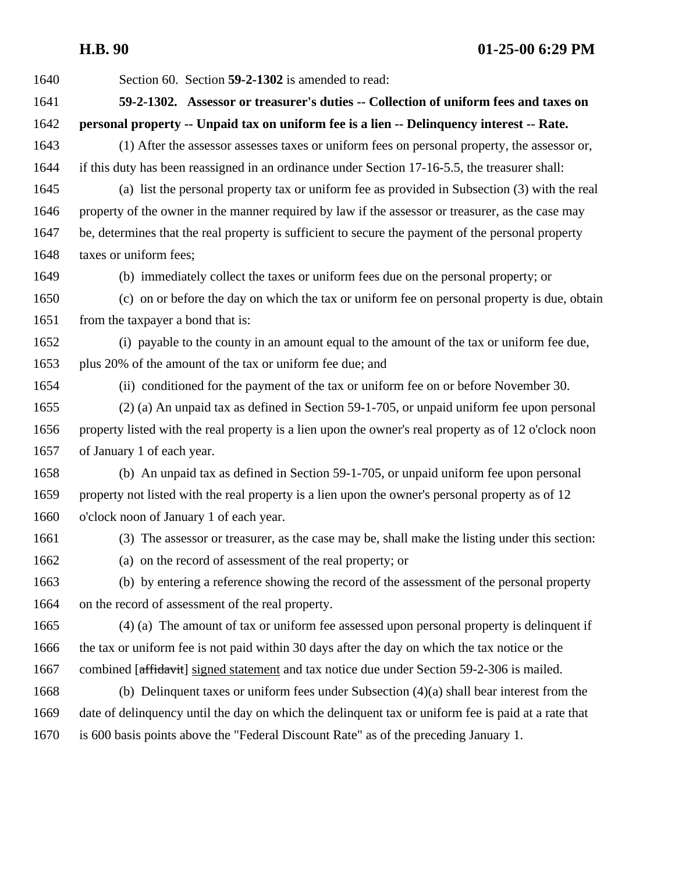| 1640 | Section 60. Section 59-2-1302 is amended to read:                                                     |
|------|-------------------------------------------------------------------------------------------------------|
| 1641 | 59-2-1302. Assessor or treasurer's duties -- Collection of uniform fees and taxes on                  |
| 1642 | personal property -- Unpaid tax on uniform fee is a lien -- Delinquency interest -- Rate.             |
| 1643 | (1) After the assessor assesses taxes or uniform fees on personal property, the assessor or,          |
| 1644 | if this duty has been reassigned in an ordinance under Section 17-16-5.5, the treasurer shall:        |
| 1645 | (a) list the personal property tax or uniform fee as provided in Subsection (3) with the real         |
| 1646 | property of the owner in the manner required by law if the assessor or treasurer, as the case may     |
| 1647 | be, determines that the real property is sufficient to secure the payment of the personal property    |
| 1648 | taxes or uniform fees;                                                                                |
| 1649 | (b) immediately collect the taxes or uniform fees due on the personal property; or                    |
| 1650 | (c) on or before the day on which the tax or uniform fee on personal property is due, obtain          |
| 1651 | from the taxpayer a bond that is:                                                                     |
| 1652 | (i) payable to the county in an amount equal to the amount of the tax or uniform fee due,             |
| 1653 | plus 20% of the amount of the tax or uniform fee due; and                                             |
| 1654 | (ii) conditioned for the payment of the tax or uniform fee on or before November 30.                  |
| 1655 | (2) (a) An unpaid tax as defined in Section 59-1-705, or unpaid uniform fee upon personal             |
| 1656 | property listed with the real property is a lien upon the owner's real property as of 12 o'clock noon |
| 1657 | of January 1 of each year.                                                                            |
| 1658 | (b) An unpaid tax as defined in Section 59-1-705, or unpaid uniform fee upon personal                 |
| 1659 | property not listed with the real property is a lien upon the owner's personal property as of 12      |
| 1660 | o'clock noon of January 1 of each year.                                                               |
| 1661 | (3) The assessor or treasurer, as the case may be, shall make the listing under this section:         |
| 1662 | (a) on the record of assessment of the real property; or                                              |
| 1663 | (b) by entering a reference showing the record of the assessment of the personal property             |
| 1664 | on the record of assessment of the real property.                                                     |
| 1665 | (4) (a) The amount of tax or uniform fee assessed upon personal property is delinquent if             |
| 1666 | the tax or uniform fee is not paid within 30 days after the day on which the tax notice or the        |
| 1667 | combined [affidavit] signed statement and tax notice due under Section 59-2-306 is mailed.            |
| 1668 | (b) Delinquent taxes or uniform fees under Subsection $(4)(a)$ shall bear interest from the           |
| 1669 | date of delinquency until the day on which the delinquent tax or uniform fee is paid at a rate that   |
| 1670 | is 600 basis points above the "Federal Discount Rate" as of the preceding January 1.                  |
|      |                                                                                                       |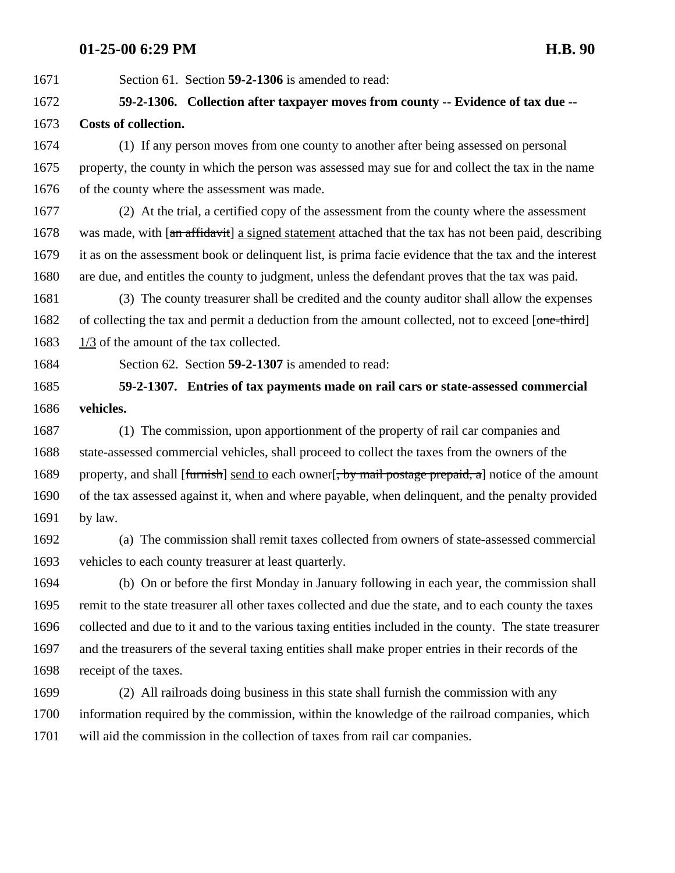Section 61. Section **59-2-1306** is amended to read:

## **59-2-1306. Collection after taxpayer moves from county -- Evidence of tax due -- Costs of collection.**

 (1) If any person moves from one county to another after being assessed on personal property, the county in which the person was assessed may sue for and collect the tax in the name of the county where the assessment was made.

 (2) At the trial, a certified copy of the assessment from the county where the assessment 1678 was made, with [an affidavit] a signed statement attached that the tax has not been paid, describing it as on the assessment book or delinquent list, is prima facie evidence that the tax and the interest are due, and entitles the county to judgment, unless the defendant proves that the tax was paid.

 (3) The county treasurer shall be credited and the county auditor shall allow the expenses 1682 of collecting the tax and permit a deduction from the amount collected, not to exceed [one-third] 1683 1/3 of the amount of the tax collected.

Section 62. Section **59-2-1307** is amended to read:

 **59-2-1307. Entries of tax payments made on rail cars or state-assessed commercial vehicles.**

 (1) The commission, upon apportionment of the property of rail car companies and state-assessed commercial vehicles, shall proceed to collect the taxes from the owners of the 1689 property, and shall [furnish] send to each owner], by mail postage prepaid, a] notice of the amount of the tax assessed against it, when and where payable, when delinquent, and the penalty provided by law.

 (a) The commission shall remit taxes collected from owners of state-assessed commercial vehicles to each county treasurer at least quarterly.

 (b) On or before the first Monday in January following in each year, the commission shall remit to the state treasurer all other taxes collected and due the state, and to each county the taxes collected and due to it and to the various taxing entities included in the county. The state treasurer and the treasurers of the several taxing entities shall make proper entries in their records of the receipt of the taxes.

 (2) All railroads doing business in this state shall furnish the commission with any information required by the commission, within the knowledge of the railroad companies, which will aid the commission in the collection of taxes from rail car companies.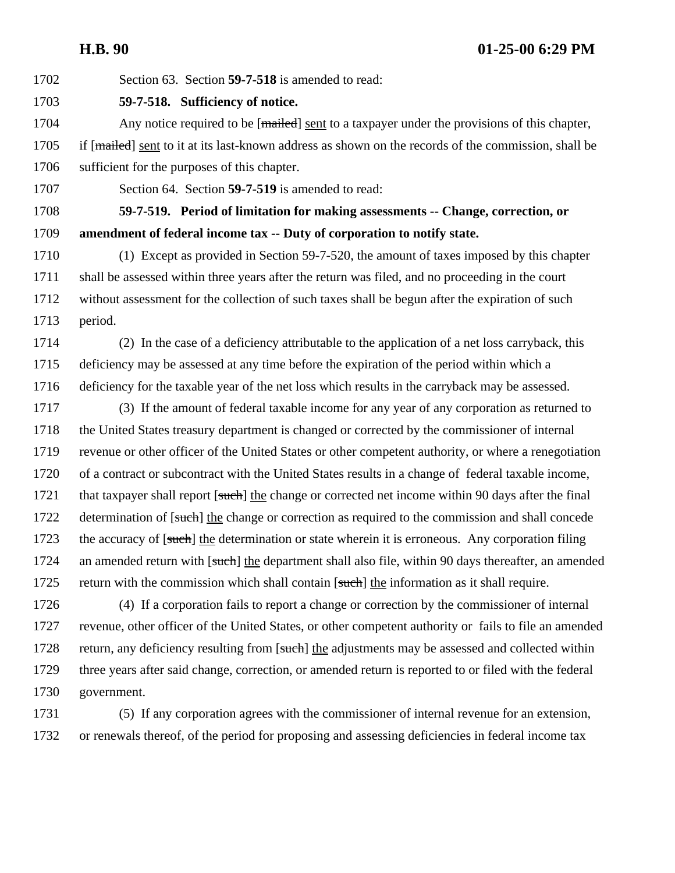Section 63. Section **59-7-518** is amended to read: **59-7-518. Sufficiency of notice.**  1704 Any notice required to be [mailed] sent to a taxpayer under the provisions of this chapter, 1705 if [mailed] sent to it at its last-known address as shown on the records of the commission, shall be sufficient for the purposes of this chapter. Section 64. Section **59-7-519** is amended to read: **59-7-519. Period of limitation for making assessments -- Change, correction, or amendment of federal income tax -- Duty of corporation to notify state.**  (1) Except as provided in Section 59-7-520, the amount of taxes imposed by this chapter shall be assessed within three years after the return was filed, and no proceeding in the court without assessment for the collection of such taxes shall be begun after the expiration of such period. (2) In the case of a deficiency attributable to the application of a net loss carryback, this deficiency may be assessed at any time before the expiration of the period within which a deficiency for the taxable year of the net loss which results in the carryback may be assessed. (3) If the amount of federal taxable income for any year of any corporation as returned to the United States treasury department is changed or corrected by the commissioner of internal revenue or other officer of the United States or other competent authority, or where a renegotiation of a contract or subcontract with the United States results in a change of federal taxable income, 1721 that taxpayer shall report [such] the change or corrected net income within 90 days after the final 1722 determination of [such] the change or correction as required to the commission and shall concede 1723 the accuracy of [such] the determination or state wherein it is erroneous. Any corporation filing 1724 an amended return with [such] the department shall also file, within 90 days thereafter, an amended 1725 return with the commission which shall contain [such] the information as it shall require. (4) If a corporation fails to report a change or correction by the commissioner of internal revenue, other officer of the United States, or other competent authority or fails to file an amended 1728 return, any deficiency resulting from [such] the adjustments may be assessed and collected within three years after said change, correction, or amended return is reported to or filed with the federal government.

 (5) If any corporation agrees with the commissioner of internal revenue for an extension, or renewals thereof, of the period for proposing and assessing deficiencies in federal income tax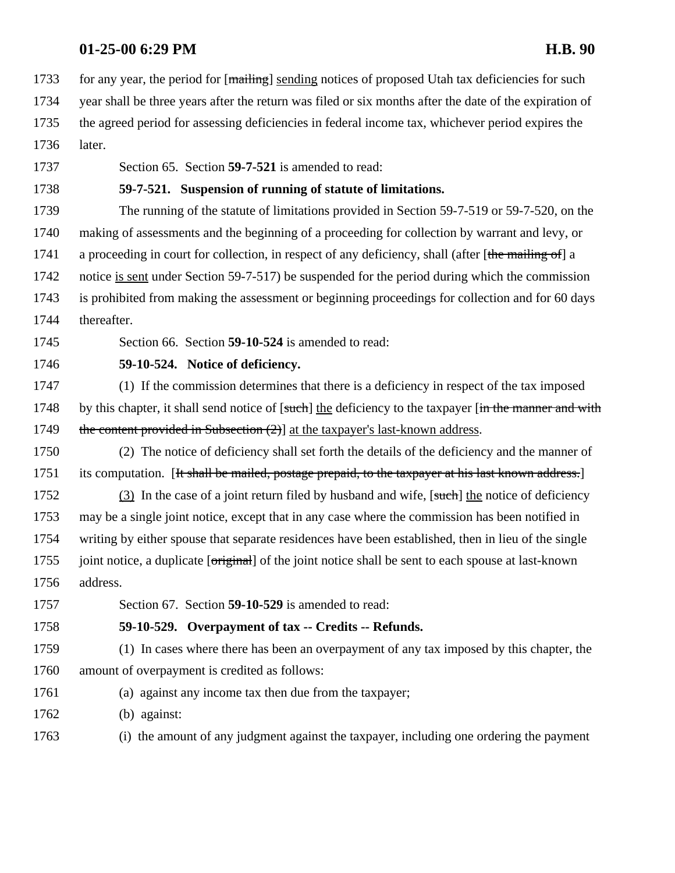1733 for any year, the period for [mailing] sending notices of proposed Utah tax deficiencies for such

- year shall be three years after the return was filed or six months after the date of the expiration of the agreed period for assessing deficiencies in federal income tax, whichever period expires the
- later.
- 

Section 65. Section **59-7-521** is amended to read:

### **59-7-521. Suspension of running of statute of limitations.**

 The running of the statute of limitations provided in Section 59-7-519 or 59-7-520, on the making of assessments and the beginning of a proceeding for collection by warrant and levy, or 1741 a proceeding in court for collection, in respect of any deficiency, shall (after [the mailing of] a notice is sent under Section 59-7-517) be suspended for the period during which the commission is prohibited from making the assessment or beginning proceedings for collection and for 60 days thereafter.

Section 66. Section **59-10-524** is amended to read:

**59-10-524. Notice of deficiency.** 

 (1) If the commission determines that there is a deficiency in respect of the tax imposed 1748 by this chapter, it shall send notice of [such] the deficiency to the taxpayer [in the manner and with 1749 the content provided in Subsection  $(2)$ ] at the taxpayer's last-known address.

 (2) The notice of deficiency shall set forth the details of the deficiency and the manner of 1751 its computation. [It shall be mailed, postage prepaid, to the taxpayer at his last known address.]

1752 (3) In the case of a joint return filed by husband and wife, [such] the notice of deficiency may be a single joint notice, except that in any case where the commission has been notified in writing by either spouse that separate residences have been established, then in lieu of the single 1755 joint notice, a duplicate [original] of the joint notice shall be sent to each spouse at last-known address.

Section 67. Section **59-10-529** is amended to read:

#### **59-10-529. Overpayment of tax -- Credits -- Refunds.**

 (1) In cases where there has been an overpayment of any tax imposed by this chapter, the amount of overpayment is credited as follows:

(a) against any income tax then due from the taxpayer;

(b) against:

(i) the amount of any judgment against the taxpayer, including one ordering the payment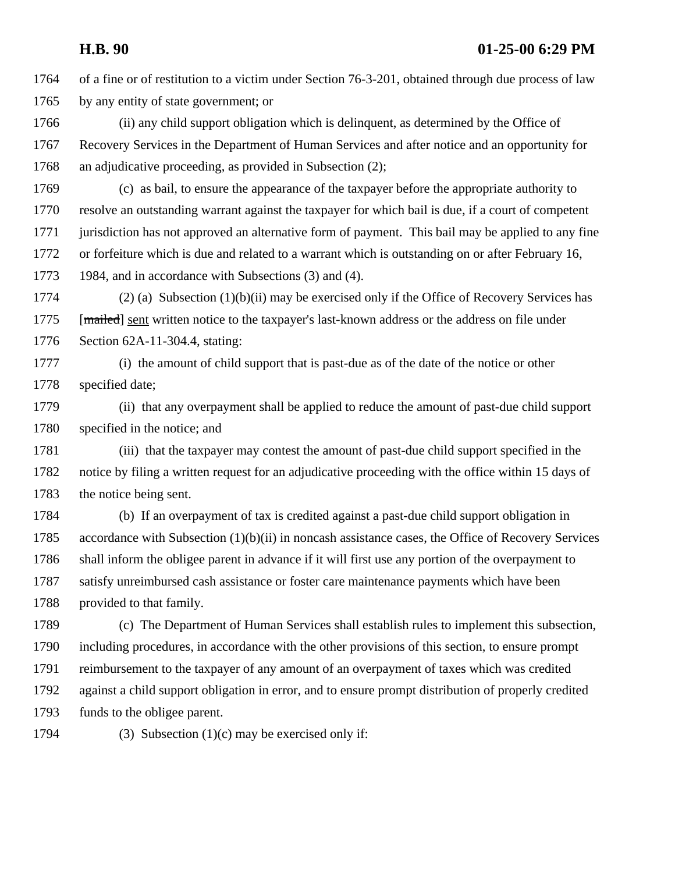of a fine or of restitution to a victim under Section 76-3-201, obtained through due process of law by any entity of state government; or

 (ii) any child support obligation which is delinquent, as determined by the Office of Recovery Services in the Department of Human Services and after notice and an opportunity for an adjudicative proceeding, as provided in Subsection (2);

 (c) as bail, to ensure the appearance of the taxpayer before the appropriate authority to resolve an outstanding warrant against the taxpayer for which bail is due, if a court of competent jurisdiction has not approved an alternative form of payment. This bail may be applied to any fine or forfeiture which is due and related to a warrant which is outstanding on or after February 16, 1984, and in accordance with Subsections (3) and (4).

1774 (2) (a) Subsection  $(1)(b)(ii)$  may be exercised only if the Office of Recovery Services has 1775 [mailed] sent written notice to the taxpayer's last-known address or the address on file under Section 62A-11-304.4, stating:

 (i) the amount of child support that is past-due as of the date of the notice or other specified date;

 (ii) that any overpayment shall be applied to reduce the amount of past-due child support specified in the notice; and

 (iii) that the taxpayer may contest the amount of past-due child support specified in the notice by filing a written request for an adjudicative proceeding with the office within 15 days of the notice being sent.

 (b) If an overpayment of tax is credited against a past-due child support obligation in accordance with Subsection (1)(b)(ii) in noncash assistance cases, the Office of Recovery Services shall inform the obligee parent in advance if it will first use any portion of the overpayment to satisfy unreimbursed cash assistance or foster care maintenance payments which have been provided to that family.

 (c) The Department of Human Services shall establish rules to implement this subsection, including procedures, in accordance with the other provisions of this section, to ensure prompt reimbursement to the taxpayer of any amount of an overpayment of taxes which was credited against a child support obligation in error, and to ensure prompt distribution of properly credited funds to the obligee parent.

1794 (3) Subsection  $(1)(c)$  may be exercised only if: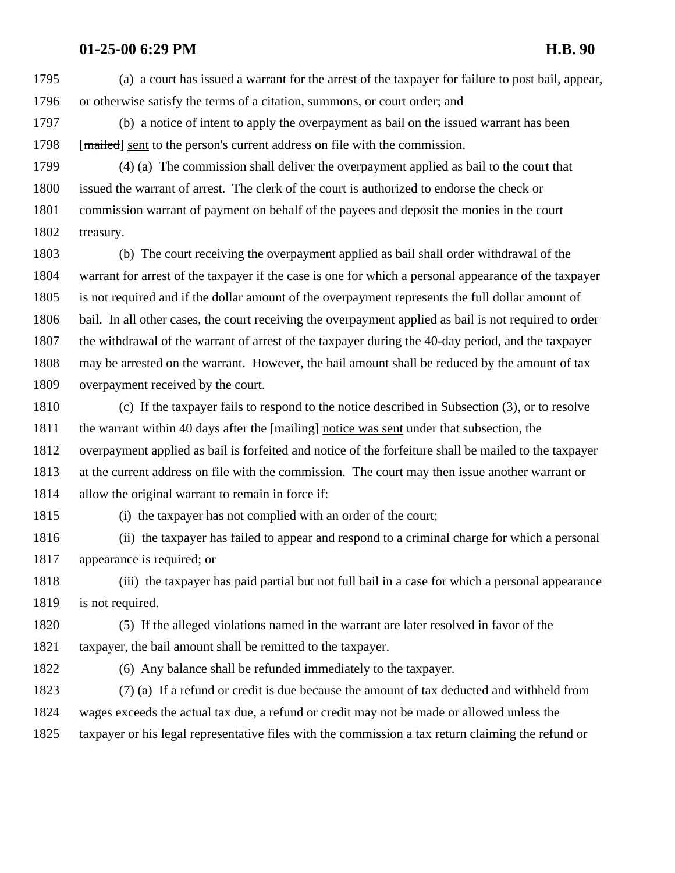(a) a court has issued a warrant for the arrest of the taxpayer for failure to post bail, appear, or otherwise satisfy the terms of a citation, summons, or court order; and

 (b) a notice of intent to apply the overpayment as bail on the issued warrant has been 1798 [mailed] sent to the person's current address on file with the commission.

 (4) (a) The commission shall deliver the overpayment applied as bail to the court that issued the warrant of arrest. The clerk of the court is authorized to endorse the check or commission warrant of payment on behalf of the payees and deposit the monies in the court treasury.

 (b) The court receiving the overpayment applied as bail shall order withdrawal of the warrant for arrest of the taxpayer if the case is one for which a personal appearance of the taxpayer is not required and if the dollar amount of the overpayment represents the full dollar amount of bail. In all other cases, the court receiving the overpayment applied as bail is not required to order the withdrawal of the warrant of arrest of the taxpayer during the 40-day period, and the taxpayer may be arrested on the warrant. However, the bail amount shall be reduced by the amount of tax overpayment received by the court.

 (c) If the taxpayer fails to respond to the notice described in Subsection (3), or to resolve 1811 the warrant within 40 days after the  $[\text{mainting}]$  notice was sent under that subsection, the overpayment applied as bail is forfeited and notice of the forfeiture shall be mailed to the taxpayer at the current address on file with the commission. The court may then issue another warrant or allow the original warrant to remain in force if:

(i) the taxpayer has not complied with an order of the court;

 (ii) the taxpayer has failed to appear and respond to a criminal charge for which a personal appearance is required; or

 (iii) the taxpayer has paid partial but not full bail in a case for which a personal appearance is not required.

 (5) If the alleged violations named in the warrant are later resolved in favor of the taxpayer, the bail amount shall be remitted to the taxpayer.

(6) Any balance shall be refunded immediately to the taxpayer.

 (7) (a) If a refund or credit is due because the amount of tax deducted and withheld from wages exceeds the actual tax due, a refund or credit may not be made or allowed unless the taxpayer or his legal representative files with the commission a tax return claiming the refund or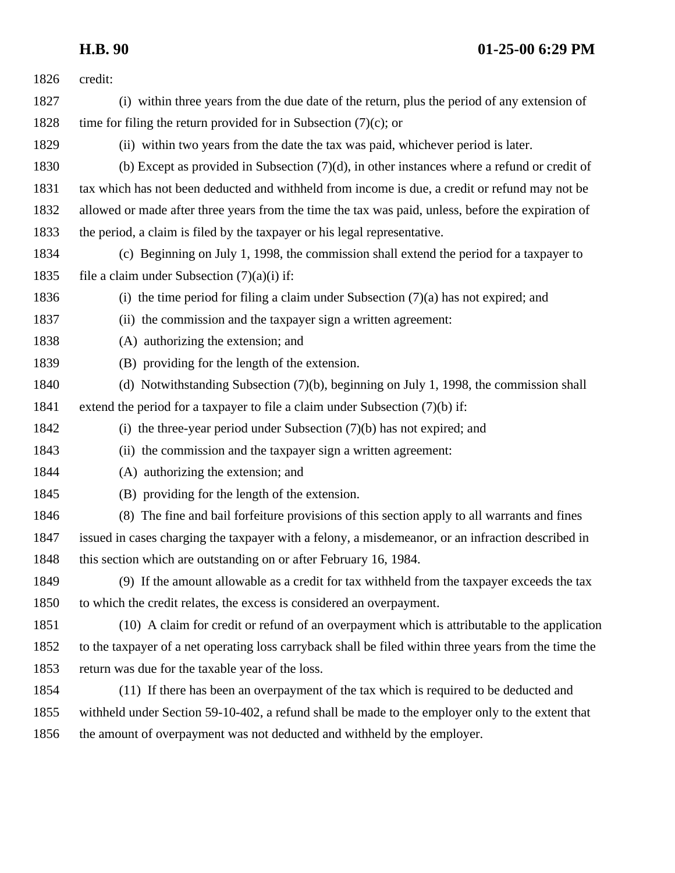| 1826 | credit:                                                                                               |
|------|-------------------------------------------------------------------------------------------------------|
| 1827 | (i) within three years from the due date of the return, plus the period of any extension of           |
| 1828 | time for filing the return provided for in Subsection $(7)(c)$ ; or                                   |
| 1829 | (ii) within two years from the date the tax was paid, whichever period is later.                      |
| 1830 | (b) Except as provided in Subsection $(7)(d)$ , in other instances where a refund or credit of        |
| 1831 | tax which has not been deducted and withheld from income is due, a credit or refund may not be        |
| 1832 | allowed or made after three years from the time the tax was paid, unless, before the expiration of    |
| 1833 | the period, a claim is filed by the taxpayer or his legal representative.                             |
| 1834 | (c) Beginning on July 1, 1998, the commission shall extend the period for a taxpayer to               |
| 1835 | file a claim under Subsection $(7)(a)(i)$ if:                                                         |
| 1836 | (i) the time period for filing a claim under Subsection $(7)(a)$ has not expired; and                 |
| 1837 | (ii) the commission and the taxpayer sign a written agreement:                                        |
| 1838 | (A) authorizing the extension; and                                                                    |
| 1839 | (B) providing for the length of the extension.                                                        |
| 1840 | (d) Notwithstanding Subsection (7)(b), beginning on July 1, 1998, the commission shall                |
| 1841 | extend the period for a taxpayer to file a claim under Subsection $(7)(b)$ if:                        |
| 1842 | (i) the three-year period under Subsection $(7)(b)$ has not expired; and                              |
| 1843 | (ii) the commission and the taxpayer sign a written agreement:                                        |
| 1844 | (A) authorizing the extension; and                                                                    |
| 1845 | (B) providing for the length of the extension.                                                        |
| 1846 | (8) The fine and bail forfeiture provisions of this section apply to all warrants and fines           |
| 1847 | issued in cases charging the taxpayer with a felony, a misdemeanor, or an infraction described in     |
| 1848 | this section which are outstanding on or after February 16, 1984.                                     |
| 1849 | (9) If the amount allowable as a credit for tax withheld from the taxpayer exceeds the tax            |
| 1850 | to which the credit relates, the excess is considered an overpayment.                                 |
| 1851 | (10) A claim for credit or refund of an overpayment which is attributable to the application          |
| 1852 | to the taxpayer of a net operating loss carryback shall be filed within three years from the time the |
| 1853 | return was due for the taxable year of the loss.                                                      |
| 1854 | (11) If there has been an overpayment of the tax which is required to be deducted and                 |
| 1855 | withheld under Section 59-10-402, a refund shall be made to the employer only to the extent that      |
| 1856 | the amount of overpayment was not deducted and withheld by the employer.                              |
|      |                                                                                                       |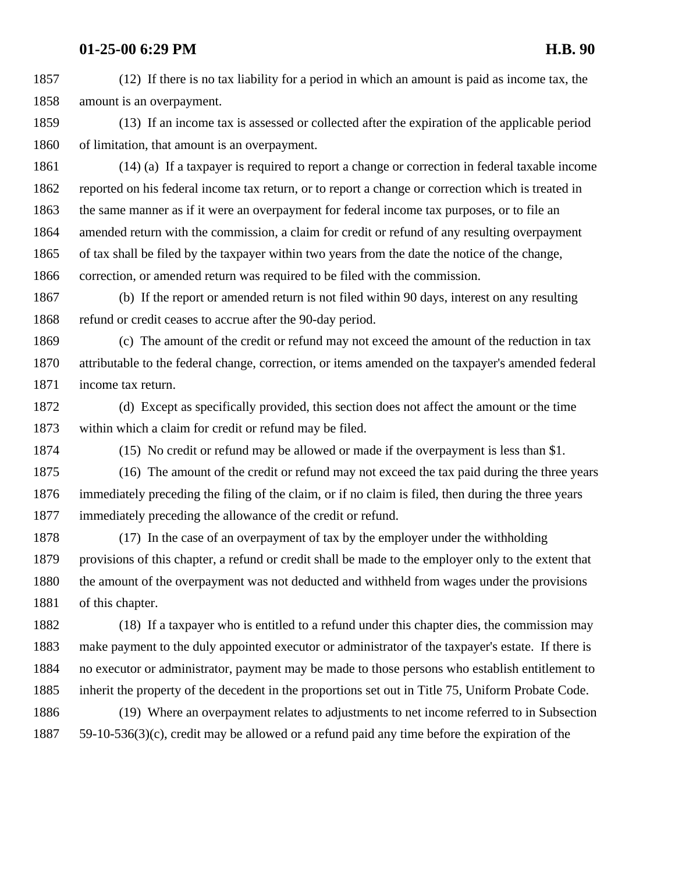(12) If there is no tax liability for a period in which an amount is paid as income tax, the amount is an overpayment.

 (13) If an income tax is assessed or collected after the expiration of the applicable period of limitation, that amount is an overpayment.

 (14) (a) If a taxpayer is required to report a change or correction in federal taxable income reported on his federal income tax return, or to report a change or correction which is treated in the same manner as if it were an overpayment for federal income tax purposes, or to file an amended return with the commission, a claim for credit or refund of any resulting overpayment of tax shall be filed by the taxpayer within two years from the date the notice of the change, correction, or amended return was required to be filed with the commission.

 (b) If the report or amended return is not filed within 90 days, interest on any resulting 1868 refund or credit ceases to accrue after the 90-day period.

 (c) The amount of the credit or refund may not exceed the amount of the reduction in tax attributable to the federal change, correction, or items amended on the taxpayer's amended federal income tax return.

 (d) Except as specifically provided, this section does not affect the amount or the time within which a claim for credit or refund may be filed.

(15) No credit or refund may be allowed or made if the overpayment is less than \$1.

 (16) The amount of the credit or refund may not exceed the tax paid during the three years immediately preceding the filing of the claim, or if no claim is filed, then during the three years immediately preceding the allowance of the credit or refund.

 (17) In the case of an overpayment of tax by the employer under the withholding provisions of this chapter, a refund or credit shall be made to the employer only to the extent that the amount of the overpayment was not deducted and withheld from wages under the provisions of this chapter.

 (18) If a taxpayer who is entitled to a refund under this chapter dies, the commission may make payment to the duly appointed executor or administrator of the taxpayer's estate. If there is no executor or administrator, payment may be made to those persons who establish entitlement to inherit the property of the decedent in the proportions set out in Title 75, Uniform Probate Code.

 (19) Where an overpayment relates to adjustments to net income referred to in Subsection 59-10-536(3)(c), credit may be allowed or a refund paid any time before the expiration of the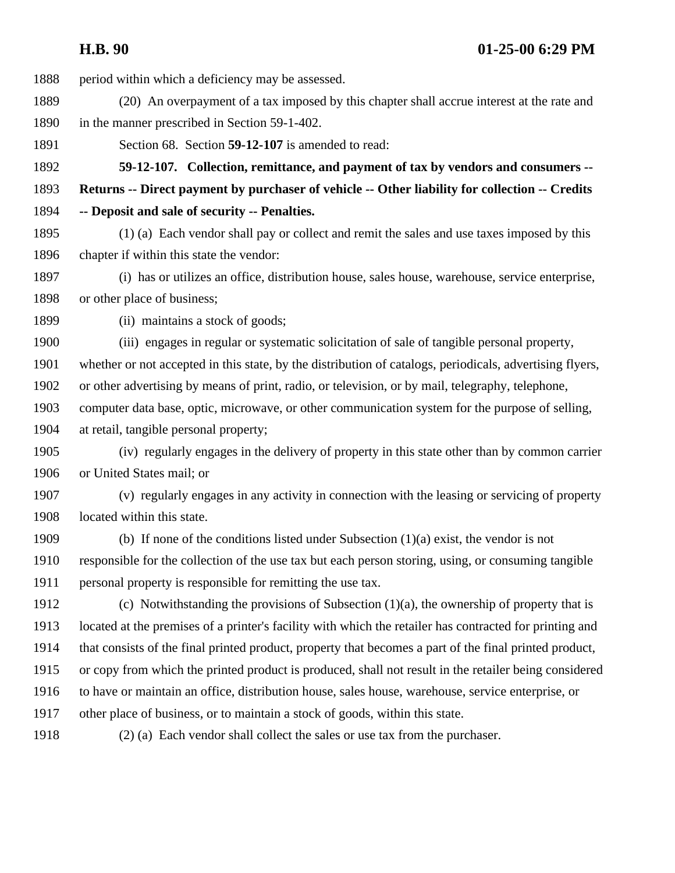period within which a deficiency may be assessed. (20) An overpayment of a tax imposed by this chapter shall accrue interest at the rate and in the manner prescribed in Section 59-1-402. Section 68. Section **59-12-107** is amended to read: **59-12-107. Collection, remittance, and payment of tax by vendors and consumers -- Returns -- Direct payment by purchaser of vehicle -- Other liability for collection -- Credits -- Deposit and sale of security -- Penalties.**  (1) (a) Each vendor shall pay or collect and remit the sales and use taxes imposed by this chapter if within this state the vendor: (i) has or utilizes an office, distribution house, sales house, warehouse, service enterprise, or other place of business; (ii) maintains a stock of goods; (iii) engages in regular or systematic solicitation of sale of tangible personal property, whether or not accepted in this state, by the distribution of catalogs, periodicals, advertising flyers, or other advertising by means of print, radio, or television, or by mail, telegraphy, telephone, computer data base, optic, microwave, or other communication system for the purpose of selling, at retail, tangible personal property; (iv) regularly engages in the delivery of property in this state other than by common carrier or United States mail; or (v) regularly engages in any activity in connection with the leasing or servicing of property located within this state. (b) If none of the conditions listed under Subsection (1)(a) exist, the vendor is not responsible for the collection of the use tax but each person storing, using, or consuming tangible personal property is responsible for remitting the use tax. 1912 (c) Notwithstanding the provisions of Subsection  $(1)(a)$ , the ownership of property that is located at the premises of a printer's facility with which the retailer has contracted for printing and that consists of the final printed product, property that becomes a part of the final printed product, or copy from which the printed product is produced, shall not result in the retailer being considered to have or maintain an office, distribution house, sales house, warehouse, service enterprise, or other place of business, or to maintain a stock of goods, within this state. (2) (a) Each vendor shall collect the sales or use tax from the purchaser.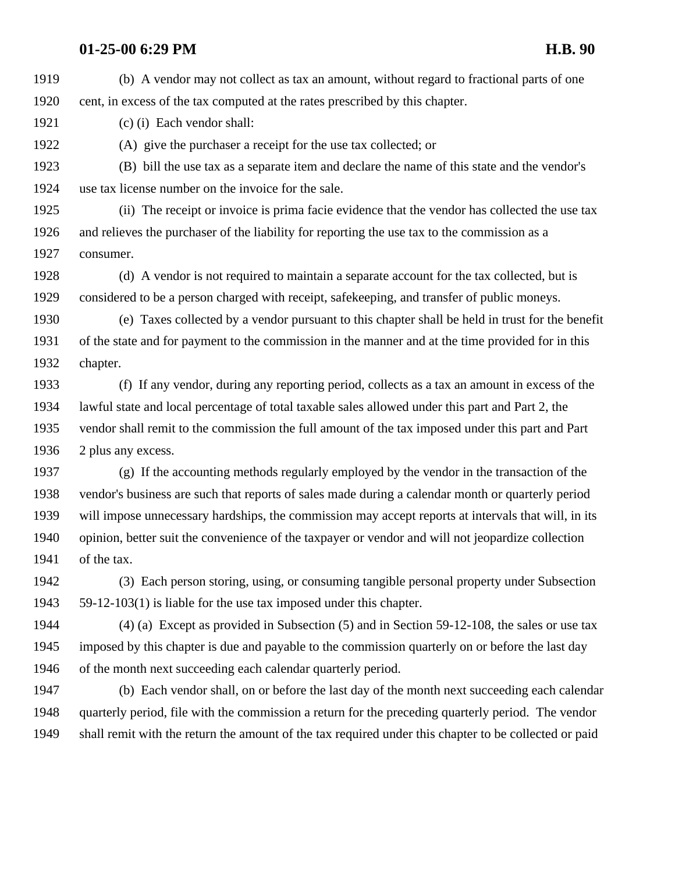(b) A vendor may not collect as tax an amount, without regard to fractional parts of one cent, in excess of the tax computed at the rates prescribed by this chapter.

(c) (i) Each vendor shall:

(A) give the purchaser a receipt for the use tax collected; or

 (B) bill the use tax as a separate item and declare the name of this state and the vendor's use tax license number on the invoice for the sale.

 (ii) The receipt or invoice is prima facie evidence that the vendor has collected the use tax and relieves the purchaser of the liability for reporting the use tax to the commission as a consumer.

 (d) A vendor is not required to maintain a separate account for the tax collected, but is considered to be a person charged with receipt, safekeeping, and transfer of public moneys.

 (e) Taxes collected by a vendor pursuant to this chapter shall be held in trust for the benefit of the state and for payment to the commission in the manner and at the time provided for in this chapter.

 (f) If any vendor, during any reporting period, collects as a tax an amount in excess of the lawful state and local percentage of total taxable sales allowed under this part and Part 2, the vendor shall remit to the commission the full amount of the tax imposed under this part and Part 2 plus any excess.

 (g) If the accounting methods regularly employed by the vendor in the transaction of the vendor's business are such that reports of sales made during a calendar month or quarterly period will impose unnecessary hardships, the commission may accept reports at intervals that will, in its opinion, better suit the convenience of the taxpayer or vendor and will not jeopardize collection of the tax.

 (3) Each person storing, using, or consuming tangible personal property under Subsection 59-12-103(1) is liable for the use tax imposed under this chapter.

 (4) (a) Except as provided in Subsection (5) and in Section 59-12-108, the sales or use tax imposed by this chapter is due and payable to the commission quarterly on or before the last day of the month next succeeding each calendar quarterly period.

 (b) Each vendor shall, on or before the last day of the month next succeeding each calendar quarterly period, file with the commission a return for the preceding quarterly period. The vendor shall remit with the return the amount of the tax required under this chapter to be collected or paid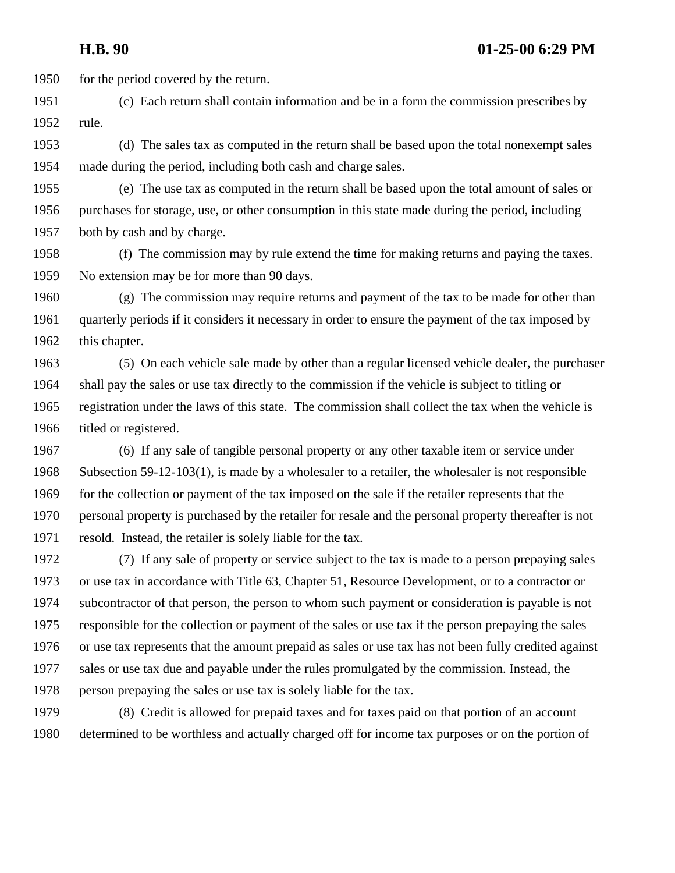1950 for the period covered by the return.

- (c) Each return shall contain information and be in a form the commission prescribes by rule.
- (d) The sales tax as computed in the return shall be based upon the total nonexempt sales made during the period, including both cash and charge sales.
- (e) The use tax as computed in the return shall be based upon the total amount of sales or purchases for storage, use, or other consumption in this state made during the period, including both by cash and by charge.
- (f) The commission may by rule extend the time for making returns and paying the taxes. No extension may be for more than 90 days.
- (g) The commission may require returns and payment of the tax to be made for other than quarterly periods if it considers it necessary in order to ensure the payment of the tax imposed by this chapter.
- (5) On each vehicle sale made by other than a regular licensed vehicle dealer, the purchaser shall pay the sales or use tax directly to the commission if the vehicle is subject to titling or registration under the laws of this state. The commission shall collect the tax when the vehicle is titled or registered.
- (6) If any sale of tangible personal property or any other taxable item or service under Subsection 59-12-103(1), is made by a wholesaler to a retailer, the wholesaler is not responsible for the collection or payment of the tax imposed on the sale if the retailer represents that the personal property is purchased by the retailer for resale and the personal property thereafter is not resold. Instead, the retailer is solely liable for the tax.
- (7) If any sale of property or service subject to the tax is made to a person prepaying sales or use tax in accordance with Title 63, Chapter 51, Resource Development, or to a contractor or subcontractor of that person, the person to whom such payment or consideration is payable is not responsible for the collection or payment of the sales or use tax if the person prepaying the sales or use tax represents that the amount prepaid as sales or use tax has not been fully credited against sales or use tax due and payable under the rules promulgated by the commission. Instead, the person prepaying the sales or use tax is solely liable for the tax.
- (8) Credit is allowed for prepaid taxes and for taxes paid on that portion of an account determined to be worthless and actually charged off for income tax purposes or on the portion of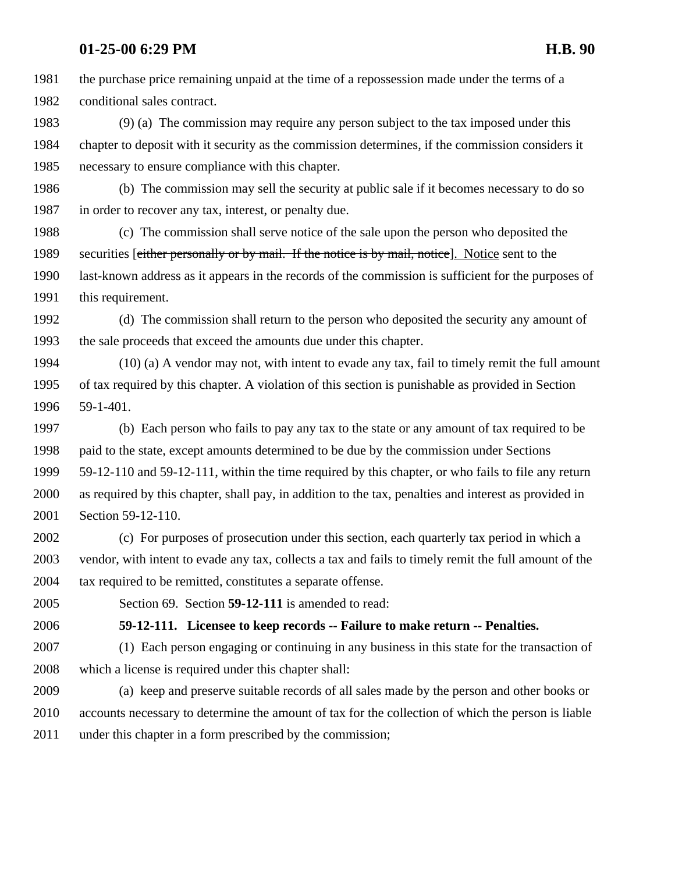the purchase price remaining unpaid at the time of a repossession made under the terms of a conditional sales contract.

 (9) (a) The commission may require any person subject to the tax imposed under this chapter to deposit with it security as the commission determines, if the commission considers it necessary to ensure compliance with this chapter.

 (b) The commission may sell the security at public sale if it becomes necessary to do so in order to recover any tax, interest, or penalty due.

 (c) The commission shall serve notice of the sale upon the person who deposited the 1989 securities [either personally or by mail. If the notice is by mail, notice]. Notice sent to the last-known address as it appears in the records of the commission is sufficient for the purposes of this requirement.

 (d) The commission shall return to the person who deposited the security any amount of the sale proceeds that exceed the amounts due under this chapter.

 (10) (a) A vendor may not, with intent to evade any tax, fail to timely remit the full amount of tax required by this chapter. A violation of this section is punishable as provided in Section 59-1-401.

 (b) Each person who fails to pay any tax to the state or any amount of tax required to be paid to the state, except amounts determined to be due by the commission under Sections 59-12-110 and 59-12-111, within the time required by this chapter, or who fails to file any return as required by this chapter, shall pay, in addition to the tax, penalties and interest as provided in Section 59-12-110.

 (c) For purposes of prosecution under this section, each quarterly tax period in which a vendor, with intent to evade any tax, collects a tax and fails to timely remit the full amount of the 2004 tax required to be remitted, constitutes a separate offense.

Section 69. Section **59-12-111** is amended to read:

**59-12-111. Licensee to keep records -- Failure to make return -- Penalties.** 

 (1) Each person engaging or continuing in any business in this state for the transaction of which a license is required under this chapter shall:

 (a) keep and preserve suitable records of all sales made by the person and other books or accounts necessary to determine the amount of tax for the collection of which the person is liable 2011 under this chapter in a form prescribed by the commission;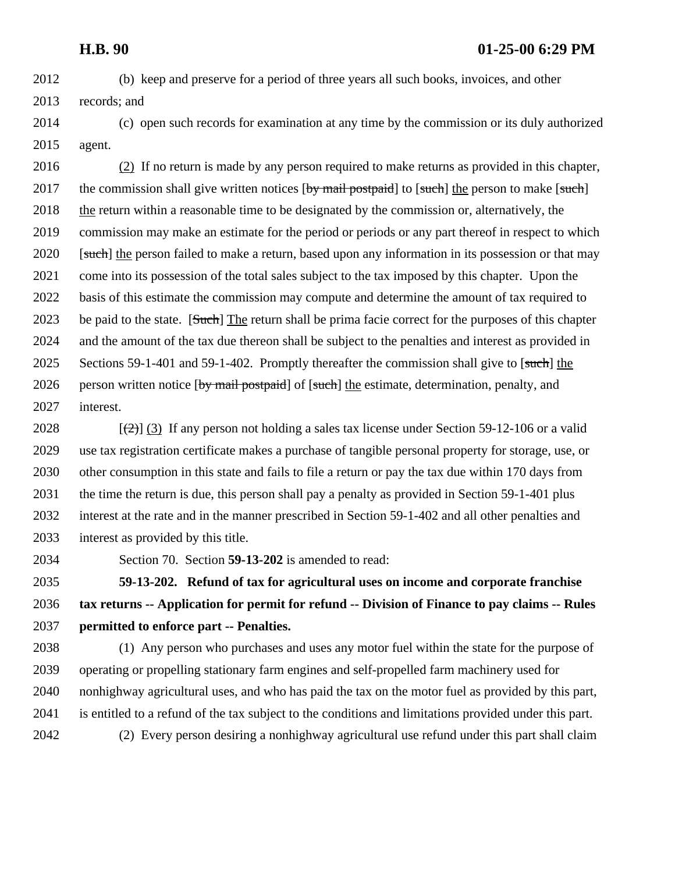- (b) keep and preserve for a period of three years all such books, invoices, and other records; and
- (c) open such records for examination at any time by the commission or its duly authorized agent.

 (2) If no return is made by any person required to make returns as provided in this chapter, 2017 the commission shall give written notices  $\left[\frac{by}{by}\right]$  to  $\left[\frac{such}{with}\right]$  the person to make  $\left[\frac{such}{with}\right]$  the return within a reasonable time to be designated by the commission or, alternatively, the commission may make an estimate for the period or periods or any part thereof in respect to which 2020 [such] the person failed to make a return, based upon any information in its possession or that may come into its possession of the total sales subject to the tax imposed by this chapter. Upon the basis of this estimate the commission may compute and determine the amount of tax required to 2023 be paid to the state. [Such] The return shall be prima facie correct for the purposes of this chapter and the amount of the tax due thereon shall be subject to the penalties and interest as provided in 2025 Sections 59-1-401 and 59-1-402. Promptly thereafter the commission shall give to [such] the 2026 person written notice [by mail postpaid] of [such] the estimate, determination, penalty, and interest.

 $\left[\frac{1}{2}\right]$  (3) If any person not holding a sales tax license under Section 59-12-106 or a valid use tax registration certificate makes a purchase of tangible personal property for storage, use, or other consumption in this state and fails to file a return or pay the tax due within 170 days from the time the return is due, this person shall pay a penalty as provided in Section 59-1-401 plus interest at the rate and in the manner prescribed in Section 59-1-402 and all other penalties and interest as provided by this title.

Section 70. Section **59-13-202** is amended to read:

 **59-13-202. Refund of tax for agricultural uses on income and corporate franchise tax returns -- Application for permit for refund -- Division of Finance to pay claims -- Rules permitted to enforce part -- Penalties.** 

 (1) Any person who purchases and uses any motor fuel within the state for the purpose of operating or propelling stationary farm engines and self-propelled farm machinery used for nonhighway agricultural uses, and who has paid the tax on the motor fuel as provided by this part, is entitled to a refund of the tax subject to the conditions and limitations provided under this part. (2) Every person desiring a nonhighway agricultural use refund under this part shall claim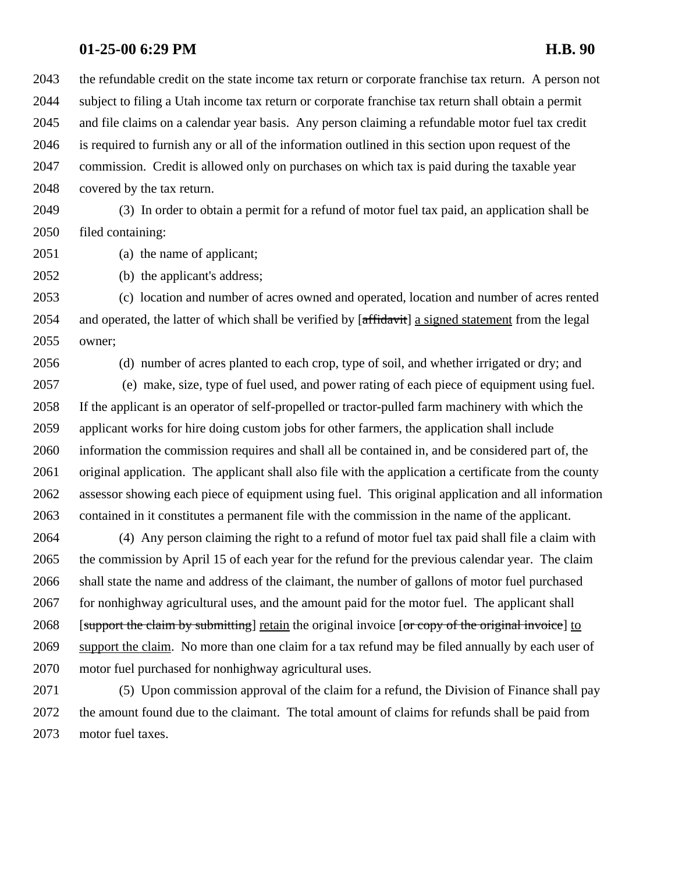the refundable credit on the state income tax return or corporate franchise tax return. A person not subject to filing a Utah income tax return or corporate franchise tax return shall obtain a permit and file claims on a calendar year basis. Any person claiming a refundable motor fuel tax credit is required to furnish any or all of the information outlined in this section upon request of the commission. Credit is allowed only on purchases on which tax is paid during the taxable year covered by the tax return.

 (3) In order to obtain a permit for a refund of motor fuel tax paid, an application shall be filed containing:

(a) the name of applicant;

(b) the applicant's address;

 (c) location and number of acres owned and operated, location and number of acres rented 2054 and operated, the latter of which shall be verified by [affidavit] a signed statement from the legal owner;

(d) number of acres planted to each crop, type of soil, and whether irrigated or dry; and

2057 (e) make, size, type of fuel used, and power rating of each piece of equipment using fuel. If the applicant is an operator of self-propelled or tractor-pulled farm machinery with which the applicant works for hire doing custom jobs for other farmers, the application shall include information the commission requires and shall all be contained in, and be considered part of, the original application. The applicant shall also file with the application a certificate from the county assessor showing each piece of equipment using fuel. This original application and all information contained in it constitutes a permanent file with the commission in the name of the applicant.

 (4) Any person claiming the right to a refund of motor fuel tax paid shall file a claim with the commission by April 15 of each year for the refund for the previous calendar year. The claim shall state the name and address of the claimant, the number of gallons of motor fuel purchased for nonhighway agricultural uses, and the amount paid for the motor fuel. The applicant shall 2068 [support the claim by submitting] retain the original invoice [or copy of the original invoice] to support the claim. No more than one claim for a tax refund may be filed annually by each user of motor fuel purchased for nonhighway agricultural uses.

 (5) Upon commission approval of the claim for a refund, the Division of Finance shall pay the amount found due to the claimant. The total amount of claims for refunds shall be paid from motor fuel taxes.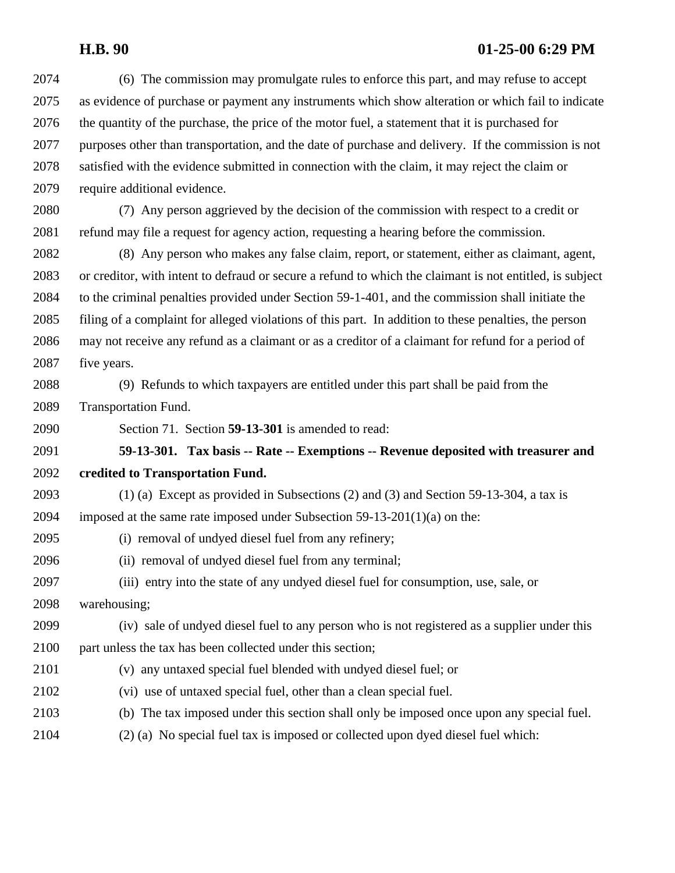| 2074 | (6) The commission may promulgate rules to enforce this part, and may refuse to accept                   |
|------|----------------------------------------------------------------------------------------------------------|
| 2075 | as evidence of purchase or payment any instruments which show alteration or which fail to indicate       |
| 2076 | the quantity of the purchase, the price of the motor fuel, a statement that it is purchased for          |
| 2077 | purposes other than transportation, and the date of purchase and delivery. If the commission is not      |
| 2078 | satisfied with the evidence submitted in connection with the claim, it may reject the claim or           |
| 2079 | require additional evidence.                                                                             |
| 2080 | (7) Any person aggrieved by the decision of the commission with respect to a credit or                   |
| 2081 | refund may file a request for agency action, requesting a hearing before the commission.                 |
| 2082 | (8) Any person who makes any false claim, report, or statement, either as claimant, agent,               |
| 2083 | or creditor, with intent to defraud or secure a refund to which the claimant is not entitled, is subject |
| 2084 | to the criminal penalties provided under Section 59-1-401, and the commission shall initiate the         |
| 2085 | filing of a complaint for alleged violations of this part. In addition to these penalties, the person    |
| 2086 | may not receive any refund as a claimant or as a creditor of a claimant for refund for a period of       |
| 2087 | five years.                                                                                              |
| 2088 | (9) Refunds to which taxpayers are entitled under this part shall be paid from the                       |
| 2089 | Transportation Fund.                                                                                     |
| 2090 | Section 71. Section 59-13-301 is amended to read:                                                        |
| 2091 | 59-13-301. Tax basis -- Rate -- Exemptions -- Revenue deposited with treasurer and                       |
| 2092 | credited to Transportation Fund.                                                                         |
| 2093 | $(1)$ (a) Except as provided in Subsections (2) and (3) and Section 59-13-304, a tax is                  |
| 2094 | imposed at the same rate imposed under Subsection $59-13-201(1)(a)$ on the:                              |
| 2095 | (i) removal of undyed diesel fuel from any refinery;                                                     |
| 2096 | (ii) removal of undyed diesel fuel from any terminal;                                                    |
| 2097 | (iii) entry into the state of any undyed diesel fuel for consumption, use, sale, or                      |
| 2098 | warehousing;                                                                                             |
| 2099 | (iv) sale of undyed diesel fuel to any person who is not registered as a supplier under this             |
| 2100 | part unless the tax has been collected under this section;                                               |
| 2101 | (v) any untaxed special fuel blended with undyed diesel fuel; or                                         |
| 2102 | (vi) use of untaxed special fuel, other than a clean special fuel.                                       |
| 2103 | (b) The tax imposed under this section shall only be imposed once upon any special fuel.                 |
| 2104 | (2) (a) No special fuel tax is imposed or collected upon dyed diesel fuel which:                         |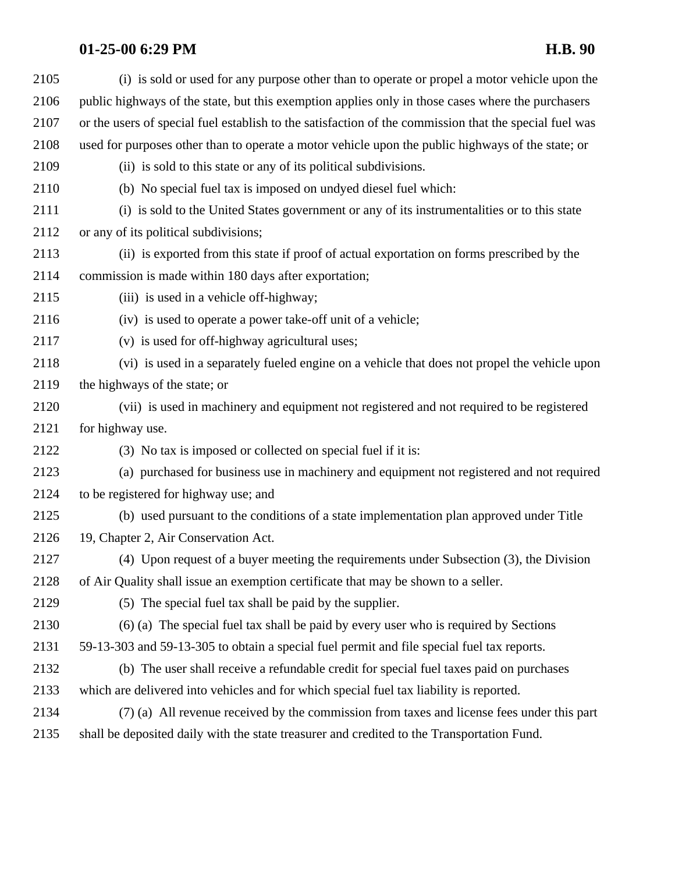| 2105 | (i) is sold or used for any purpose other than to operate or propel a motor vehicle upon the           |
|------|--------------------------------------------------------------------------------------------------------|
| 2106 | public highways of the state, but this exemption applies only in those cases where the purchasers      |
| 2107 | or the users of special fuel establish to the satisfaction of the commission that the special fuel was |
| 2108 | used for purposes other than to operate a motor vehicle upon the public highways of the state; or      |
| 2109 | (ii) is sold to this state or any of its political subdivisions.                                       |
| 2110 | (b) No special fuel tax is imposed on undyed diesel fuel which:                                        |
| 2111 | (i) is sold to the United States government or any of its instrumentalities or to this state           |
| 2112 | or any of its political subdivisions;                                                                  |
| 2113 | (ii) is exported from this state if proof of actual exportation on forms prescribed by the             |
| 2114 | commission is made within 180 days after exportation;                                                  |
| 2115 | (iii) is used in a vehicle off-highway;                                                                |
| 2116 | (iv) is used to operate a power take-off unit of a vehicle;                                            |
| 2117 | (v) is used for off-highway agricultural uses;                                                         |
| 2118 | (vi) is used in a separately fueled engine on a vehicle that does not propel the vehicle upon          |
| 2119 | the highways of the state; or                                                                          |
| 2120 | (vii) is used in machinery and equipment not registered and not required to be registered              |
| 2121 | for highway use.                                                                                       |
| 2122 | (3) No tax is imposed or collected on special fuel if it is:                                           |
| 2123 | (a) purchased for business use in machinery and equipment not registered and not required              |
| 2124 | to be registered for highway use; and                                                                  |
| 2125 | (b) used pursuant to the conditions of a state implementation plan approved under Title                |
| 2126 | 19, Chapter 2, Air Conservation Act.                                                                   |
| 2127 | (4) Upon request of a buyer meeting the requirements under Subsection (3), the Division                |
| 2128 | of Air Quality shall issue an exemption certificate that may be shown to a seller.                     |
| 2129 | (5) The special fuel tax shall be paid by the supplier.                                                |
| 2130 | (6) (a) The special fuel tax shall be paid by every user who is required by Sections                   |
| 2131 | 59-13-303 and 59-13-305 to obtain a special fuel permit and file special fuel tax reports.             |
| 2132 | (b) The user shall receive a refundable credit for special fuel taxes paid on purchases                |
| 2133 | which are delivered into vehicles and for which special fuel tax liability is reported.                |
| 2134 | (7) (a) All revenue received by the commission from taxes and license fees under this part             |
| 2135 | shall be deposited daily with the state treasurer and credited to the Transportation Fund.             |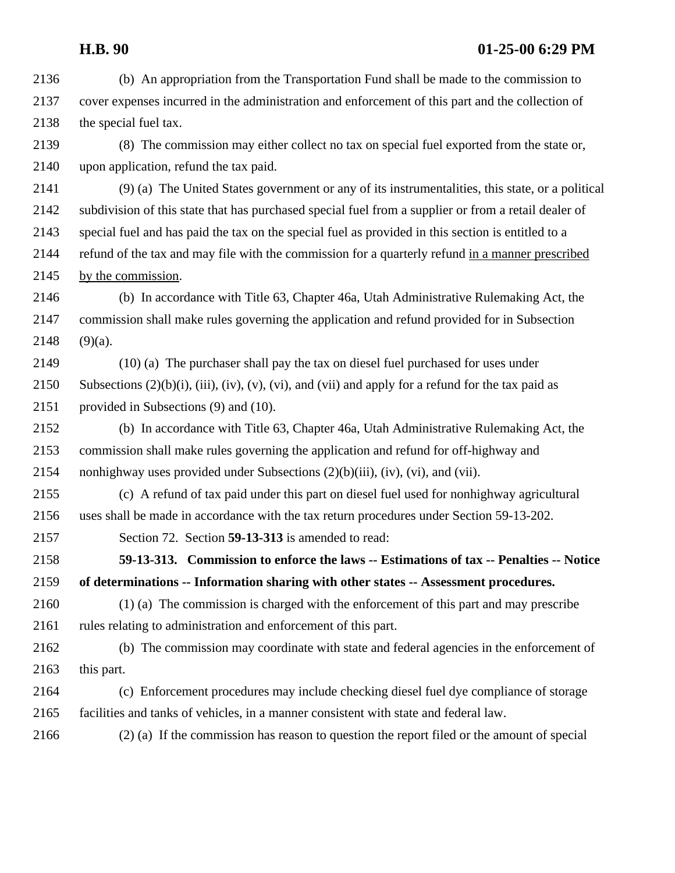- (b) An appropriation from the Transportation Fund shall be made to the commission to cover expenses incurred in the administration and enforcement of this part and the collection of the special fuel tax.
- (8) The commission may either collect no tax on special fuel exported from the state or, upon application, refund the tax paid.
- (9) (a) The United States government or any of its instrumentalities, this state, or a political subdivision of this state that has purchased special fuel from a supplier or from a retail dealer of special fuel and has paid the tax on the special fuel as provided in this section is entitled to a refund of the tax and may file with the commission for a quarterly refund in a manner prescribed by the commission.
- (b) In accordance with Title 63, Chapter 46a, Utah Administrative Rulemaking Act, the commission shall make rules governing the application and refund provided for in Subsection (9)(a).
- (10) (a) The purchaser shall pay the tax on diesel fuel purchased for uses under 2150 Subsections  $(2)(b)(i)$ ,  $(iii)$ ,  $(iv)$ ,  $(v)$ ,  $(vi)$ , and  $(vii)$  and apply for a refund for the tax paid as provided in Subsections (9) and (10).
- (b) In accordance with Title 63, Chapter 46a, Utah Administrative Rulemaking Act, the commission shall make rules governing the application and refund for off-highway and nonhighway uses provided under Subsections (2)(b)(iii), (iv), (vi), and (vii).
- (c) A refund of tax paid under this part on diesel fuel used for nonhighway agricultural uses shall be made in accordance with the tax return procedures under Section 59-13-202.
- Section 72. Section **59-13-313** is amended to read:
- **59-13-313. Commission to enforce the laws -- Estimations of tax -- Penalties -- Notice of determinations -- Information sharing with other states -- Assessment procedures.**
- (1) (a) The commission is charged with the enforcement of this part and may prescribe rules relating to administration and enforcement of this part.
- (b) The commission may coordinate with state and federal agencies in the enforcement of 2163 this part.
- (c) Enforcement procedures may include checking diesel fuel dye compliance of storage facilities and tanks of vehicles, in a manner consistent with state and federal law.

(2) (a) If the commission has reason to question the report filed or the amount of special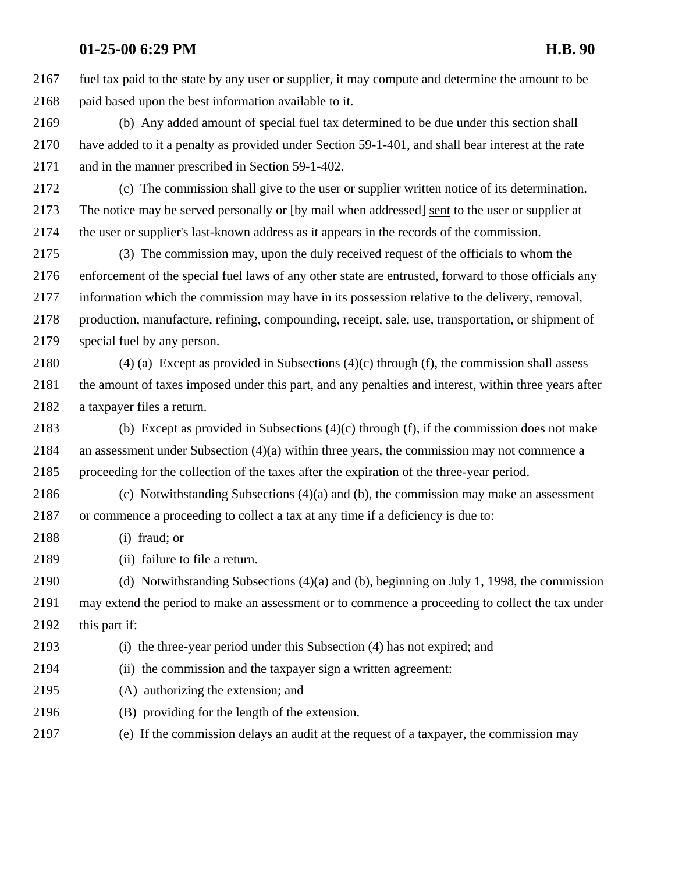fuel tax paid to the state by any user or supplier, it may compute and determine the amount to be paid based upon the best information available to it.

 (b) Any added amount of special fuel tax determined to be due under this section shall have added to it a penalty as provided under Section 59-1-401, and shall bear interest at the rate and in the manner prescribed in Section 59-1-402.

 (c) The commission shall give to the user or supplier written notice of its determination. 2173 The notice may be served personally or [by mail when addressed] sent to the user or supplier at the user or supplier's last-known address as it appears in the records of the commission.

 (3) The commission may, upon the duly received request of the officials to whom the enforcement of the special fuel laws of any other state are entrusted, forward to those officials any information which the commission may have in its possession relative to the delivery, removal, production, manufacture, refining, compounding, receipt, sale, use, transportation, or shipment of special fuel by any person.

 (4) (a) Except as provided in Subsections (4)(c) through (f), the commission shall assess the amount of taxes imposed under this part, and any penalties and interest, within three years after a taxpayer files a return.

 (b) Except as provided in Subsections (4)(c) through (f), if the commission does not make 2184 an assessment under Subsection  $(4)(a)$  within three years, the commission may not commence a proceeding for the collection of the taxes after the expiration of the three-year period.

 (c) Notwithstanding Subsections (4)(a) and (b), the commission may make an assessment or commence a proceeding to collect a tax at any time if a deficiency is due to:

- (i) fraud; or
- (ii) failure to file a return.

 (d) Notwithstanding Subsections (4)(a) and (b), beginning on July 1, 1998, the commission may extend the period to make an assessment or to commence a proceeding to collect the tax under 2192 this part if:

- (i) the three-year period under this Subsection (4) has not expired; and
- (ii) the commission and the taxpayer sign a written agreement:
- (A) authorizing the extension; and
- (B) providing for the length of the extension.
- (e) If the commission delays an audit at the request of a taxpayer, the commission may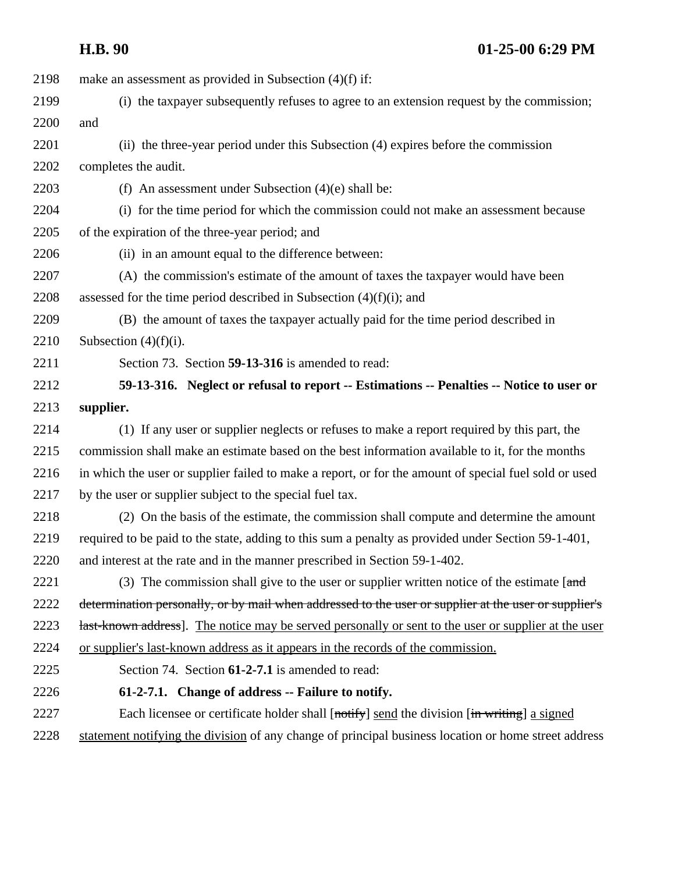| 2198 | make an assessment as provided in Subsection $(4)(f)$ if:                                             |
|------|-------------------------------------------------------------------------------------------------------|
| 2199 | (i) the taxpayer subsequently refuses to agree to an extension request by the commission;             |
| 2200 | and                                                                                                   |
| 2201 | (ii) the three-year period under this Subsection (4) expires before the commission                    |
| 2202 | completes the audit.                                                                                  |
| 2203 | (f) An assessment under Subsection $(4)(e)$ shall be:                                                 |
| 2204 | (i) for the time period for which the commission could not make an assessment because                 |
| 2205 | of the expiration of the three-year period; and                                                       |
| 2206 | (ii) in an amount equal to the difference between:                                                    |
| 2207 | (A) the commission's estimate of the amount of taxes the taxpayer would have been                     |
| 2208 | assessed for the time period described in Subsection $(4)(f)(i)$ ; and                                |
| 2209 | (B) the amount of taxes the taxpayer actually paid for the time period described in                   |
| 2210 | Subsection $(4)(f)(i)$ .                                                                              |
| 2211 | Section 73. Section 59-13-316 is amended to read:                                                     |
| 2212 | 59-13-316. Neglect or refusal to report -- Estimations -- Penalties -- Notice to user or              |
| 2213 | supplier.                                                                                             |
| 2214 | (1) If any user or supplier neglects or refuses to make a report required by this part, the           |
| 2215 | commission shall make an estimate based on the best information available to it, for the months       |
| 2216 | in which the user or supplier failed to make a report, or for the amount of special fuel sold or used |
| 2217 | by the user or supplier subject to the special fuel tax.                                              |
| 2218 | (2) On the basis of the estimate, the commission shall compute and determine the amount               |
| 2219 | required to be paid to the state, adding to this sum a penalty as provided under Section 59-1-401,    |
| 2220 | and interest at the rate and in the manner prescribed in Section 59-1-402.                            |
| 2221 | (3) The commission shall give to the user or supplier written notice of the estimate $[$ and          |
| 2222 | determination personally, or by mail when addressed to the user or supplier at the user or supplier's |
| 2223 | last-known address]. The notice may be served personally or sent to the user or supplier at the user  |
| 2224 | or supplier's last-known address as it appears in the records of the commission.                      |
| 2225 | Section 74. Section 61-2-7.1 is amended to read:                                                      |
| 2226 | 61-2-7.1. Change of address -- Failure to notify.                                                     |
| 2227 | Each licensee or certificate holder shall [notify] send the division [in writing] a signed            |
| 2228 | statement notifying the division of any change of principal business location or home street address  |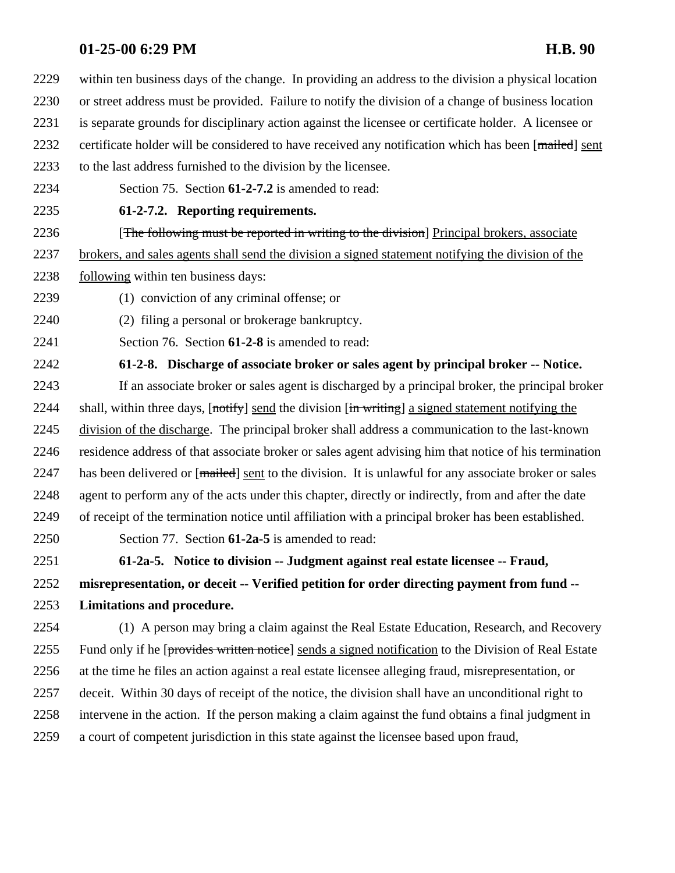within ten business days of the change. In providing an address to the division a physical location or street address must be provided. Failure to notify the division of a change of business location is separate grounds for disciplinary action against the licensee or certificate holder. A licensee or 2232 certificate holder will be considered to have received any notification which has been [mailed] sent

- to the last address furnished to the division by the licensee.
- Section 75. Section **61-2-7.2** is amended to read:
- **61-2-7.2. Reporting requirements.**

**[The following must be reported in writing to the division**] Principal brokers, associate

brokers, and sales agents shall send the division a signed statement notifying the division of the

- following within ten business days:
- (1) conviction of any criminal offense; or
- (2) filing a personal or brokerage bankruptcy.
- Section 76. Section **61-2-8** is amended to read:

**61-2-8. Discharge of associate broker or sales agent by principal broker -- Notice.**

 If an associate broker or sales agent is discharged by a principal broker, the principal broker 2244 shall, within three days,  $[nothing]$  send the division  $[in writing]$  a signed statement notifying the division of the discharge. The principal broker shall address a communication to the last-known residence address of that associate broker or sales agent advising him that notice of his termination 2247 has been delivered or [mailed] sent to the division. It is unlawful for any associate broker or sales 2248 agent to perform any of the acts under this chapter, directly or indirectly, from and after the date of receipt of the termination notice until affiliation with a principal broker has been established.

Section 77. Section **61-2a-5** is amended to read:

 **61-2a-5. Notice to division -- Judgment against real estate licensee -- Fraud, misrepresentation, or deceit -- Verified petition for order directing payment from fund -- Limitations and procedure.** 

 (1) A person may bring a claim against the Real Estate Education, Research, and Recovery 2255 Fund only if he [provides written notice] sends a signed notification to the Division of Real Estate at the time he files an action against a real estate licensee alleging fraud, misrepresentation, or deceit. Within 30 days of receipt of the notice, the division shall have an unconditional right to intervene in the action. If the person making a claim against the fund obtains a final judgment in a court of competent jurisdiction in this state against the licensee based upon fraud,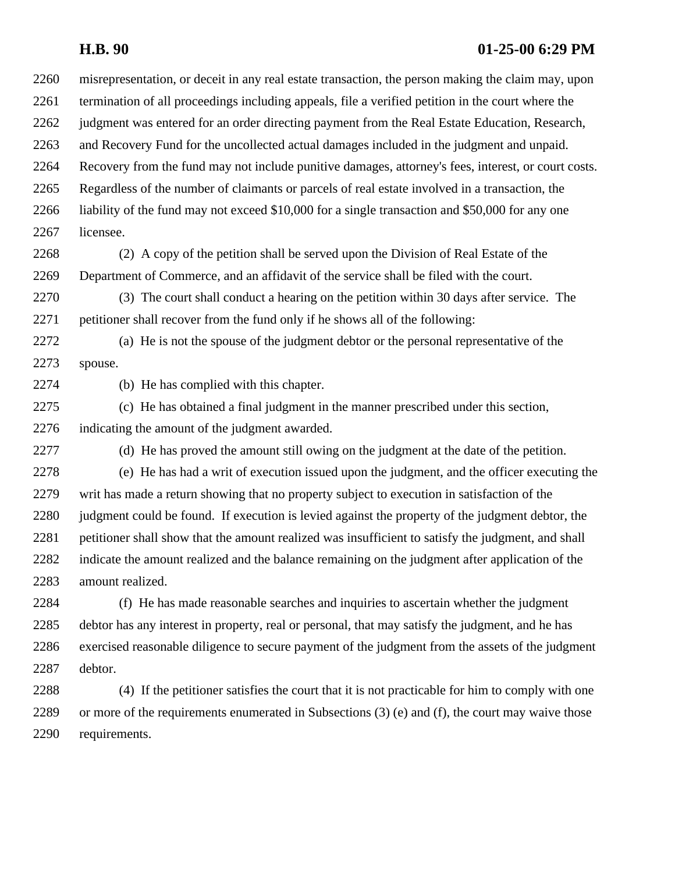### **H.B. 90 01-25-00 6:29 PM**

 misrepresentation, or deceit in any real estate transaction, the person making the claim may, upon termination of all proceedings including appeals, file a verified petition in the court where the judgment was entered for an order directing payment from the Real Estate Education, Research, and Recovery Fund for the uncollected actual damages included in the judgment and unpaid. Recovery from the fund may not include punitive damages, attorney's fees, interest, or court costs. Regardless of the number of claimants or parcels of real estate involved in a transaction, the liability of the fund may not exceed \$10,000 for a single transaction and \$50,000 for any one licensee.

 (2) A copy of the petition shall be served upon the Division of Real Estate of the Department of Commerce, and an affidavit of the service shall be filed with the court.

 (3) The court shall conduct a hearing on the petition within 30 days after service. The petitioner shall recover from the fund only if he shows all of the following:

 (a) He is not the spouse of the judgment debtor or the personal representative of the spouse.

(b) He has complied with this chapter.

 (c) He has obtained a final judgment in the manner prescribed under this section, indicating the amount of the judgment awarded.

(d) He has proved the amount still owing on the judgment at the date of the petition.

 (e) He has had a writ of execution issued upon the judgment, and the officer executing the writ has made a return showing that no property subject to execution in satisfaction of the judgment could be found. If execution is levied against the property of the judgment debtor, the petitioner shall show that the amount realized was insufficient to satisfy the judgment, and shall indicate the amount realized and the balance remaining on the judgment after application of the amount realized.

 (f) He has made reasonable searches and inquiries to ascertain whether the judgment debtor has any interest in property, real or personal, that may satisfy the judgment, and he has exercised reasonable diligence to secure payment of the judgment from the assets of the judgment debtor.

 (4) If the petitioner satisfies the court that it is not practicable for him to comply with one or more of the requirements enumerated in Subsections (3) (e) and (f), the court may waive those requirements.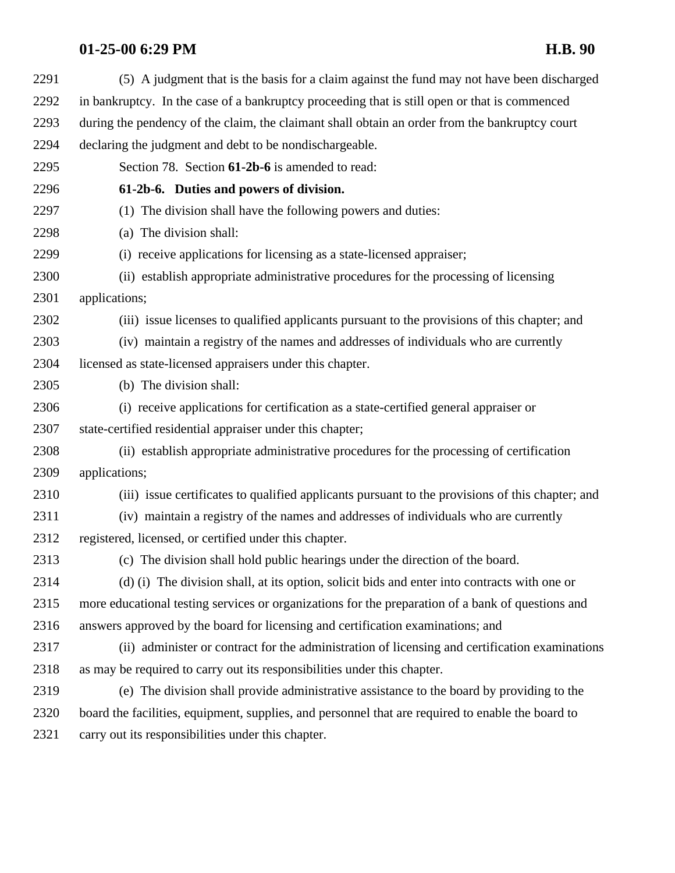| 2291 | (5) A judgment that is the basis for a claim against the fund may not have been discharged        |
|------|---------------------------------------------------------------------------------------------------|
| 2292 | in bankruptcy. In the case of a bankruptcy proceeding that is still open or that is commenced     |
| 2293 | during the pendency of the claim, the claimant shall obtain an order from the bankruptcy court    |
| 2294 | declaring the judgment and debt to be nondischargeable.                                           |
| 2295 | Section 78. Section 61-2b-6 is amended to read:                                                   |
| 2296 | 61-2b-6. Duties and powers of division.                                                           |
| 2297 | (1) The division shall have the following powers and duties:                                      |
| 2298 | (a) The division shall:                                                                           |
| 2299 | (i) receive applications for licensing as a state-licensed appraiser;                             |
| 2300 | (ii) establish appropriate administrative procedures for the processing of licensing              |
| 2301 | applications;                                                                                     |
| 2302 | (iii) issue licenses to qualified applicants pursuant to the provisions of this chapter; and      |
| 2303 | (iv) maintain a registry of the names and addresses of individuals who are currently              |
| 2304 | licensed as state-licensed appraisers under this chapter.                                         |
| 2305 | (b) The division shall:                                                                           |
| 2306 | (i) receive applications for certification as a state-certified general appraiser or              |
| 2307 | state-certified residential appraiser under this chapter;                                         |
| 2308 | (ii) establish appropriate administrative procedures for the processing of certification          |
| 2309 | applications;                                                                                     |
| 2310 | (iii) issue certificates to qualified applicants pursuant to the provisions of this chapter; and  |
| 2311 | (iv) maintain a registry of the names and addresses of individuals who are currently              |
| 2312 | registered, licensed, or certified under this chapter.                                            |
| 2313 | (c) The division shall hold public hearings under the direction of the board.                     |
| 2314 | (d) (i) The division shall, at its option, solicit bids and enter into contracts with one or      |
| 2315 | more educational testing services or organizations for the preparation of a bank of questions and |
| 2316 | answers approved by the board for licensing and certification examinations; and                   |
| 2317 | (ii) administer or contract for the administration of licensing and certification examinations    |
| 2318 | as may be required to carry out its responsibilities under this chapter.                          |
| 2319 | (e) The division shall provide administrative assistance to the board by providing to the         |
| 2320 | board the facilities, equipment, supplies, and personnel that are required to enable the board to |
| 2321 | carry out its responsibilities under this chapter.                                                |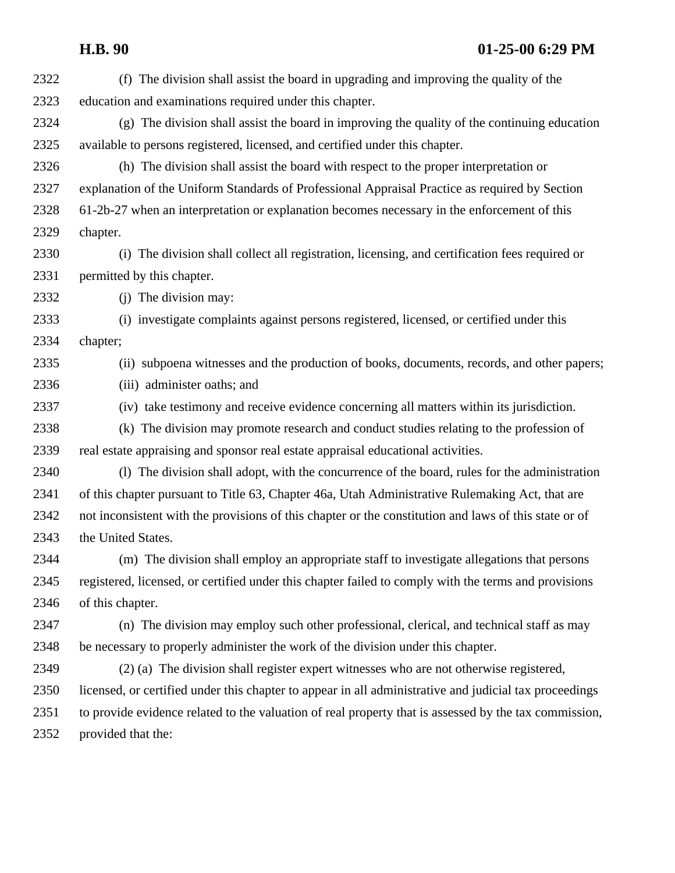| 2322 | (f) The division shall assist the board in upgrading and improving the quality of the                  |
|------|--------------------------------------------------------------------------------------------------------|
| 2323 | education and examinations required under this chapter.                                                |
| 2324 | (g) The division shall assist the board in improving the quality of the continuing education           |
| 2325 | available to persons registered, licensed, and certified under this chapter.                           |
| 2326 | (h) The division shall assist the board with respect to the proper interpretation or                   |
| 2327 | explanation of the Uniform Standards of Professional Appraisal Practice as required by Section         |
| 2328 | 61-2b-27 when an interpretation or explanation becomes necessary in the enforcement of this            |
| 2329 | chapter.                                                                                               |
| 2330 | (i) The division shall collect all registration, licensing, and certification fees required or         |
| 2331 | permitted by this chapter.                                                                             |
| 2332 | (j) The division may:                                                                                  |
| 2333 | (i) investigate complaints against persons registered, licensed, or certified under this               |
| 2334 | chapter;                                                                                               |
| 2335 | (ii) subpoena witnesses and the production of books, documents, records, and other papers;             |
| 2336 | (iii) administer oaths; and                                                                            |
| 2337 | (iv) take testimony and receive evidence concerning all matters within its jurisdiction.               |
| 2338 | (k) The division may promote research and conduct studies relating to the profession of                |
| 2339 | real estate appraising and sponsor real estate appraisal educational activities.                       |
| 2340 | (1) The division shall adopt, with the concurrence of the board, rules for the administration          |
| 2341 | of this chapter pursuant to Title 63, Chapter 46a, Utah Administrative Rulemaking Act, that are        |
| 2342 | not inconsistent with the provisions of this chapter or the constitution and laws of this state or of  |
| 2343 | the United States.                                                                                     |
| 2344 | (m) The division shall employ an appropriate staff to investigate allegations that persons             |
| 2345 | registered, licensed, or certified under this chapter failed to comply with the terms and provisions   |
| 2346 | of this chapter.                                                                                       |
| 2347 | (n) The division may employ such other professional, clerical, and technical staff as may              |
| 2348 | be necessary to properly administer the work of the division under this chapter.                       |
| 2349 | (2) (a) The division shall register expert witnesses who are not otherwise registered,                 |
| 2350 | licensed, or certified under this chapter to appear in all administrative and judicial tax proceedings |
| 2351 | to provide evidence related to the valuation of real property that is assessed by the tax commission,  |
| 2352 | provided that the:                                                                                     |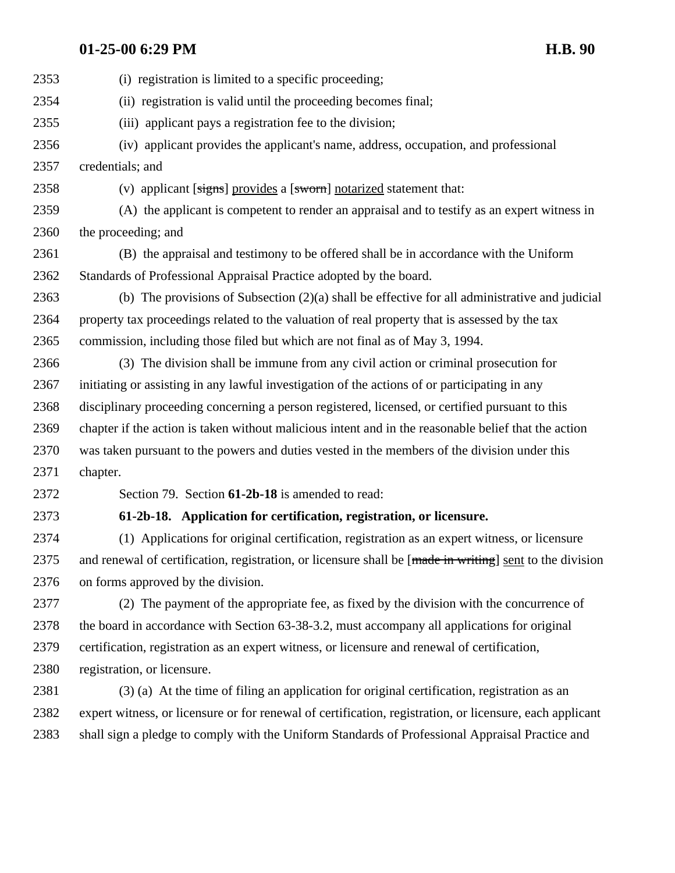| 2353 | (i) registration is limited to a specific proceeding;                                                    |
|------|----------------------------------------------------------------------------------------------------------|
| 2354 | (ii) registration is valid until the proceeding becomes final;                                           |
| 2355 | (iii) applicant pays a registration fee to the division;                                                 |
| 2356 | (iv) applicant provides the applicant's name, address, occupation, and professional                      |
| 2357 | credentials; and                                                                                         |
| 2358 | (v) applicant [signs] provides a [sworn] notarized statement that:                                       |
| 2359 | (A) the applicant is competent to render an appraisal and to testify as an expert witness in             |
| 2360 | the proceeding; and                                                                                      |
| 2361 | (B) the appraisal and testimony to be offered shall be in accordance with the Uniform                    |
| 2362 | Standards of Professional Appraisal Practice adopted by the board.                                       |
| 2363 | (b) The provisions of Subsection $(2)(a)$ shall be effective for all administrative and judicial         |
| 2364 | property tax proceedings related to the valuation of real property that is assessed by the tax           |
| 2365 | commission, including those filed but which are not final as of May 3, 1994.                             |
| 2366 | (3) The division shall be immune from any civil action or criminal prosecution for                       |
| 2367 | initiating or assisting in any lawful investigation of the actions of or participating in any            |
| 2368 | disciplinary proceeding concerning a person registered, licensed, or certified pursuant to this          |
| 2369 | chapter if the action is taken without malicious intent and in the reasonable belief that the action     |
| 2370 | was taken pursuant to the powers and duties vested in the members of the division under this             |
| 2371 | chapter.                                                                                                 |
| 2372 | Section 79. Section 61-2b-18 is amended to read:                                                         |
| 2373 | 61-2b-18. Application for certification, registration, or licensure.                                     |
| 2374 | (1) Applications for original certification, registration as an expert witness, or licensure             |
| 2375 | and renewal of certification, registration, or licensure shall be [made in writing] sent to the division |
| 2376 | on forms approved by the division.                                                                       |
| 2377 | (2) The payment of the appropriate fee, as fixed by the division with the concurrence of                 |
| 2378 | the board in accordance with Section 63-38-3.2, must accompany all applications for original             |
| 2379 | certification, registration as an expert witness, or licensure and renewal of certification,             |
| 2380 | registration, or licensure.                                                                              |
| 2381 | (3) (a) At the time of filing an application for original certification, registration as an              |
| 2382 | expert witness, or licensure or for renewal of certification, registration, or licensure, each applicant |
| 2383 | shall sign a pledge to comply with the Uniform Standards of Professional Appraisal Practice and          |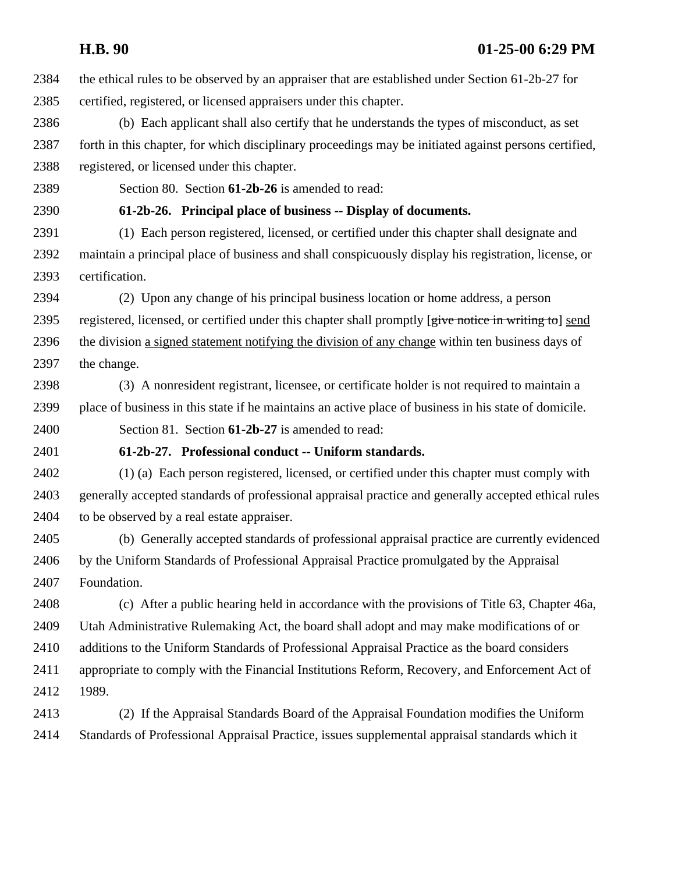| 2384 | the ethical rules to be observed by an appraiser that are established under Section 61-2b-27 for      |
|------|-------------------------------------------------------------------------------------------------------|
| 2385 | certified, registered, or licensed appraisers under this chapter.                                     |
| 2386 | (b) Each applicant shall also certify that he understands the types of misconduct, as set             |
| 2387 | forth in this chapter, for which disciplinary proceedings may be initiated against persons certified, |
| 2388 | registered, or licensed under this chapter.                                                           |
| 2389 | Section 80. Section 61-2b-26 is amended to read:                                                      |
| 2390 | 61-2b-26. Principal place of business -- Display of documents.                                        |
| 2391 | (1) Each person registered, licensed, or certified under this chapter shall designate and             |
| 2392 | maintain a principal place of business and shall conspicuously display his registration, license, or  |
| 2393 | certification.                                                                                        |
| 2394 | (2) Upon any change of his principal business location or home address, a person                      |
| 2395 | registered, licensed, or certified under this chapter shall promptly [give notice in writing to] send |
| 2396 | the division a signed statement notifying the division of any change within ten business days of      |
| 2397 | the change.                                                                                           |
| 2398 | (3) A nonresident registrant, licensee, or certificate holder is not required to maintain a           |
| 2399 | place of business in this state if he maintains an active place of business in his state of domicile. |
| 2400 | Section 81. Section 61-2b-27 is amended to read:                                                      |
| 2401 | 61-2b-27. Professional conduct -- Uniform standards.                                                  |
| 2402 | (1) (a) Each person registered, licensed, or certified under this chapter must comply with            |
| 2403 | generally accepted standards of professional appraisal practice and generally accepted ethical rules  |
| 2404 | to be observed by a real estate appraiser.                                                            |
| 2405 | (b) Generally accepted standards of professional appraisal practice are currently evidenced           |
| 2406 | by the Uniform Standards of Professional Appraisal Practice promulgated by the Appraisal              |
| 2407 | Foundation.                                                                                           |
| 2408 | (c) After a public hearing held in accordance with the provisions of Title 63, Chapter 46a,           |
| 2409 | Utah Administrative Rulemaking Act, the board shall adopt and may make modifications of or            |
| 2410 | additions to the Uniform Standards of Professional Appraisal Practice as the board considers          |
| 2411 | appropriate to comply with the Financial Institutions Reform, Recovery, and Enforcement Act of        |
| 2412 | 1989.                                                                                                 |
| 2413 | (2) If the Appraisal Standards Board of the Appraisal Foundation modifies the Uniform                 |
| 2414 | Standards of Professional Appraisal Practice, issues supplemental appraisal standards which it        |
|      |                                                                                                       |
|      |                                                                                                       |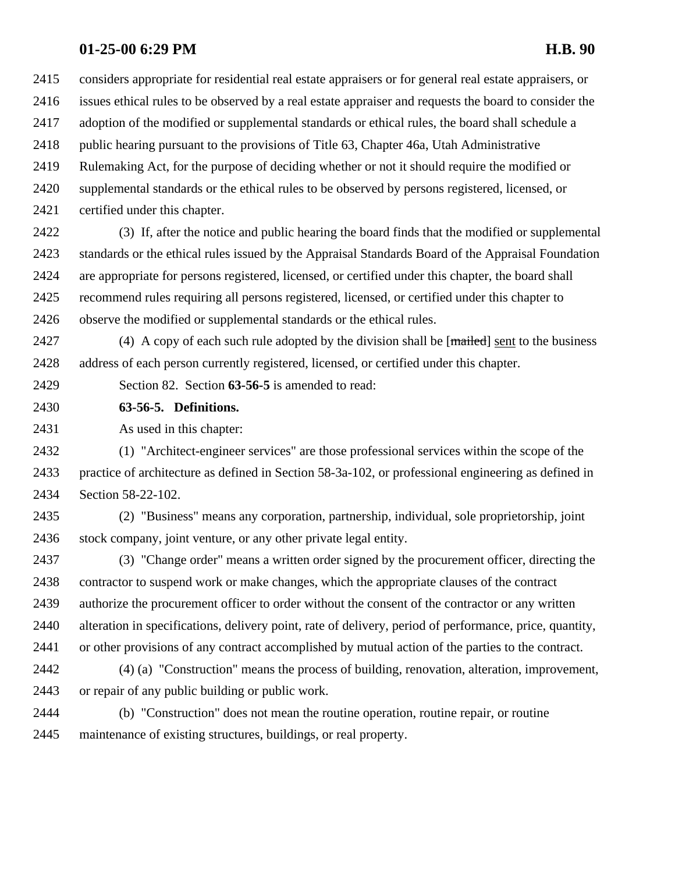considers appropriate for residential real estate appraisers or for general real estate appraisers, or issues ethical rules to be observed by a real estate appraiser and requests the board to consider the

adoption of the modified or supplemental standards or ethical rules, the board shall schedule a

2418 public hearing pursuant to the provisions of Title 63, Chapter 46a, Utah Administrative

Rulemaking Act, for the purpose of deciding whether or not it should require the modified or

supplemental standards or the ethical rules to be observed by persons registered, licensed, or

certified under this chapter.

 (3) If, after the notice and public hearing the board finds that the modified or supplemental standards or the ethical rules issued by the Appraisal Standards Board of the Appraisal Foundation are appropriate for persons registered, licensed, or certified under this chapter, the board shall recommend rules requiring all persons registered, licensed, or certified under this chapter to observe the modified or supplemental standards or the ethical rules.

2427 (4) A copy of each such rule adopted by the division shall be [mailed] sent to the business address of each person currently registered, licensed, or certified under this chapter.

Section 82. Section **63-56-5** is amended to read:

**63-56-5. Definitions.**

As used in this chapter:

 (1) "Architect-engineer services" are those professional services within the scope of the practice of architecture as defined in Section 58-3a-102, or professional engineering as defined in Section 58-22-102.

 (2) "Business" means any corporation, partnership, individual, sole proprietorship, joint stock company, joint venture, or any other private legal entity.

 (3) "Change order" means a written order signed by the procurement officer, directing the contractor to suspend work or make changes, which the appropriate clauses of the contract authorize the procurement officer to order without the consent of the contractor or any written alteration in specifications, delivery point, rate of delivery, period of performance, price, quantity, or other provisions of any contract accomplished by mutual action of the parties to the contract.

 (4) (a) "Construction" means the process of building, renovation, alteration, improvement, or repair of any public building or public work.

 (b) "Construction" does not mean the routine operation, routine repair, or routine maintenance of existing structures, buildings, or real property.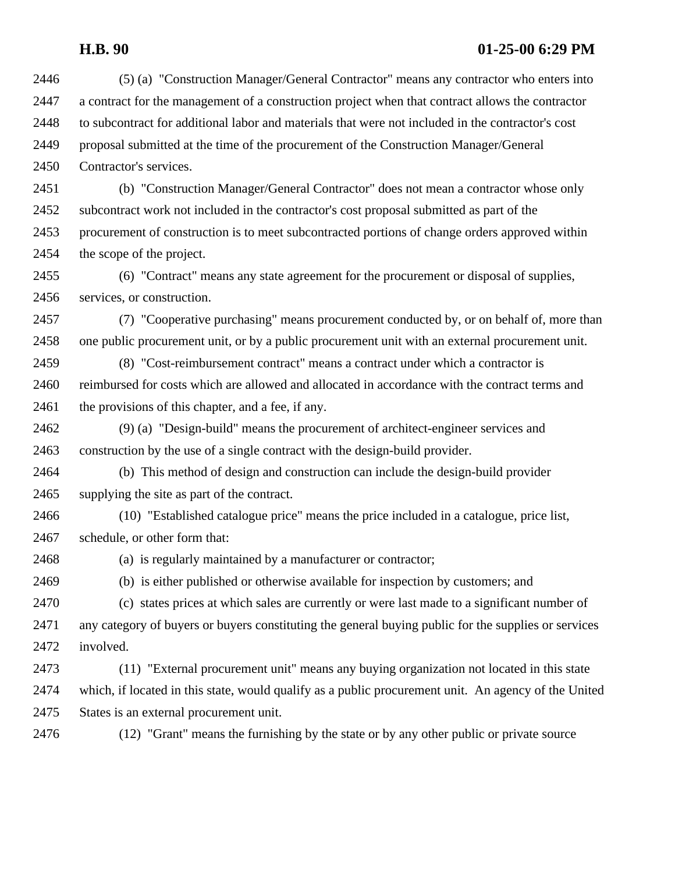### **H.B. 90 01-25-00 6:29 PM**

- (5) (a) "Construction Manager/General Contractor" means any contractor who enters into a contract for the management of a construction project when that contract allows the contractor to subcontract for additional labor and materials that were not included in the contractor's cost proposal submitted at the time of the procurement of the Construction Manager/General Contractor's services.
- (b) "Construction Manager/General Contractor" does not mean a contractor whose only subcontract work not included in the contractor's cost proposal submitted as part of the procurement of construction is to meet subcontracted portions of change orders approved within the scope of the project.
- (6) "Contract" means any state agreement for the procurement or disposal of supplies, services, or construction.
- (7) "Cooperative purchasing" means procurement conducted by, or on behalf of, more than one public procurement unit, or by a public procurement unit with an external procurement unit.
- (8) "Cost-reimbursement contract" means a contract under which a contractor is reimbursed for costs which are allowed and allocated in accordance with the contract terms and 2461 the provisions of this chapter, and a fee, if any.
- (9) (a) "Design-build" means the procurement of architect-engineer services and construction by the use of a single contract with the design-build provider.
- (b) This method of design and construction can include the design-build provider supplying the site as part of the contract.
- (10) "Established catalogue price" means the price included in a catalogue, price list, schedule, or other form that:
- (a) is regularly maintained by a manufacturer or contractor;
- 
- (b) is either published or otherwise available for inspection by customers; and
- (c) states prices at which sales are currently or were last made to a significant number of any category of buyers or buyers constituting the general buying public for the supplies or services involved.
- (11) "External procurement unit" means any buying organization not located in this state which, if located in this state, would qualify as a public procurement unit. An agency of the United States is an external procurement unit.

(12) "Grant" means the furnishing by the state or by any other public or private source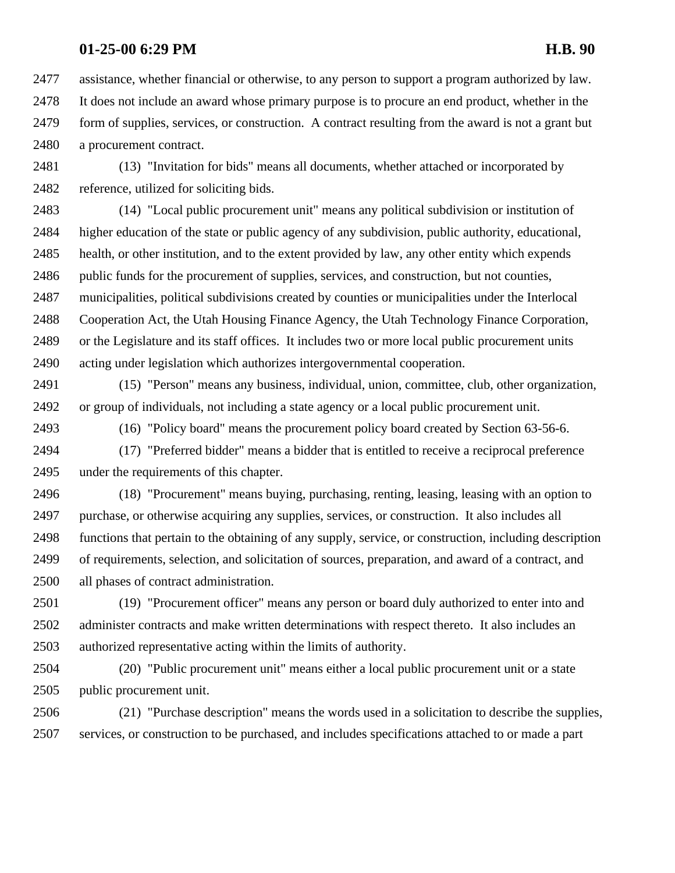assistance, whether financial or otherwise, to any person to support a program authorized by law. It does not include an award whose primary purpose is to procure an end product, whether in the form of supplies, services, or construction. A contract resulting from the award is not a grant but a procurement contract.

 (13) "Invitation for bids" means all documents, whether attached or incorporated by reference, utilized for soliciting bids.

 (14) "Local public procurement unit" means any political subdivision or institution of higher education of the state or public agency of any subdivision, public authority, educational, health, or other institution, and to the extent provided by law, any other entity which expends public funds for the procurement of supplies, services, and construction, but not counties, municipalities, political subdivisions created by counties or municipalities under the Interlocal Cooperation Act, the Utah Housing Finance Agency, the Utah Technology Finance Corporation, or the Legislature and its staff offices. It includes two or more local public procurement units acting under legislation which authorizes intergovernmental cooperation.

 (15) "Person" means any business, individual, union, committee, club, other organization, or group of individuals, not including a state agency or a local public procurement unit.

(16) "Policy board" means the procurement policy board created by Section 63-56-6.

 (17) "Preferred bidder" means a bidder that is entitled to receive a reciprocal preference under the requirements of this chapter.

 (18) "Procurement" means buying, purchasing, renting, leasing, leasing with an option to purchase, or otherwise acquiring any supplies, services, or construction. It also includes all functions that pertain to the obtaining of any supply, service, or construction, including description of requirements, selection, and solicitation of sources, preparation, and award of a contract, and all phases of contract administration.

 (19) "Procurement officer" means any person or board duly authorized to enter into and administer contracts and make written determinations with respect thereto. It also includes an authorized representative acting within the limits of authority.

 (20) "Public procurement unit" means either a local public procurement unit or a state public procurement unit.

 (21) "Purchase description" means the words used in a solicitation to describe the supplies, services, or construction to be purchased, and includes specifications attached to or made a part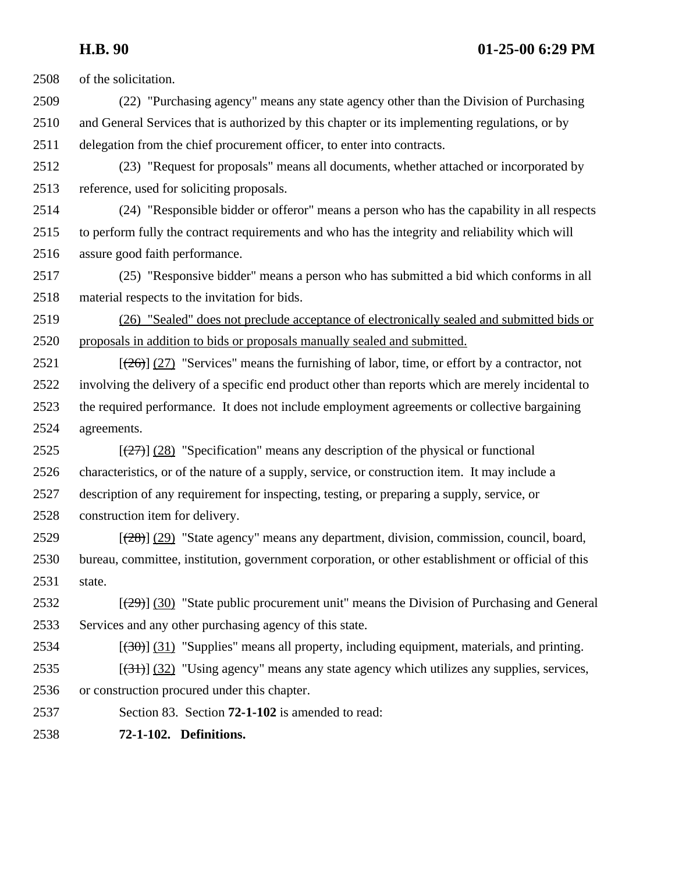**H.B. 90 01-25-00 6:29 PM**

of the solicitation.

- (22) "Purchasing agency" means any state agency other than the Division of Purchasing and General Services that is authorized by this chapter or its implementing regulations, or by delegation from the chief procurement officer, to enter into contracts.
- (23) "Request for proposals" means all documents, whether attached or incorporated by reference, used for soliciting proposals.
- (24) "Responsible bidder or offeror" means a person who has the capability in all respects to perform fully the contract requirements and who has the integrity and reliability which will assure good faith performance.
- (25) "Responsive bidder" means a person who has submitted a bid which conforms in all material respects to the invitation for bids.
- (26) "Sealed" does not preclude acceptance of electronically sealed and submitted bids or proposals in addition to bids or proposals manually sealed and submitted.
- 2521  $\left[\frac{(26)}{(27)}\right]$  "Services" means the furnishing of labor, time, or effort by a contractor, not involving the delivery of a specific end product other than reports which are merely incidental to the required performance. It does not include employment agreements or collective bargaining agreements.
- 2525  $\left[\frac{(27)}{(28)}\right]$  (28) "Specification" means any description of the physical or functional characteristics, or of the nature of a supply, service, or construction item. It may include a description of any requirement for inspecting, testing, or preparing a supply, service, or construction item for delivery.
- 2529  $\left[\frac{(28)}{(29)}\right]$  (29) "State agency" means any department, division, commission, council, board, bureau, committee, institution, government corporation, or other establishment or official of this state.
- 2532  $\left[\frac{(29)}{(29)}\right]$  (30) "State public procurement unit" means the Division of Purchasing and General Services and any other purchasing agency of this state.
- 2534  $\left[\left(30\right)\right]$  (31) "Supplies" means all property, including equipment, materials, and printing.
- 2535  $\left[\frac{(31)}{(32)}\right]$  (32) "Using agency" means any state agency which utilizes any supplies, services,
- or construction procured under this chapter.
- Section 83. Section **72-1-102** is amended to read:
- **72-1-102. Definitions.**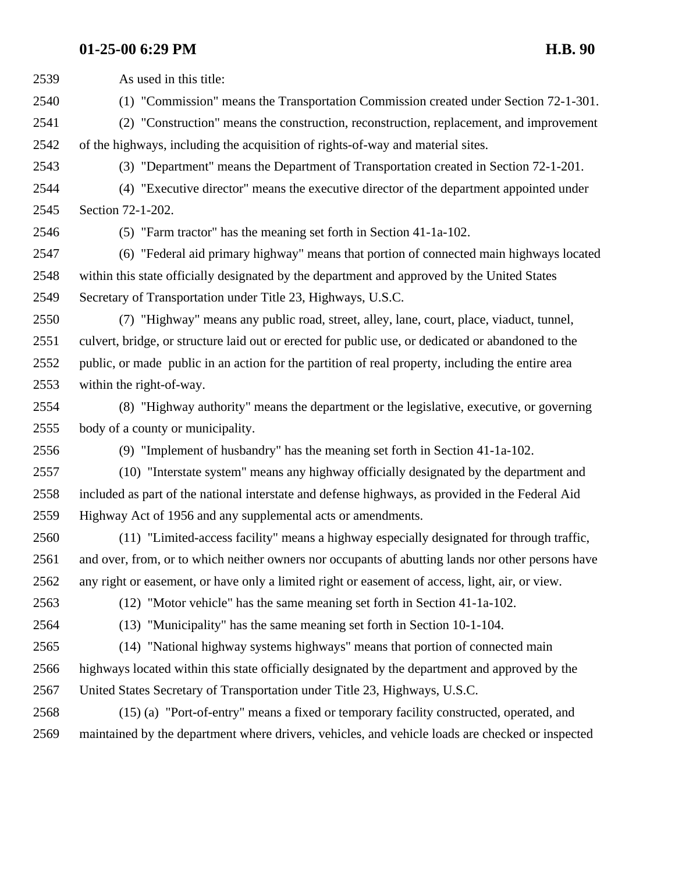As used in this title: (1) "Commission" means the Transportation Commission created under Section 72-1-301. (2) "Construction" means the construction, reconstruction, replacement, and improvement of the highways, including the acquisition of rights-of-way and material sites. (3) "Department" means the Department of Transportation created in Section 72-1-201. (4) "Executive director" means the executive director of the department appointed under Section 72-1-202. (5) "Farm tractor" has the meaning set forth in Section 41-1a-102. (6) "Federal aid primary highway" means that portion of connected main highways located within this state officially designated by the department and approved by the United States Secretary of Transportation under Title 23, Highways, U.S.C. (7) "Highway" means any public road, street, alley, lane, court, place, viaduct, tunnel, culvert, bridge, or structure laid out or erected for public use, or dedicated or abandoned to the public, or made public in an action for the partition of real property, including the entire area within the right-of-way. (8) "Highway authority" means the department or the legislative, executive, or governing body of a county or municipality. (9) "Implement of husbandry" has the meaning set forth in Section 41-1a-102. (10) "Interstate system" means any highway officially designated by the department and included as part of the national interstate and defense highways, as provided in the Federal Aid Highway Act of 1956 and any supplemental acts or amendments. (11) "Limited-access facility" means a highway especially designated for through traffic, and over, from, or to which neither owners nor occupants of abutting lands nor other persons have any right or easement, or have only a limited right or easement of access, light, air, or view. (12) "Motor vehicle" has the same meaning set forth in Section 41-1a-102. (13) "Municipality" has the same meaning set forth in Section 10-1-104. (14) "National highway systems highways" means that portion of connected main highways located within this state officially designated by the department and approved by the United States Secretary of Transportation under Title 23, Highways, U.S.C. (15) (a) "Port-of-entry" means a fixed or temporary facility constructed, operated, and maintained by the department where drivers, vehicles, and vehicle loads are checked or inspected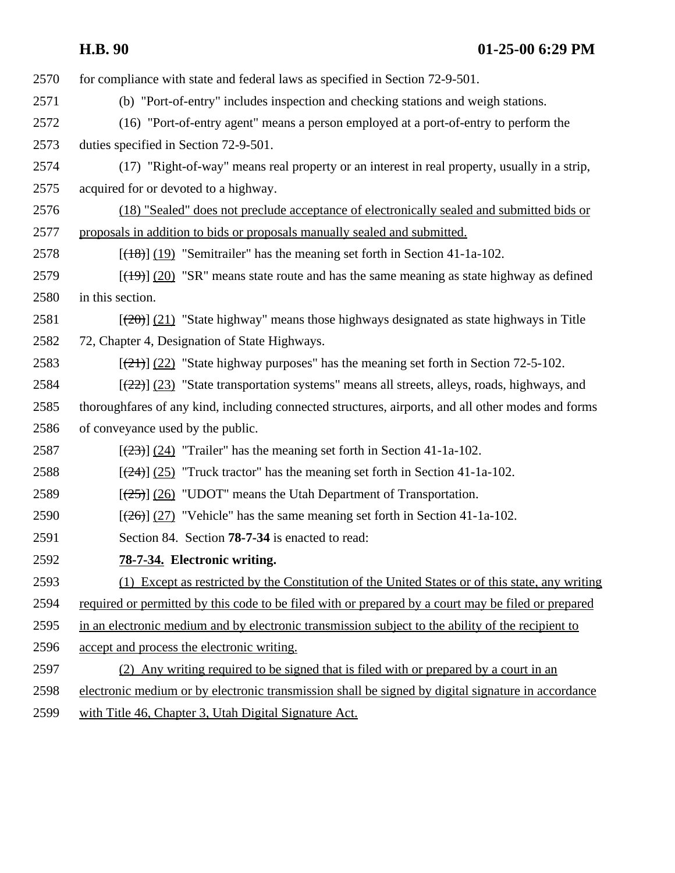| <b>H.B. 90</b> | $01-25-006:29$ PM |
|----------------|-------------------|
|                |                   |

2570 for compliance with state and federal laws as specified in Section 72-9-501. (b) "Port-of-entry" includes inspection and checking stations and weigh stations. (16) "Port-of-entry agent" means a person employed at a port-of-entry to perform the duties specified in Section 72-9-501. (17) "Right-of-way" means real property or an interest in real property, usually in a strip, acquired for or devoted to a highway. (18) "Sealed" does not preclude acceptance of electronically sealed and submitted bids or proposals in addition to bids or proposals manually sealed and submitted.  $\left[\frac{(18)}{(19)}\right]$  "Semitrailer" has the meaning set forth in Section 41-1a-102.  $\left[\frac{(19)}{(20)}\right]$  (20) "SR" means state route and has the same meaning as state highway as defined in this section.  $\left[\frac{(20)}{(21)}\right]$  (21) "State highway" means those highways designated as state highways in Title 72, Chapter 4, Designation of State Highways.  $\left[\frac{(21)}{(22)}\right]$  "State highway purposes" has the meaning set forth in Section 72-5-102.  $\left[\frac{(22)}{(23)}\right]$  (23) "State transportation systems" means all streets, alleys, roads, highways, and thoroughfares of any kind, including connected structures, airports, and all other modes and forms of conveyance used by the public.  $\left[\frac{(23)}{(24)}\right]$  "Trailer" has the meaning set forth in Section 41-1a-102.  $\left[\frac{24}{24}\right] \left( \frac{25}{24} \right)$  "Truck tractor" has the meaning set forth in Section 41-1a-102.  $\left[\frac{(25)}{(26)}\right]$  (26) "UDOT" means the Utah Department of Transportation.  $\left[\frac{(26)}{(27)}\right]$  (27) "Vehicle" has the same meaning set forth in Section 41-1a-102. Section 84. Section **78-7-34** is enacted to read: **78-7-34. Electronic writing.** (1) Except as restricted by the Constitution of the United States or of this state, any writing required or permitted by this code to be filed with or prepared by a court may be filed or prepared in an electronic medium and by electronic transmission subject to the ability of the recipient to accept and process the electronic writing. (2) Any writing required to be signed that is filed with or prepared by a court in an electronic medium or by electronic transmission shall be signed by digital signature in accordance with Title 46, Chapter 3, Utah Digital Signature Act.